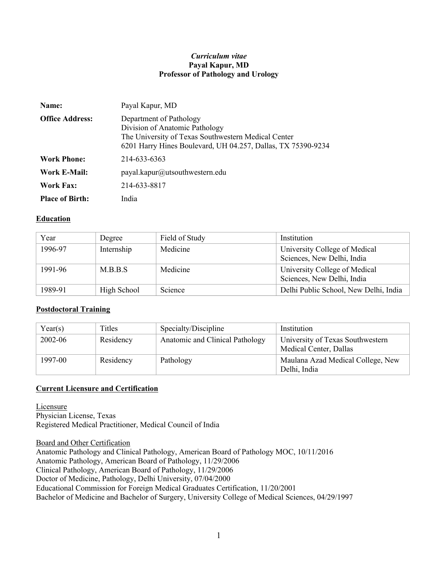#### *Curriculum vitae* **Payal Kapur, MD Professor of Pathology and Urology**

| Name:                  | Payal Kapur, MD                                                                                                                                                                  |
|------------------------|----------------------------------------------------------------------------------------------------------------------------------------------------------------------------------|
| <b>Office Address:</b> | Department of Pathology<br>Division of Anatomic Pathology<br>The University of Texas Southwestern Medical Center<br>6201 Harry Hines Boulevard, UH 04.257, Dallas, TX 75390-9234 |
| <b>Work Phone:</b>     | 214-633-6363                                                                                                                                                                     |
| Work E-Mail:           | payal.kapur@utsouthwestern.edu                                                                                                                                                   |
| <b>Work Fax:</b>       | 214-633-8817                                                                                                                                                                     |
| <b>Place of Birth:</b> | India                                                                                                                                                                            |

#### **Education**

| Year    | Degree      | Field of Study | Institution                                                 |
|---------|-------------|----------------|-------------------------------------------------------------|
| 1996-97 | Internship  | Medicine       | University College of Medical<br>Sciences, New Delhi, India |
| 1991-96 | M.B.B.S     | Medicine       | University College of Medical<br>Sciences, New Delhi, India |
| 1989-91 | High School | Science        | Delhi Public School, New Delhi, India                       |

#### **Postdoctoral Training**

| Year(s) | Titles    | Specialty/Discipline            | Institution                                                |
|---------|-----------|---------------------------------|------------------------------------------------------------|
| 2002-06 | Residency | Anatomic and Clinical Pathology | University of Texas Southwestern<br>Medical Center, Dallas |
| 1997-00 | Residency | Pathology                       | Maulana Azad Medical College, New<br>Delhi, India          |

### **Current Licensure and Certification**

Licensure Physician License, Texas Registered Medical Practitioner, Medical Council of India

Board and Other Certification Anatomic Pathology and Clinical Pathology, American Board of Pathology MOC, 10/11/2016 Anatomic Pathology, American Board of Pathology, 11/29/2006 Clinical Pathology, American Board of Pathology, 11/29/2006 Doctor of Medicine, Pathology, Delhi University, 07/04/2000 Educational Commission for Foreign Medical Graduates Certification, 11/20/2001 Bachelor of Medicine and Bachelor of Surgery, University College of Medical Sciences, 04/29/1997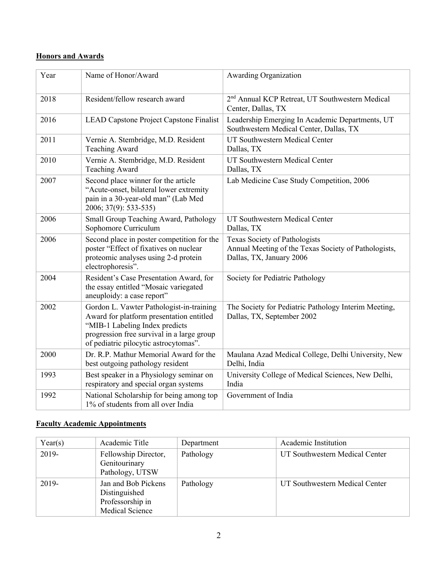# **Honors and Awards**

| Year | Name of Honor/Award                                                                                                                                                                                           | Awarding Organization                                                                                             |
|------|---------------------------------------------------------------------------------------------------------------------------------------------------------------------------------------------------------------|-------------------------------------------------------------------------------------------------------------------|
| 2018 | Resident/fellow research award                                                                                                                                                                                | 2 <sup>nd</sup> Annual KCP Retreat, UT Southwestern Medical<br>Center, Dallas, TX                                 |
| 2016 | LEAD Capstone Project Capstone Finalist                                                                                                                                                                       | Leadership Emerging In Academic Departments, UT<br>Southwestern Medical Center, Dallas, TX                        |
| 2011 | Vernie A. Stembridge, M.D. Resident<br><b>Teaching Award</b>                                                                                                                                                  | UT Southwestern Medical Center<br>Dallas, TX                                                                      |
| 2010 | Vernie A. Stembridge, M.D. Resident<br><b>Teaching Award</b>                                                                                                                                                  | UT Southwestern Medical Center<br>Dallas, TX                                                                      |
| 2007 | Second place winner for the article<br>"Acute-onset, bilateral lower extremity<br>pain in a 30-year-old man" (Lab Med<br>2006; 37(9): 533-535)                                                                | Lab Medicine Case Study Competition, 2006                                                                         |
| 2006 | Small Group Teaching Award, Pathology<br>Sophomore Curriculum                                                                                                                                                 | UT Southwestern Medical Center<br>Dallas, TX                                                                      |
| 2006 | Second place in poster competition for the<br>poster "Effect of fixatives on nuclear<br>proteomic analyses using 2-d protein<br>electrophoresis".                                                             | Texas Society of Pathologists<br>Annual Meeting of the Texas Society of Pathologists,<br>Dallas, TX, January 2006 |
| 2004 | Resident's Case Presentation Award, for<br>the essay entitled "Mosaic variegated<br>aneuploidy: a case report"                                                                                                | Society for Pediatric Pathology                                                                                   |
| 2002 | Gordon L. Vawter Pathologist-in-training<br>Award for platform presentation entitled<br>"MIB-1 Labeling Index predicts<br>progression free survival in a large group<br>of pediatric pilocytic astrocytomas". | The Society for Pediatric Pathology Interim Meeting,<br>Dallas, TX, September 2002                                |
| 2000 | Dr. R.P. Mathur Memorial Award for the<br>best outgoing pathology resident                                                                                                                                    | Maulana Azad Medical College, Delhi University, New<br>Delhi, India                                               |
| 1993 | Best speaker in a Physiology seminar on<br>respiratory and special organ systems                                                                                                                              | University College of Medical Sciences, New Delhi,<br>India                                                       |
| 1992 | National Scholarship for being among top<br>1% of students from all over India                                                                                                                                | Government of India                                                                                               |

# **Faculty Academic Appointments**

| Year(s) | Academic Title                                                              | Department | Academic Institution           |
|---------|-----------------------------------------------------------------------------|------------|--------------------------------|
| 2019-   | Fellowship Director,<br>Genitourinary<br>Pathology, UTSW                    | Pathology  | UT Southwestern Medical Center |
| 2019-   | Jan and Bob Pickens<br>Distinguished<br>Professorship in<br>Medical Science | Pathology  | UT Southwestern Medical Center |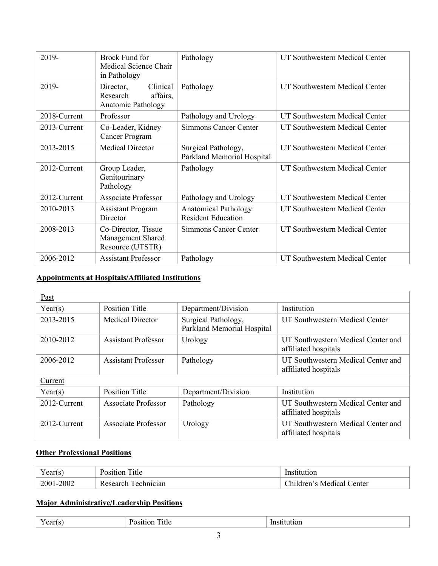| 2019-        | Brock Fund for<br>Medical Science Chair<br>in Pathology             | Pathology                                                | UT Southwestern Medical Center |
|--------------|---------------------------------------------------------------------|----------------------------------------------------------|--------------------------------|
| 2019-        | Clinical<br>Director,<br>Research<br>affairs,<br>Anatomic Pathology | Pathology                                                | UT Southwestern Medical Center |
| 2018-Current | Professor                                                           | Pathology and Urology                                    | UT Southwestern Medical Center |
| 2013-Current | Co-Leader, Kidney<br>Cancer Program                                 | Simmons Cancer Center                                    | UT Southwestern Medical Center |
| 2013-2015    | <b>Medical Director</b>                                             | Surgical Pathology,<br>Parkland Memorial Hospital        | UT Southwestern Medical Center |
| 2012-Current | Group Leader,<br>Genitourinary<br>Pathology                         | Pathology                                                | UT Southwestern Medical Center |
| 2012-Current | <b>Associate Professor</b>                                          | Pathology and Urology                                    | UT Southwestern Medical Center |
| 2010-2013    | <b>Assistant Program</b><br>Director                                | <b>Anatomical Pathology</b><br><b>Resident Education</b> | UT Southwestern Medical Center |
| 2008-2013    | Co-Director, Tissue<br>Management Shared<br>Resource (UTSTR)        | Simmons Cancer Center                                    | UT Southwestern Medical Center |
| 2006-2012    | <b>Assistant Professor</b>                                          | Pathology                                                | UT Southwestern Medical Center |

# **Appointments at Hospitals/Affiliated Institutions**

| Past         |                            |                                                   |                                                            |
|--------------|----------------------------|---------------------------------------------------|------------------------------------------------------------|
| Year(s)      | <b>Position Title</b>      | Department/Division                               | Institution                                                |
| 2013-2015    | <b>Medical Director</b>    | Surgical Pathology,<br>Parkland Memorial Hospital | UT Southwestern Medical Center                             |
| 2010-2012    | <b>Assistant Professor</b> | Urology                                           | UT Southwestern Medical Center and<br>affiliated hospitals |
| 2006-2012    | <b>Assistant Professor</b> | Pathology                                         | UT Southwestern Medical Center and<br>affiliated hospitals |
| Current      |                            |                                                   |                                                            |
| Year(s)      | <b>Position Title</b>      | Department/Division                               | Institution                                                |
| 2012-Current | Associate Professor        | Pathology                                         | UT Southwestern Medical Center and<br>affiliated hospitals |
| 2012-Current | Associate Professor        | Urology                                           | UT Southwestern Medical Center and<br>affiliated hospitals |

# **Other Professional Positions**

| $\sim$<br>I cal (S | $\sim$<br>itle | ıon                                                       |
|--------------------|----------------|-----------------------------------------------------------|
| 2001-2002          | hnician:       | Center<br>$^{\circ}$ km s $^{\circ}$<br>Idren's Medical L |

## **Major Administrative/Leadership Positions**

| $ -$<br>. .<br>the contract of the contract of the contract of |
|----------------------------------------------------------------|
|----------------------------------------------------------------|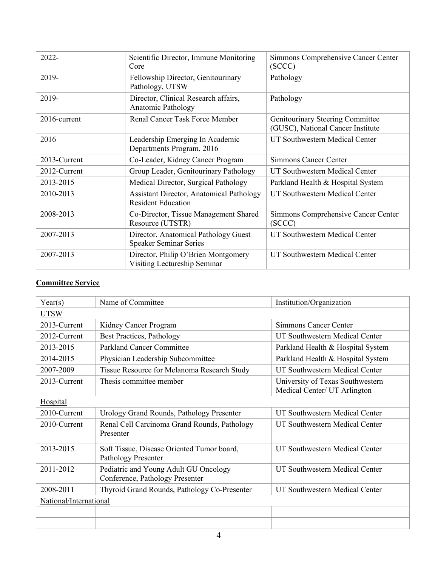| $2022 -$     | Scientific Director, Immune Monitoring<br>Core                               | Simmons Comprehensive Cancer Center<br>(SCCC)                         |
|--------------|------------------------------------------------------------------------------|-----------------------------------------------------------------------|
| 2019-        | Fellowship Director, Genitourinary<br>Pathology, UTSW                        | Pathology                                                             |
| 2019-        | Director, Clinical Research affairs,<br><b>Anatomic Pathology</b>            | Pathology                                                             |
| 2016-current | <b>Renal Cancer Task Force Member</b>                                        | Genitourinary Steering Committee<br>(GUSC), National Cancer Institute |
| 2016         | Leadership Emerging In Academic<br>Departments Program, 2016                 | UT Southwestern Medical Center                                        |
| 2013-Current | Co-Leader, Kidney Cancer Program                                             | <b>Simmons Cancer Center</b>                                          |
| 2012-Current | Group Leader, Genitourinary Pathology                                        | UT Southwestern Medical Center                                        |
| 2013-2015    | Medical Director, Surgical Pathology                                         | Parkland Health & Hospital System                                     |
| 2010-2013    | <b>Assistant Director, Anatomical Pathology</b><br><b>Resident Education</b> | UT Southwestern Medical Center                                        |
| 2008-2013    | Co-Director, Tissue Management Shared<br>Resource (UTSTR)                    | Simmons Comprehensive Cancer Center<br>(SCCC)                         |
| 2007-2013    | Director, Anatomical Pathology Guest<br><b>Speaker Seminar Series</b>        | UT Southwestern Medical Center                                        |
| 2007-2013    | Director, Philip O'Brien Montgomery<br>Visiting Lectureship Seminar          | UT Southwestern Medical Center                                        |

# **Committee Service**

| Year(s)                | Name of Committee                                                        | Institution/Organization                                         |
|------------------------|--------------------------------------------------------------------------|------------------------------------------------------------------|
| <b>UTSW</b>            |                                                                          |                                                                  |
| 2013-Current           | Kidney Cancer Program                                                    | <b>Simmons Cancer Center</b>                                     |
| 2012-Current           | <b>Best Practices, Pathology</b>                                         | UT Southwestern Medical Center                                   |
| 2013-2015              | <b>Parkland Cancer Committee</b>                                         | Parkland Health & Hospital System                                |
| 2014-2015              | Physician Leadership Subcommittee                                        | Parkland Health & Hospital System                                |
| 2007-2009              | Tissue Resource for Melanoma Research Study                              | UT Southwestern Medical Center                                   |
| 2013-Current           | Thesis committee member                                                  | University of Texas Southwestern<br>Medical Center/ UT Arlington |
| Hospital               |                                                                          |                                                                  |
| 2010-Current           | Urology Grand Rounds, Pathology Presenter                                | UT Southwestern Medical Center                                   |
| 2010-Current           | Renal Cell Carcinoma Grand Rounds, Pathology<br>Presenter                | UT Southwestern Medical Center                                   |
| 2013-2015              | Soft Tissue, Disease Oriented Tumor board,<br>Pathology Presenter        | UT Southwestern Medical Center                                   |
| 2011-2012              | Pediatric and Young Adult GU Oncology<br>Conference, Pathology Presenter | <b>UT Southwestern Medical Center</b>                            |
| 2008-2011              | Thyroid Grand Rounds, Pathology Co-Presenter                             | UT Southwestern Medical Center                                   |
| National/International |                                                                          |                                                                  |
|                        |                                                                          |                                                                  |
|                        |                                                                          |                                                                  |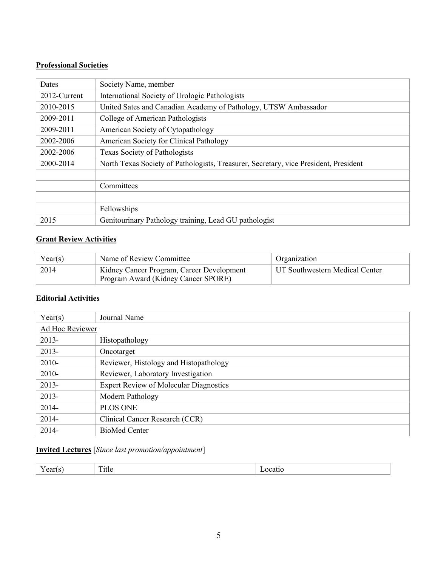## **Professional Societies**

| Dates        | Society Name, member                                                                 |
|--------------|--------------------------------------------------------------------------------------|
| 2012-Current | International Society of Urologic Pathologists                                       |
| 2010-2015    | United Sates and Canadian Academy of Pathology, UTSW Ambassador                      |
| 2009-2011    | College of American Pathologists                                                     |
| 2009-2011    | American Society of Cytopathology                                                    |
| 2002-2006    | American Society for Clinical Pathology                                              |
| 2002-2006    | Texas Society of Pathologists                                                        |
| 2000-2014    | North Texas Society of Pathologists, Treasurer, Secretary, vice President, President |
|              |                                                                                      |
|              | Committees                                                                           |
|              |                                                                                      |
|              | Fellowships                                                                          |
| 2015         | Genitourinary Pathology training, Lead GU pathologist                                |

## **Grant Review Activities**

| Year(s) | Name of Review Committee                  | Organization                   |
|---------|-------------------------------------------|--------------------------------|
| 2014    | Kidney Cancer Program, Career Development | UT Southwestern Medical Center |
|         | Program Award (Kidney Cancer SPORE)       |                                |

## **Editorial Activities**

| Year(s)         | Journal Name                                  |
|-----------------|-----------------------------------------------|
| Ad Hoc Reviewer |                                               |
| $2013-$         | Histopathology                                |
| $2013 -$        | Oncotarget                                    |
| $2010-$         | Reviewer, Histology and Histopathology        |
| $2010-$         | Reviewer, Laboratory Investigation            |
| $2013 -$        | <b>Expert Review of Molecular Diagnostics</b> |
| $2013 -$        | Modern Pathology                              |
| $2014 -$        | <b>PLOS ONE</b>                               |
| $2014 -$        | Clinical Cancer Research (CCR)                |
| 2014-           | <b>BioMed Center</b>                          |

# **Invited Lectures** [*Since last promotion/appointment*]

| $ -$<br>$- - - -$ | 1UL |  |
|-------------------|-----|--|
|                   |     |  |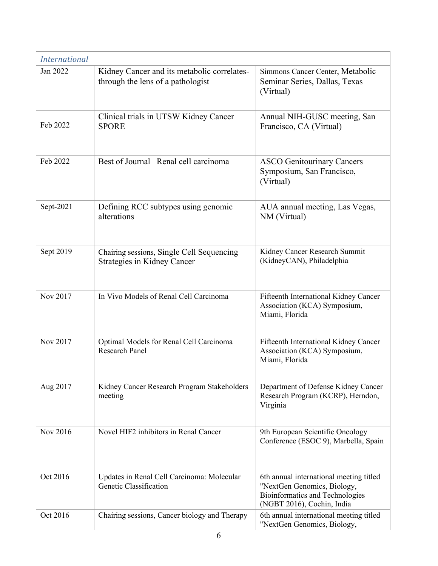| <b>International</b> |                                                                                  |                                                                                                                                         |
|----------------------|----------------------------------------------------------------------------------|-----------------------------------------------------------------------------------------------------------------------------------------|
| Jan 2022             | Kidney Cancer and its metabolic correlates-<br>through the lens of a pathologist | Simmons Cancer Center, Metabolic<br>Seminar Series, Dallas, Texas<br>(Virtual)                                                          |
| Feb 2022             | Clinical trials in UTSW Kidney Cancer<br><b>SPORE</b>                            | Annual NIH-GUSC meeting, San<br>Francisco, CA (Virtual)                                                                                 |
| Feb 2022             | Best of Journal – Renal cell carcinoma                                           | <b>ASCO Genitourinary Cancers</b><br>Symposium, San Francisco,<br>(Virtual)                                                             |
| Sept-2021            | Defining RCC subtypes using genomic<br>alterations                               | AUA annual meeting, Las Vegas,<br>NM (Virtual)                                                                                          |
| Sept 2019            | Chairing sessions, Single Cell Sequencing<br>Strategies in Kidney Cancer         | Kidney Cancer Research Summit<br>(KidneyCAN), Philadelphia                                                                              |
| Nov 2017             | In Vivo Models of Renal Cell Carcinoma                                           | Fifteenth International Kidney Cancer<br>Association (KCA) Symposium,<br>Miami, Florida                                                 |
| Nov 2017             | Optimal Models for Renal Cell Carcinoma<br><b>Research Panel</b>                 | Fifteenth International Kidney Cancer<br>Association (KCA) Symposium,<br>Miami, Florida                                                 |
| Aug 2017             | Kidney Cancer Research Program Stakeholders<br>meeting                           | Department of Defense Kidney Cancer<br>Research Program (KCRP), Herndon,<br>Virginia                                                    |
| Nov 2016             | Novel HIF2 inhibitors in Renal Cancer                                            | 9th European Scientific Oncology<br>Conference (ESOC 9), Marbella, Spain                                                                |
| Oct 2016             | Updates in Renal Cell Carcinoma: Molecular<br>Genetic Classification             | 6th annual international meeting titled<br>"NextGen Genomics, Biology,<br>Bioinformatics and Technologies<br>(NGBT 2016), Cochin, India |
| Oct 2016             | Chairing sessions, Cancer biology and Therapy                                    | 6th annual international meeting titled<br>"NextGen Genomics, Biology,                                                                  |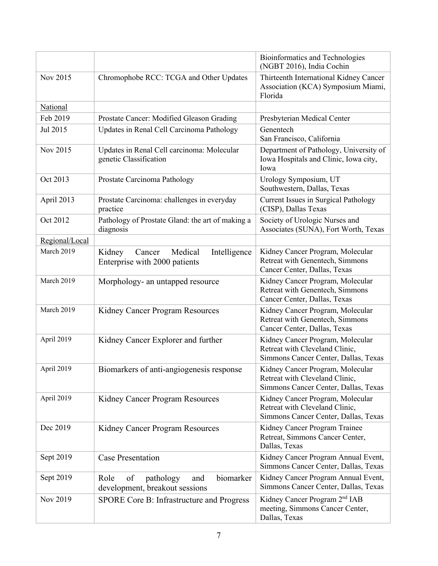|                |                                                                               | Bioinformatics and Technologies<br>(NGBT 2016), India Cochin                                               |
|----------------|-------------------------------------------------------------------------------|------------------------------------------------------------------------------------------------------------|
| Nov 2015       | Chromophobe RCC: TCGA and Other Updates                                       | Thirteenth International Kidney Cancer<br>Association (KCA) Symposium Miami,<br>Florida                    |
| National       |                                                                               |                                                                                                            |
| Feb 2019       | Prostate Cancer: Modified Gleason Grading                                     | Presbyterian Medical Center                                                                                |
| Jul 2015       | Updates in Renal Cell Carcinoma Pathology                                     | Genentech<br>San Francisco, California                                                                     |
| Nov 2015       | Updates in Renal Cell carcinoma: Molecular<br>genetic Classification          | Department of Pathology, University of<br>Iowa Hospitals and Clinic, Iowa city,<br>Iowa                    |
| Oct 2013       | Prostate Carcinoma Pathology                                                  | Urology Symposium, UT<br>Southwestern, Dallas, Texas                                                       |
| April 2013     | Prostate Carcinoma: challenges in everyday<br>practice                        | Current Issues in Surgical Pathology<br>(CISP), Dallas Texas                                               |
| Oct 2012       | Pathology of Prostate Gland: the art of making a<br>diagnosis                 | Society of Urologic Nurses and<br>Associates (SUNA), Fort Worth, Texas                                     |
| Regional/Local |                                                                               |                                                                                                            |
| March 2019     | Intelligence<br>Kidney<br>Medical<br>Cancer<br>Enterprise with 2000 patients  | Kidney Cancer Program, Molecular<br>Retreat with Genentech, Simmons<br>Cancer Center, Dallas, Texas        |
| March 2019     | Morphology- an untapped resource                                              | Kidney Cancer Program, Molecular<br>Retreat with Genentech, Simmons<br>Cancer Center, Dallas, Texas        |
| March 2019     | Kidney Cancer Program Resources                                               | Kidney Cancer Program, Molecular<br>Retreat with Genentech, Simmons<br>Cancer Center, Dallas, Texas        |
| April 2019     | Kidney Cancer Explorer and further                                            | Kidney Cancer Program, Molecular<br>Retreat with Cleveland Clinic,<br>Simmons Cancer Center, Dallas, Texas |
| April 2019     | Biomarkers of anti-angiogenesis response                                      | Kidney Cancer Program, Molecular<br>Retreat with Cleveland Clinic,<br>Simmons Cancer Center, Dallas, Texas |
| April 2019     | Kidney Cancer Program Resources                                               | Kidney Cancer Program, Molecular<br>Retreat with Cleveland Clinic,<br>Simmons Cancer Center, Dallas, Texas |
| Dec 2019       | Kidney Cancer Program Resources                                               | Kidney Cancer Program Trainee<br>Retreat, Simmons Cancer Center,<br>Dallas, Texas                          |
| Sept 2019      | <b>Case Presentation</b>                                                      | Kidney Cancer Program Annual Event,<br>Simmons Cancer Center, Dallas, Texas                                |
| Sept 2019      | of<br>biomarker<br>Role<br>pathology<br>and<br>development, breakout sessions | Kidney Cancer Program Annual Event,<br>Simmons Cancer Center, Dallas, Texas                                |
| Nov 2019       | SPORE Core B: Infrastructure and Progress                                     | Kidney Cancer Program 2 <sup>nd</sup> IAB<br>meeting, Simmons Cancer Center,<br>Dallas, Texas              |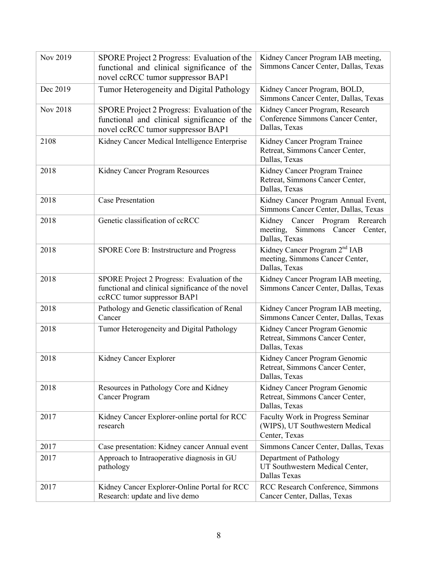| Nov 2019 | SPORE Project 2 Progress: Evaluation of the<br>functional and clinical significance of the<br>novel ccRCC tumor suppressor BAP1 | Kidney Cancer Program IAB meeting,<br>Simmons Cancer Center, Dallas, Texas                    |
|----------|---------------------------------------------------------------------------------------------------------------------------------|-----------------------------------------------------------------------------------------------|
| Dec 2019 | Tumor Heterogeneity and Digital Pathology                                                                                       | Kidney Cancer Program, BOLD,<br>Simmons Cancer Center, Dallas, Texas                          |
| Nov 2018 | SPORE Project 2 Progress: Evaluation of the<br>functional and clinical significance of the<br>novel ccRCC tumor suppressor BAP1 | Kidney Cancer Program, Research<br>Conference Simmons Cancer Center,<br>Dallas, Texas         |
| 2108     | Kidney Cancer Medical Intelligence Enterprise                                                                                   | Kidney Cancer Program Trainee<br>Retreat, Simmons Cancer Center,<br>Dallas, Texas             |
| 2018     | Kidney Cancer Program Resources                                                                                                 | Kidney Cancer Program Trainee<br>Retreat, Simmons Cancer Center,<br>Dallas, Texas             |
| 2018     | <b>Case Presentation</b>                                                                                                        | Kidney Cancer Program Annual Event,<br>Simmons Cancer Center, Dallas, Texas                   |
| 2018     | Genetic classification of ccRCC                                                                                                 | Cancer Program Rerearch<br>Kidney<br>Simmons Cancer Center,<br>meeting,<br>Dallas, Texas      |
| 2018     | SPORE Core B: Instrstructure and Progress                                                                                       | Kidney Cancer Program 2 <sup>nd</sup> IAB<br>meeting, Simmons Cancer Center,<br>Dallas, Texas |
| 2018     | SPORE Project 2 Progress: Evaluation of the<br>functional and clinical significance of the novel<br>ccRCC tumor suppressor BAP1 | Kidney Cancer Program IAB meeting,<br>Simmons Cancer Center, Dallas, Texas                    |
| 2018     | Pathology and Genetic classification of Renal<br>Cancer                                                                         | Kidney Cancer Program IAB meeting,<br>Simmons Cancer Center, Dallas, Texas                    |
| 2018     | Tumor Heterogeneity and Digital Pathology                                                                                       | Kidney Cancer Program Genomic<br>Retreat, Simmons Cancer Center,<br>Dallas, Texas             |
| 2018     | Kidney Cancer Explorer                                                                                                          | Kidney Cancer Program Genomic<br>Retreat, Simmons Cancer Center,<br>Dallas, Texas             |
| 2018     | Resources in Pathology Core and Kidney<br><b>Cancer Program</b>                                                                 | Kidney Cancer Program Genomic<br>Retreat, Simmons Cancer Center,<br>Dallas, Texas             |
| 2017     | Kidney Cancer Explorer-online portal for RCC<br>research                                                                        | Faculty Work in Progress Seminar<br>(WIPS), UT Southwestern Medical<br>Center, Texas          |
| 2017     | Case presentation: Kidney cancer Annual event                                                                                   | Simmons Cancer Center, Dallas, Texas                                                          |
| 2017     | Approach to Intraoperative diagnosis in GU<br>pathology                                                                         | Department of Pathology<br>UT Southwestern Medical Center,<br>Dallas Texas                    |
| 2017     | Kidney Cancer Explorer-Online Portal for RCC<br>Research: update and live demo                                                  | RCC Research Conference, Simmons<br>Cancer Center, Dallas, Texas                              |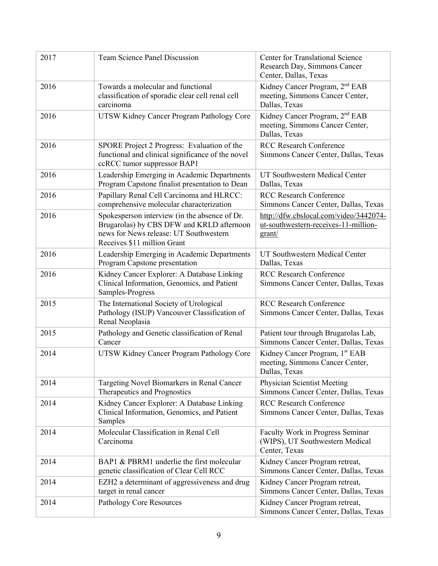| 2017 | <b>Team Science Panel Discussion</b>                                                                                                                                | <b>Center for Translational Science</b><br>Research Day, Simmons Cancer<br>Center, Dallas, Texas |
|------|---------------------------------------------------------------------------------------------------------------------------------------------------------------------|--------------------------------------------------------------------------------------------------|
| 2016 | Towards a molecular and functional<br>classification of sporadic clear cell renal cell<br>carcinoma                                                                 | Kidney Cancer Program, 2 <sup>nd</sup> EAB<br>meeting, Simmons Cancer Center,<br>Dallas, Texas   |
| 2016 | UTSW Kidney Cancer Program Pathology Core                                                                                                                           | Kidney Cancer Program, 2 <sup>nd</sup> EAB<br>meeting, Simmons Cancer Center,<br>Dallas, Texas   |
| 2016 | SPORE Project 2 Progress: Evaluation of the<br>functional and clinical significance of the novel<br>ccRCC tumor suppressor BAP1                                     | <b>RCC Research Conference</b><br>Simmons Cancer Center, Dallas, Texas                           |
| 2016 | Leadership Emerging in Academic Departments<br>Program Capstone finalist presentation to Dean                                                                       | UT Southwestern Medical Center<br>Dallas, Texas                                                  |
| 2016 | Papillary Renal Cell Carcinoma and HLRCC:<br>comprehensive molecular characterization                                                                               | <b>RCC Research Conference</b><br>Simmons Cancer Center, Dallas, Texas                           |
| 2016 | Spokesperson interview (in the absence of Dr.<br>Brugarolas) by CBS DFW and KRLD afternoon<br>news for News release: UT Southwestern<br>Receives \$11 million Grant | http://dfw.cbslocal.com/video/3442074-<br>ut-southwestern-receives-11-million-<br>grant/         |
| 2016 | Leadership Emerging in Academic Departments<br>Program Capstone presentation                                                                                        | UT Southwestern Medical Center<br>Dallas, Texas                                                  |
| 2016 | Kidney Cancer Explorer: A Database Linking<br>Clinical Information, Genomics, and Patient<br>Samples-Progress                                                       | <b>RCC Research Conference</b><br>Simmons Cancer Center, Dallas, Texas                           |
| 2015 | The International Society of Urological<br>Pathology (ISUP) Vancouver Classification of<br>Renal Neoplasia                                                          | <b>RCC Research Conference</b><br>Simmons Cancer Center, Dallas, Texas                           |
| 2015 | Pathology and Genetic classification of Renal<br>Cancer                                                                                                             | Patient tour through Brugarolas Lab,<br>Simmons Cancer Center, Dallas, Texas                     |
| 2014 | UTSW Kidney Cancer Program Pathology Core                                                                                                                           | Kidney Cancer Program, 1st EAB<br>meeting, Simmons Cancer Center,<br>Dallas, Texas               |
| 2014 | Targeting Novel Biomarkers in Renal Cancer<br>Therapeutics and Prognostics                                                                                          | Physician Scientist Meeting<br>Simmons Cancer Center, Dallas, Texas                              |
| 2014 | Kidney Cancer Explorer: A Database Linking<br>Clinical Information, Genomics, and Patient<br>Samples                                                                | <b>RCC Research Conference</b><br>Simmons Cancer Center, Dallas, Texas                           |
| 2014 | Molecular Classification in Renal Cell<br>Carcinoma                                                                                                                 | Faculty Work in Progress Seminar<br>(WIPS), UT Southwestern Medical<br>Center, Texas             |
| 2014 | BAP1 & PBRM1 underlie the first molecular<br>genetic classification of Clear Cell RCC                                                                               | Kidney Cancer Program retreat,<br>Simmons Cancer Center, Dallas, Texas                           |
| 2014 | EZH2 a determinant of aggressiveness and drug<br>target in renal cancer                                                                                             | Kidney Cancer Program retreat,<br>Simmons Cancer Center, Dallas, Texas                           |
| 2014 | Pathology Core Resources                                                                                                                                            | Kidney Cancer Program retreat,<br>Simmons Cancer Center, Dallas, Texas                           |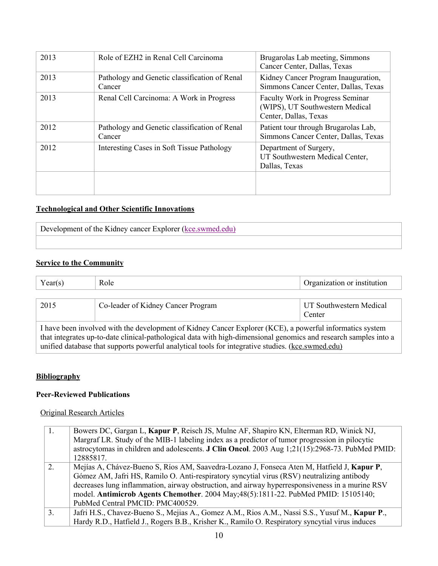| 2013 | Role of EZH2 in Renal Cell Carcinoma                    | Brugarolas Lab meeting, Simmons<br>Cancer Center, Dallas, Texas                              |
|------|---------------------------------------------------------|----------------------------------------------------------------------------------------------|
| 2013 | Pathology and Genetic classification of Renal<br>Cancer | Kidney Cancer Program Inauguration,<br>Simmons Cancer Center, Dallas, Texas                  |
| 2013 | Renal Cell Carcinoma: A Work in Progress                | Faculty Work in Progress Seminar<br>(WIPS), UT Southwestern Medical<br>Center, Dallas, Texas |
| 2012 | Pathology and Genetic classification of Renal<br>Cancer | Patient tour through Brugarolas Lab,<br>Simmons Cancer Center, Dallas, Texas                 |
| 2012 | Interesting Cases in Soft Tissue Pathology              | Department of Surgery,<br>UT Southwestern Medical Center,<br>Dallas, Texas                   |
|      |                                                         |                                                                                              |

## **Technological and Other Scientific Innovations**

Development of the Kidney cancer Explorer (kce.swmed.edu)

### **Service to the Community**

| Year(s)                                                                                                                                                                                                                                                                                                                           | Role                               | Organization or institution       |
|-----------------------------------------------------------------------------------------------------------------------------------------------------------------------------------------------------------------------------------------------------------------------------------------------------------------------------------|------------------------------------|-----------------------------------|
|                                                                                                                                                                                                                                                                                                                                   |                                    |                                   |
| 2015                                                                                                                                                                                                                                                                                                                              | Co-leader of Kidney Cancer Program | UT Southwestern Medical<br>Center |
| I have been involved with the development of Kidney Cancer Explorer (KCE), a powerful informatics system<br>that integrates up-to-date clinical-pathological data with high-dimensional genomics and research samples into a<br>unified database that supports powerful analytical tools for integrative studies. (kce.swmed.edu) |                                    |                                   |

## **Bibliography**

## **Peer-Reviewed Publications**

Original Research Articles

| 1. | Bowers DC, Gargan L, Kapur P, Reisch JS, Mulne AF, Shapiro KN, Elterman RD, Winick NJ,                  |
|----|---------------------------------------------------------------------------------------------------------|
|    | Margraf LR. Study of the MIB-1 labeling index as a predictor of tumor progression in pilocytic          |
|    | astrocytomas in children and adolescents. <b>J Clin Oncol</b> . 2003 Aug 1;21(15):2968-73. PubMed PMID: |
|    | 12885817.                                                                                               |
| 2. | Mejías A, Chávez-Bueno S, Ríos AM, Saavedra-Lozano J, Fonseca Aten M, Hatfield J, Kapur P,              |
|    | Gómez AM, Jafri HS, Ramilo O. Anti-respiratory syncytial virus (RSV) neutralizing antibody              |
|    | decreases lung inflammation, airway obstruction, and airway hyperresponsiveness in a murine RSV         |
|    | model. Antimicrob Agents Chemother. 2004 May; 48(5):1811-22. PubMed PMID: 15105140;                     |
|    | PubMed Central PMCID: PMC400529.                                                                        |
| 3. | Jafri H.S., Chavez-Bueno S., Mejias A., Gomez A.M., Rios A.M., Nassi S.S., Yusuf M., Kapur P.,          |
|    | Hardy R.D., Hatfield J., Rogers B.B., Krisher K., Ramilo O. Respiratory syncytial virus induces         |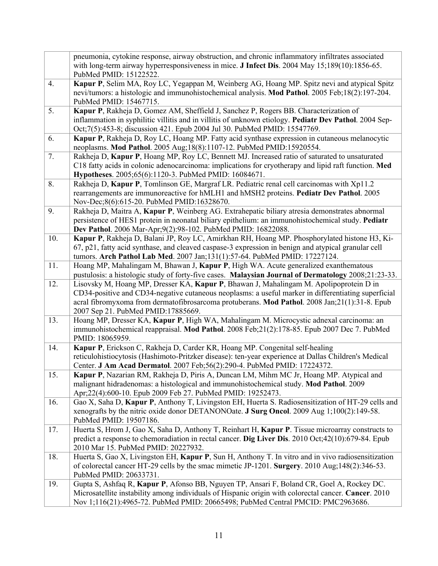|     | pneumonia, cytokine response, airway obstruction, and chronic inflammatory infiltrates associated<br>with long-term airway hyperresponsiveness in mice. J Infect Dis. 2004 May 15;189(10):1856-65.<br>PubMed PMID: 15122522.                                                                                                         |
|-----|--------------------------------------------------------------------------------------------------------------------------------------------------------------------------------------------------------------------------------------------------------------------------------------------------------------------------------------|
| 4.  | Kapur P, Selim MA, Roy LC, Yegappan M, Weinberg AG, Hoang MP. Spitz nevi and atypical Spitz<br>nevi/tumors: a histologic and immunohistochemical analysis. Mod Pathol. 2005 Feb;18(2):197-204.<br>PubMed PMID: 15467715.                                                                                                             |
| 5.  | Kapur P, Rakheja D, Gomez AM, Sheffield J, Sanchez P, Rogers BB. Characterization of<br>inflammation in syphilitic villitis and in villitis of unknown etiology. Pediatr Dev Pathol. 2004 Sep-<br>Oct;7(5):453-8; discussion 421. Epub 2004 Jul 30. PubMed PMID: 15547769.                                                           |
| 6.  | Kapur P, Rakheja D, Roy LC, Hoang MP. Fatty acid synthase expression in cutaneous melanocytic<br>neoplasms. Mod Pathol. 2005 Aug;18(8):1107-12. PubMed PMID:15920554.                                                                                                                                                                |
| 7.  | Rakheja D, Kapur P, Hoang MP, Roy LC, Bennett MJ. Increased ratio of saturated to unsaturated<br>C18 fatty acids in colonic adenocarcinoma: implications for cryotherapy and lipid raft function. Med<br>Hypotheses. 2005;65(6):1120-3. PubMed PMID: 16084671.                                                                       |
| 8.  | Rakheja D, Kapur P, Tomlinson GE, Margraf LR. Pediatric renal cell carcinomas with Xp11.2<br>rearrangements are immunoreactive for hMLH1 and hMSH2 proteins. Pediatr Dev Pathol. 2005<br>Nov-Dec;8(6):615-20. PubMed PMID:16328670.                                                                                                  |
| 9.  | Rakheja D, Maitra A, Kapur P, Weinberg AG. Extrahepatic biliary atresia demonstrates abnormal<br>persistence of HES1 protein in neonatal biliary epithelium: an immunohistochemical study. Pediatr<br>Dev Pathol. 2006 Mar-Apr;9(2):98-102. PubMed PMID: 16822088.                                                                   |
| 10. | Kapur P, Rakheja D, Balani JP, Roy LC, Amirkhan RH, Hoang MP. Phosphorylated histone H3, Ki-<br>67, p21, fatty acid synthase, and cleaved caspase-3 expression in benign and atypical granular cell<br>tumors. Arch Pathol Lab Med. 2007 Jan;131(1):57-64. PubMed PMID: 17227124.                                                    |
| 11. | Hoang MP, Mahalingam M, Bhawan J, Kapur P, High WA. Acute generalized exanthematous<br>pustulosis: a histologic study of forty-five cases. Malaysian Journal of Dermatology 2008;21:23-33.                                                                                                                                           |
| 12. | Lisovsky M, Hoang MP, Dresser KA, Kapur P, Bhawan J, Mahalingam M. Apolipoprotein D in<br>CD34-positive and CD34-negative cutaneous neoplasms: a useful marker in differentiating superficial<br>acral fibromyxoma from dermatofibrosarcoma protuberans. Mod Pathol. 2008 Jan;21(1):31-8. Epub<br>2007 Sep 21. PubMed PMID:17885669. |
| 13. | Hoang MP, Dresser KA, Kapur P, High WA, Mahalingam M. Microcystic adnexal carcinoma: an<br>immunohistochemical reappraisal. Mod Pathol. 2008 Feb;21(2):178-85. Epub 2007 Dec 7. PubMed<br>PMID: 18065959.                                                                                                                            |
| 14. | Kapur P, Erickson C, Rakheja D, Carder KR, Hoang MP. Congenital self-healing<br>reticulohistiocytosis (Hashimoto-Pritzker disease): ten-year experience at Dallas Children's Medical<br>Center. J Am Acad Dermatol. 2007 Feb;56(2):290-4. PubMed PMID: 17224372.                                                                     |
| 15. | <b>Kapur P</b> , Nazarian RM, Rakheja D, Piris A, Duncan LM, Mihm MC Jr, Hoang MP. Atypical and<br>malignant hidradenomas: a histological and immunohistochemical study. Mod Pathol. 2009<br>Apr;22(4):600-10. Epub 2009 Feb 27. PubMed PMID: 19252473.                                                                              |
| 16. | Gao X, Saha D, Kapur P, Anthony T, Livingston EH, Huerta S. Radiosensitization of HT-29 cells and<br>xenografts by the nitric oxide donor DETANONOate. J Surg Oncol. 2009 Aug 1;100(2):149-58.<br>PubMed PMID: 19507186.                                                                                                             |
| 17. | Huerta S, Hrom J, Gao X, Saha D, Anthony T, Reinhart H, Kapur P. Tissue microarray constructs to<br>predict a response to chemoradiation in rectal cancer. Dig Liver Dis. 2010 Oct;42(10):679-84. Epub<br>2010 Mar 15. PubMed PMID: 20227932.                                                                                        |
| 18. | Huerta S, Gao X, Livingston EH, Kapur P, Sun H, Anthony T. In vitro and in vivo radiosensitization<br>of colorectal cancer HT-29 cells by the smac mimetic JP-1201. Surgery. 2010 Aug;148(2):346-53.<br>PubMed PMID: 20633731.                                                                                                       |
| 19. | Gupta S, Ashfaq R, Kapur P, Afonso BB, Nguyen TP, Ansari F, Boland CR, Goel A, Rockey DC.<br>Microsatellite instability among individuals of Hispanic origin with colorectal cancer. Cancer. 2010<br>Nov 1;116(21):4965-72. PubMed PMID: 20665498; PubMed Central PMCID: PMC2963686.                                                 |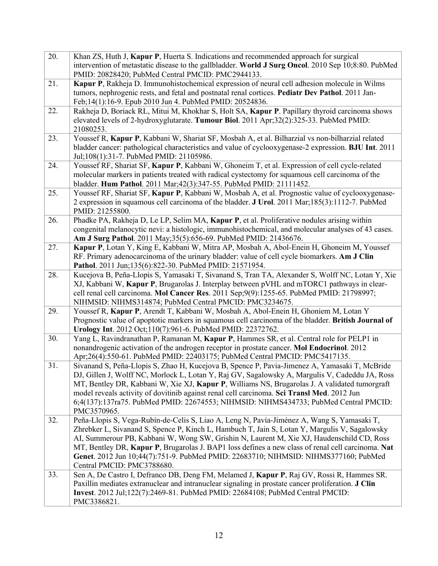| 20. | Khan ZS, Huth J, Kapur P, Huerta S. Indications and recommended approach for surgical<br>intervention of metastatic disease to the gallbladder. World J Surg Oncol. 2010 Sep 10;8:80. PubMed<br>PMID: 20828420; PubMed Central PMCID: PMC2944133.                                                                                                                                                                                                                                                                  |
|-----|--------------------------------------------------------------------------------------------------------------------------------------------------------------------------------------------------------------------------------------------------------------------------------------------------------------------------------------------------------------------------------------------------------------------------------------------------------------------------------------------------------------------|
| 21. | Kapur P, Rakheja D. Immunohistochemical expression of neural cell adhesion molecule in Wilms<br>tumors, nephrogenic rests, and fetal and postnatal renal cortices. Pediatr Dev Pathol. 2011 Jan-<br>Feb;14(1):16-9. Epub 2010 Jun 4. PubMed PMID: 20524836.                                                                                                                                                                                                                                                        |
| 22. | Rakheja D, Boriack RL, Mitui M, Khokhar S, Holt SA, Kapur P. Papillary thyroid carcinoma shows<br>elevated levels of 2-hydroxyglutarate. Tumour Biol. 2011 Apr;32(2):325-33. PubMed PMID:<br>21080253.                                                                                                                                                                                                                                                                                                             |
| 23. | Youssef R, Kapur P, Kabbani W, Shariat SF, Mosbah A, et al. Bilharzial vs non-bilharzial related<br>bladder cancer: pathological characteristics and value of cyclooxygenase-2 expression. BJU Int. 2011<br>Jul;108(1):31-7. PubMed PMID: 21105986.                                                                                                                                                                                                                                                                |
| 24. | Youssef RF, Shariat SF, Kapur P, Kabbani W, Ghoneim T, et al. Expression of cell cycle-related<br>molecular markers in patients treated with radical cystectomy for squamous cell carcinoma of the<br>bladder. Hum Pathol. 2011 Mar; 42(3): 347-55. PubMed PMID: 21111452.                                                                                                                                                                                                                                         |
| 25. | Youssef RF, Shariat SF, Kapur P, Kabbani W, Mosbah A, et al. Prognostic value of cyclooxygenase-<br>2 expression in squamous cell carcinoma of the bladder. J Urol. 2011 Mar;185(3):1112-7. PubMed<br>PMID: 21255800.                                                                                                                                                                                                                                                                                              |
| 26. | Phadke PA, Rakheja D, Le LP, Selim MA, Kapur P, et al. Proliferative nodules arising within<br>congenital melanocytic nevi: a histologic, immunohistochemical, and molecular analyses of 43 cases.<br>Am J Surg Pathol. 2011 May; 35(5): 656-69. PubMed PMID: 21436676.                                                                                                                                                                                                                                            |
| 27. | Kapur P, Lotan Y, King E, Kabbani W, Mitra AP, Mosbah A, Abol-Enein H, Ghoneim M, Youssef<br>RF. Primary adenocarcinoma of the urinary bladder: value of cell cycle biomarkers. Am J Clin<br>Pathol. 2011 Jun;135(6):822-30. PubMed PMID: 21571954.                                                                                                                                                                                                                                                                |
| 28. | Kucejova B, Peña-Llopis S, Yamasaki T, Sivanand S, Tran TA, Alexander S, Wolff NC, Lotan Y, Xie<br>XJ, Kabbani W, Kapur P, Brugarolas J. Interplay between pVHL and mTORC1 pathways in clear-<br>cell renal cell carcinoma. Mol Cancer Res. 2011 Sep;9(9):1255-65. PubMed PMID: 21798997;<br>NIHMSID: NIHMS314874; PubMed Central PMCID: PMC3234675.                                                                                                                                                               |
| 29. | Youssef R, Kapur P, Arendt T, Kabbani W, Mosbah A, Abol-Enein H, Ghoniem M, Lotan Y<br>Prognostic value of apoptotic markers in squamous cell carcinoma of the bladder. British Journal of<br>Urology Int. 2012 Oct;110(7):961-6. PubMed PMID: 22372762.                                                                                                                                                                                                                                                           |
| 30. | Yang L, Ravindranathan P, Ramanan M, Kapur P, Hammes SR, et al. Central role for PELP1 in<br>nonandrogenic activation of the androgen receptor in prostate cancer. Mol Endocrinol. 2012<br>Apr;26(4):550-61. PubMed PMID: 22403175; PubMed Central PMCID: PMC5417135.                                                                                                                                                                                                                                              |
| 31. | Sivanand S, Peña-Llopis S, Zhao H, Kucejova B, Spence P, Pavia-Jimenez A, Yamasaki T, McBride<br>DJ, Gillen J, Wolff NC, Morlock L, Lotan Y, Raj GV, Sagalowsky A, Margulis V, Cadeddu JA, Ross<br>MT, Bentley DR, Kabbani W, Xie XJ, Kapur P, Williams NS, Brugarolas J. A validated tumorgraft<br>model reveals activity of dovitinib against renal cell carcinoma. Sci Transl Med. 2012 Jun<br>6;4(137):137ra75. PubMed PMID: 22674553; NIHMSID: NIHMS434733; PubMed Central PMCID:<br>PMC3570965.              |
| 32. | Peña-Llopis S, Vega-Rubín-de-Celis S, Liao A, Leng N, Pavía-Jiménez A, Wang S, Yamasaki T,<br>Zhrebker L, Sivanand S, Spence P, Kinch L, Hambuch T, Jain S, Lotan Y, Margulis V, Sagalowsky<br>AI, Summerour PB, Kabbani W, Wong SW, Grishin N, Laurent M, Xie XJ, Haudenschild CD, Ross<br>MT, Bentley DR, Kapur P, Brugarolas J. BAP1 loss defines a new class of renal cell carcinoma. Nat<br>Genet. 2012 Jun 10;44(7):751-9. PubMed PMID: 22683710; NIHMSID: NIHMS377160; PubMed<br>Central PMCID: PMC3788680. |
| 33. | Sen A, De Castro I, Defranco DB, Deng FM, Melamed J, Kapur P, Raj GV, Rossi R, Hammes SR.<br>Paxillin mediates extranuclear and intranuclear signaling in prostate cancer proliferation. J Clin<br>Invest. 2012 Jul;122(7):2469-81. PubMed PMID: 22684108; PubMed Central PMCID:<br>PMC3386821.                                                                                                                                                                                                                    |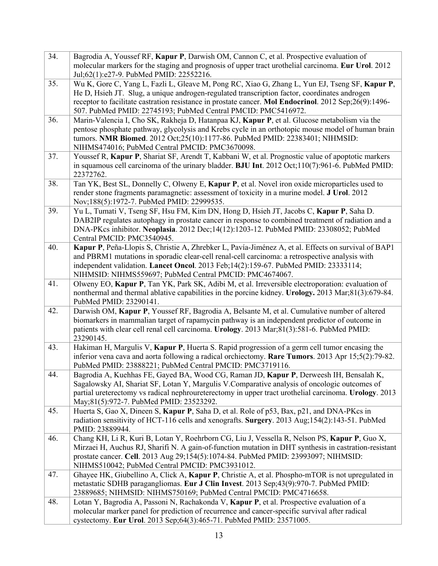| 34. | Bagrodia A, Youssef RF, Kapur P, Darwish OM, Cannon C, et al. Prospective evaluation of<br>molecular markers for the staging and prognosis of upper tract urothelial carcinoma. Eur Urol. 2012<br>Jul;62(1):e27-9. PubMed PMID: 22552216.                                                                                                                               |
|-----|-------------------------------------------------------------------------------------------------------------------------------------------------------------------------------------------------------------------------------------------------------------------------------------------------------------------------------------------------------------------------|
| 35. | Wu K, Gore C, Yang L, Fazli L, Gleave M, Pong RC, Xiao G, Zhang L, Yun EJ, Tseng SF, Kapur P,<br>He D, Hsieh JT. Slug, a unique androgen-regulated transcription factor, coordinates androgen<br>receptor to facilitate castration resistance in prostate cancer. Mol Endocrinol. 2012 Sep;26(9):1496-<br>507. PubMed PMID: 22745193; PubMed Central PMCID: PMC5416972. |
| 36. | Marin-Valencia I, Cho SK, Rakheja D, Hatanpaa KJ, Kapur P, et al. Glucose metabolism via the<br>pentose phosphate pathway, glycolysis and Krebs cycle in an orthotopic mouse model of human brain<br>tumors. NMR Biomed. 2012 Oct;25(10):1177-86. PubMed PMID: 22383401; NIHMSID:<br>NIHMS474016; PubMed Central PMCID: PMC3670098.                                     |
| 37. | Youssef R, Kapur P, Shariat SF, Arendt T, Kabbani W, et al. Prognostic value of apoptotic markers<br>in squamous cell carcinoma of the urinary bladder. BJU Int. 2012 Oct;110(7):961-6. PubMed PMID:<br>22372762.                                                                                                                                                       |
| 38. | Tan YK, Best SL, Donnelly C, Olweny E, Kapur P, et al. Novel iron oxide microparticles used to<br>render stone fragments paramagnetic: assessment of toxicity in a murine model. J Urol. 2012<br>Nov;188(5):1972-7. PubMed PMID: 22999535.                                                                                                                              |
| 39. | Yu L, Tumati V, Tseng SF, Hsu FM, Kim DN, Hong D, Hsieh JT, Jacobs C, Kapur P, Saha D.<br>DAB2IP regulates autophagy in prostate cancer in response to combined treatment of radiation and a<br>DNA-PKcs inhibitor. Neoplasia. 2012 Dec;14(12):1203-12. PubMed PMID: 23308052; PubMed<br>Central PMCID: PMC3540945.                                                     |
| 40. | Kapur P, Peña-Llopis S, Christie A, Zhrebker L, Pavía-Jiménez A, et al. Effects on survival of BAP1<br>and PBRM1 mutations in sporadic clear-cell renal-cell carcinoma: a retrospective analysis with<br>independent validation. Lancet Oncol. 2013 Feb;14(2):159-67. PubMed PMID: 23333114;<br>NIHMSID: NIHMS559697; PubMed Central PMCID: PMC4674067.                 |
| 41. | Olweny EO, Kapur P, Tan YK, Park SK, Adibi M, et al. Irreversible electroporation: evaluation of<br>nonthermal and thermal ablative capabilities in the porcine kidney. Urology. 2013 Mar;81(3):679-84.<br>PubMed PMID: 23290141.                                                                                                                                       |
| 42. | Darwish OM, Kapur P, Youssef RF, Bagrodia A, Belsante M, et al. Cumulative number of altered<br>biomarkers in mammalian target of rapamycin pathway is an independent predictor of outcome in<br>patients with clear cell renal cell carcinoma. Urology. 2013 Mar;81(3):581-6. PubMed PMID:<br>23290145.                                                                |
| 43. | Hakiman H, Margulis V, Kapur P, Huerta S. Rapid progression of a germ cell tumor encasing the<br>inferior vena cava and aorta following a radical orchiectomy. Rare Tumors. 2013 Apr 15;5(2):79-82.<br>PubMed PMID: 23888221; PubMed Central PMCID: PMC3719116.                                                                                                         |
| 44. | Bagrodia A, Kuehhas FE, Gayed BA, Wood CG, Raman JD, Kapur P, Derweesh IH, Bensalah K,<br>Sagalowsky AI, Shariat SF, Lotan Y, Margulis V.Comparative analysis of oncologic outcomes of<br>partial ureterectomy vs radical nephroureterectomy in upper tract urothelial carcinoma. Urology. 2013<br>May;81(5):972-7. PubMed PMID: 23523292.                              |
| 45. | Huerta S, Gao X, Dineen S, Kapur P, Saha D, et al. Role of p53, Bax, p21, and DNA-PKcs in<br>radiation sensitivity of HCT-116 cells and xenografts. Surgery. 2013 Aug;154(2):143-51. PubMed<br>PMID: 23889944.                                                                                                                                                          |
| 46. | Chang KH, Li R, Kuri B, Lotan Y, Roehrborn CG, Liu J, Vessella R, Nelson PS, Kapur P, Guo X,<br>Mirzaei H, Auchus RJ, Sharifi N. A gain-of-function mutation in DHT synthesis in castration-resistant<br>prostate cancer. Cell. 2013 Aug 29;154(5):1074-84. PubMed PMID: 23993097; NIHMSID:<br>NIHMS510042; PubMed Central PMCID: PMC3931012.                           |
| 47. | Ghayee HK, Giubellino A, Click A, Kapur P, Christie A, et al. Phospho-mTOR is not upregulated in<br>metastatic SDHB paragangliomas. Eur J Clin Invest. 2013 Sep;43(9):970-7. PubMed PMID:<br>23889685; NIHMSID: NIHMS750169; PubMed Central PMCID: PMC4716658.                                                                                                          |
| 48. | Lotan Y, Bagrodia A, Passoni N, Rachakonda V, Kapur P, et al. Prospective evaluation of a<br>molecular marker panel for prediction of recurrence and cancer-specific survival after radical<br>cystectomy. Eur Urol. 2013 Sep;64(3):465-71. PubMed PMID: 23571005.                                                                                                      |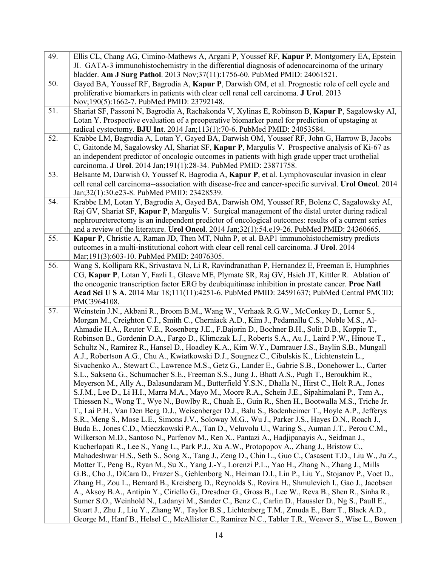| 49. | Ellis CL, Chang AG, Cimino-Mathews A, Argani P, Youssef RF, Kapur P, Montgomery EA, Epstein<br>JI. GATA-3 immunohistochemistry in the differential diagnosis of adenocarcinoma of the urinary<br>bladder. Am J Surg Pathol. 2013 Nov;37(11):1756-60. PubMed PMID: 24061521.                                                                                                                                                                                                                                                                                                                                                                                                                                                                                                                                                                                                                                                                                                                                                                                                                                                                                                                                                                                                                                                                                                                                                                                                                                                                                                                                                                                                                                                                                                                                                                                                                                                                                                                                                                                                                                                                                                                                                                                                                                                                                                                                                                                      |
|-----|------------------------------------------------------------------------------------------------------------------------------------------------------------------------------------------------------------------------------------------------------------------------------------------------------------------------------------------------------------------------------------------------------------------------------------------------------------------------------------------------------------------------------------------------------------------------------------------------------------------------------------------------------------------------------------------------------------------------------------------------------------------------------------------------------------------------------------------------------------------------------------------------------------------------------------------------------------------------------------------------------------------------------------------------------------------------------------------------------------------------------------------------------------------------------------------------------------------------------------------------------------------------------------------------------------------------------------------------------------------------------------------------------------------------------------------------------------------------------------------------------------------------------------------------------------------------------------------------------------------------------------------------------------------------------------------------------------------------------------------------------------------------------------------------------------------------------------------------------------------------------------------------------------------------------------------------------------------------------------------------------------------------------------------------------------------------------------------------------------------------------------------------------------------------------------------------------------------------------------------------------------------------------------------------------------------------------------------------------------------------------------------------------------------------------------------------------------------|
| 50. | Gayed BA, Youssef RF, Bagrodia A, Kapur P, Darwish OM, et al. Prognostic role of cell cycle and<br>proliferative biomarkers in patients with clear cell renal cell carcinoma. J Urol. 2013<br>Nov;190(5):1662-7. PubMed PMID: 23792148.                                                                                                                                                                                                                                                                                                                                                                                                                                                                                                                                                                                                                                                                                                                                                                                                                                                                                                                                                                                                                                                                                                                                                                                                                                                                                                                                                                                                                                                                                                                                                                                                                                                                                                                                                                                                                                                                                                                                                                                                                                                                                                                                                                                                                          |
| 51. | Shariat SF, Passoni N, Bagrodia A, Rachakonda V, Xylinas E, Robinson B, Kapur P, Sagalowsky AI,<br>Lotan Y. Prospective evaluation of a preoperative biomarker panel for prediction of upstaging at<br>radical cystectomy. BJU Int. 2014 Jan;113(1):70-6. PubMed PMID: 24053584.                                                                                                                                                                                                                                                                                                                                                                                                                                                                                                                                                                                                                                                                                                                                                                                                                                                                                                                                                                                                                                                                                                                                                                                                                                                                                                                                                                                                                                                                                                                                                                                                                                                                                                                                                                                                                                                                                                                                                                                                                                                                                                                                                                                 |
| 52. | Krabbe LM, Bagrodia A, Lotan Y, Gayed BA, Darwish OM, Youssef RF, John G, Harrow B, Jacobs<br>C, Gaitonde M, Sagalowsky AI, Shariat SF, Kapur P, Margulis V. Prospective analysis of Ki-67 as<br>an independent predictor of oncologic outcomes in patients with high grade upper tract urothelial<br>carcinoma. J Urol. 2014 Jan; 191(1):28-34. PubMed PMID: 23871758.                                                                                                                                                                                                                                                                                                                                                                                                                                                                                                                                                                                                                                                                                                                                                                                                                                                                                                                                                                                                                                                                                                                                                                                                                                                                                                                                                                                                                                                                                                                                                                                                                                                                                                                                                                                                                                                                                                                                                                                                                                                                                          |
| 53. | Belsante M, Darwish O, Youssef R, Bagrodia A, Kapur P, et al. Lymphovascular invasion in clear<br>cell renal cell carcinoma--association with disease-free and cancer-specific survival. Urol Oncol. 2014<br>Jan; 32(1): 30. e23-8. PubMed PMID: 23428539.                                                                                                                                                                                                                                                                                                                                                                                                                                                                                                                                                                                                                                                                                                                                                                                                                                                                                                                                                                                                                                                                                                                                                                                                                                                                                                                                                                                                                                                                                                                                                                                                                                                                                                                                                                                                                                                                                                                                                                                                                                                                                                                                                                                                       |
| 54. | Krabbe LM, Lotan Y, Bagrodia A, Gayed BA, Darwish OM, Youssef RF, Bolenz C, Sagalowsky AI,<br>Raj GV, Shariat SF, Kapur P, Margulis V. Surgical management of the distal ureter during radical<br>nephroureterectomy is an independent predictor of oncological outcomes: results of a current series<br>and a review of the literature. Urol Oncol. 2014 Jan;32(1):54.e19-26. PubMed PMID: 24360665.                                                                                                                                                                                                                                                                                                                                                                                                                                                                                                                                                                                                                                                                                                                                                                                                                                                                                                                                                                                                                                                                                                                                                                                                                                                                                                                                                                                                                                                                                                                                                                                                                                                                                                                                                                                                                                                                                                                                                                                                                                                            |
| 55. | <b>Kapur P,</b> Christie A, Raman JD, Then MT, Nuhn P, et al. BAP1 immunohistochemistry predicts<br>outcomes in a multi-institutional cohort with clear cell renal cell carcinoma. J Urol. 2014<br>Mar;191(3):603-10. PubMed PMID: 24076305.                                                                                                                                                                                                                                                                                                                                                                                                                                                                                                                                                                                                                                                                                                                                                                                                                                                                                                                                                                                                                                                                                                                                                                                                                                                                                                                                                                                                                                                                                                                                                                                                                                                                                                                                                                                                                                                                                                                                                                                                                                                                                                                                                                                                                     |
| 56. | Wang S, Kollipara RK, Srivastava N, Li R, Ravindranathan P, Hernandez E, Freeman E, Humphries<br>CG, Kapur P, Lotan Y, Fazli L, Gleave ME, Plymate SR, Raj GV, Hsieh JT, Kittler R. Ablation of<br>the oncogenic transcription factor ERG by deubiquitinase inhibition in prostate cancer. Proc Natl<br>Acad Sci U S A. 2014 Mar 18;111(11):4251-6. PubMed PMID: 24591637; PubMed Central PMCID:<br>PMC3964108.                                                                                                                                                                                                                                                                                                                                                                                                                                                                                                                                                                                                                                                                                                                                                                                                                                                                                                                                                                                                                                                                                                                                                                                                                                                                                                                                                                                                                                                                                                                                                                                                                                                                                                                                                                                                                                                                                                                                                                                                                                                  |
| 57. | Weinstein J.N., Akbani R., Broom B.M., Wang W., Verhaak R.G.W., McConkey D., Lerner S.,<br>Morgan M., Creighton C.J., Smith C., Cherniack A.D., Kim J., Pedamallu C.S., Noble M.S., Al-<br>Ahmadie H.A., Reuter V.E., Rosenberg J.E., F.Bajorin D., Bochner B.H., Solit D.B., Koppie T.,<br>Robinson B., Gordenin D.A., Fargo D., Klimczak L.J., Roberts S.A., Au J., Laird P.W., Hinoue T.,<br>Schultz N., Ramirez R., Hansel D., Hoadley K.A., Kim W.Y., Damrauer J.S., Baylin S.B., Mungall<br>A.J., Robertson A.G., Chu A., Kwiatkowski D.J., Sougnez C., Cibulskis K., Lichtenstein L.,<br>Sivachenko A., Stewart C., Lawrence M.S., Getz G., Lander E., Gabrie S.B., Donehower L., Carter<br>S.L., Saksena G., Schumacher S.E., Freeman S.S., Jung J., Bhatt A.S., Pugh T., Beroukhim R.,<br>Meyerson M., Ally A., Balasundaram M., Butterfield Y.S.N., Dhalla N., Hirst C., Holt R.A., Jones<br>S.J.M., Lee D., Li H.I., Marra M.A., Mayo M., Moore R.A., Schein J.E., Sipahimalani P., Tam A.,<br>Thiessen N., Wong T., Wye N., Bowlby R., Chuah E., Guin R., Shen H., Bootwalla M.S., Triche Jr.<br>T., Lai P.H., Van Den Berg D.J., Weisenberger D.J., Balu S., Bodenheimer T., Hoyle A.P., Jefferys<br>S.R., Meng S., Mose L.E., Simons J.V., Soloway M.G., Wu J., Parker J.S., Hayes D.N., Roach J.,<br>Buda E., Jones C.D., Mieczkowski P.A., Tan D., Veluvolu U., Waring S., Auman J.T., Perou C.M.,<br>Wilkerson M.D., Santoso N., Parfenov M., Ren X., Pantazi A., Hadjipanayis A., Seidman J.,<br>Kucherlapati R., Lee S., Yang L., Park P.J., Xu A.W., Protopopov A., Zhang J., Bristow C.,<br>Mahadeshwar H.S., Seth S., Song X., Tang J., Zeng D., Chin L., Guo C., Casasent T.D., Liu W., Ju Z.,<br>Motter T., Peng B., Ryan M., Su X., Yang J.-Y., Lorenzi P.L., Yao H., Zhang N., Zhang J., Mills<br>G.B., Cho J., DiCara D., Frazer S., Gehlenborg N., Heiman D.I., Lin P., Liu Y., Stojanov P., Voet D.,<br>Zhang H., Zou L., Bernard B., Kreisberg D., Reynolds S., Rovira H., Shmulevich I., Gao J., Jacobsen<br>A., Aksoy B.A., Antipin Y., Ciriello G., Dresdner G., Gross B., Lee W., Reva B., Shen R., Sinha R.,<br>Sumer S.O., Weinhold N., Ladanyi M., Sander C., Benz C., Carlin D., Haussler D., Ng S., Paull E.,<br>Stuart J., Zhu J., Liu Y., Zhang W., Taylor B.S., Lichtenberg T.M., Zmuda E., Barr T., Black A.D.,<br>George M., Hanf B., Helsel C., McAllister C., Ramirez N.C., Tabler T.R., Weaver S., Wise L., Bowen |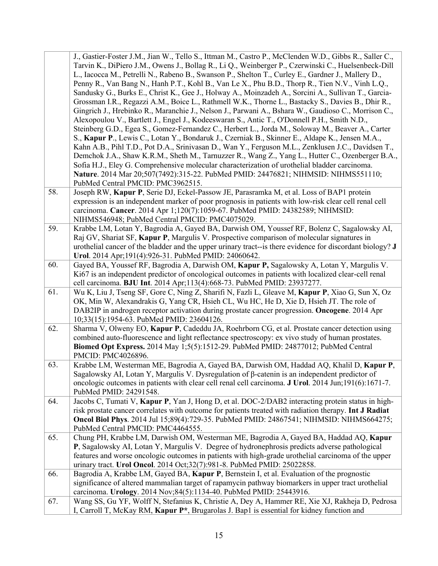|     | J., Gastier-Foster J.M., Jian W., Tello S., Ittman M., Castro P., McClenden W.D., Gibbs R., Saller C.,                                                               |
|-----|----------------------------------------------------------------------------------------------------------------------------------------------------------------------|
|     | Tarvin K., DiPiero J.M., Owens J., Bollag R., Li Q., Weinberger P., Czerwinski C., Huelsenbeck-Dill                                                                  |
|     | L., Iacocca M., Petrelli N., Rabeno B., Swanson P., Shelton T., Curley E., Gardner J., Mallery D.,                                                                   |
|     | Penny R., Van Bang N., Hanh P.T., Kohl B., Van Le X., Phu B.D., Thorp R., Tien N.V., Vinh L.Q.,                                                                      |
|     | Sandusky G., Burks E., Christ K., Gee J., Holway A., Moinzadeh A., Sorcini A., Sullivan T., Garcia-                                                                  |
|     | Grossman I.R., Regazzi A.M., Boice L., Rathmell W.K., Thorne L., Bastacky S., Davies B., Dhir R.,                                                                    |
|     | Gingrich J., Hrebinko R., Maranchie J., Nelson J., Parwani A., Bshara W., Gaudioso C., Morrison C.,                                                                  |
|     | Alexopoulou V., Bartlett J., Engel J., Kodeeswaran S., Antic T., O'Donnell P.H., Smith N.D.,                                                                         |
|     | Steinberg G.D., Egea S., Gomez-Fernandez C., Herbert L., Jorda M., Soloway M., Beaver A., Carter                                                                     |
|     | S., Kapur P., Lewis C., Lotan Y., Bondaruk J., Czerniak B., Skinner E., Aldape K., Jensen M.A.,                                                                      |
|     | Kahn A.B., Pihl T.D., Pot D.A., Srinivasan D., Wan Y., Ferguson M.L., Zenklusen J.C., Davidsen T.,                                                                   |
|     | Demchok J.A., Shaw K.R.M., Sheth M., Tarnuzzer R., Wang Z., Yang L., Hutter C., Ozenberger B.A.,                                                                     |
|     | Sofia H.J., Eley G. Comprehensive molecular characterization of urothelial bladder carcinoma.                                                                        |
|     | Nature. 2014 Mar 20;507(7492):315-22. PubMed PMID: 24476821; NIHMSID: NIHMS551110;                                                                                   |
|     | PubMed Central PMCID: PMC3962515.                                                                                                                                    |
| 58. | Joseph RW, Kapur P, Serie DJ, Eckel-Passow JE, Parasramka M, et al. Loss of BAP1 protein                                                                             |
|     | expression is an independent marker of poor prognosis in patients with low-risk clear cell renal cell                                                                |
|     | carcinoma. Cancer. 2014 Apr 1;120(7):1059-67. PubMed PMID: 24382589; NIHMSID:                                                                                        |
| 59. | NIHMS546948; PubMed Central PMCID: PMC4075029.<br>Krabbe LM, Lotan Y, Bagrodia A, Gayed BA, Darwish OM, Youssef RF, Bolenz C, Sagalowsky AI,                         |
|     | Raj GV, Shariat SF, Kapur P, Margulis V. Prospective comparison of molecular signatures in                                                                           |
|     | urothelial cancer of the bladder and the upper urinary tract--is there evidence for discordant biology? J                                                            |
|     | Urol. 2014 Apr; 191(4): 926-31. PubMed PMID: 24060642.                                                                                                               |
| 60. | Gayed BA, Youssef RF, Bagrodia A, Darwish OM, Kapur P, Sagalowsky A, Lotan Y, Margulis V.                                                                            |
|     | Ki67 is an independent predictor of oncological outcomes in patients with localized clear-cell renal                                                                 |
|     | cell carcinoma. BJU Int. 2014 Apr;113(4):668-73. PubMed PMID: 23937277.                                                                                              |
| 61. | Wu K, Liu J, Tseng SF, Gore C, Ning Z, Sharifi N, Fazli L, Gleave M, Kapur P, Xiao G, Sun X, Oz                                                                      |
|     | OK, Min W, Alexandrakis G, Yang CR, Hsieh CL, Wu HC, He D, Xie D, Hsieh JT. The role of                                                                              |
|     | DAB2IP in androgen receptor activation during prostate cancer progression. Oncogene. 2014 Apr                                                                        |
|     | 10;33(15):1954-63. PubMed PMID: 23604126.                                                                                                                            |
| 62. | Sharma V, Olweny EO, Kapur P, Cadeddu JA, Roehrborn CG, et al. Prostate cancer detection using                                                                       |
|     | combined auto-fluorescence and light reflectance spectroscopy: ex vivo study of human prostates.                                                                     |
|     | Biomed Opt Express. 2014 May 1;5(5):1512-29. PubMed PMID: 24877012; PubMed Central                                                                                   |
| 63. | PMCID: PMC4026896.<br>Krabbe LM, Westerman ME, Bagrodia A, Gayed BA, Darwish OM, Haddad AQ, Khalil D, Kapur P,                                                       |
|     | Sagalowsky AI, Lotan Y, Margulis V. Dysregulation of β-catenin is an independent predictor of                                                                        |
|     | oncologic outcomes in patients with clear cell renal cell carcinoma. J Urol. 2014 Jun;191(6):1671-7.                                                                 |
|     | PubMed PMID: 24291548.                                                                                                                                               |
| 64. | Jacobs C, Tumati V, Kapur P, Yan J, Hong D, et al. DOC-2/DAB2 interacting protein status in high-                                                                    |
|     | risk prostate cancer correlates with outcome for patients treated with radiation therapy. Int J Radiat                                                               |
|     | Oncol Biol Phys. 2014 Jul 15;89(4):729-35. PubMed PMID: 24867541; NIHMSID: NIHMS664275;                                                                              |
|     | PubMed Central PMCID: PMC4464555.                                                                                                                                    |
| 65. | Chung PH, Krabbe LM, Darwish OM, Westerman ME, Bagrodia A, Gayed BA, Haddad AQ, Kapur                                                                                |
|     | P, Sagalowsky AI, Lotan Y, Margulis V. Degree of hydronephrosis predicts adverse pathological                                                                        |
|     | features and worse oncologic outcomes in patients with high-grade urothelial carcinoma of the upper                                                                  |
|     | urinary tract. Urol Oncol. 2014 Oct;32(7):981-8. PubMed PMID: 25022858.                                                                                              |
| 66. | Bagrodia A, Krabbe LM, Gayed BA, Kapur P, Bernstein I, et al. Evaluation of the prognostic                                                                           |
|     | significance of altered mammalian target of rapamycin pathway biomarkers in upper tract urothelial                                                                   |
| 67. | carcinoma. Urology. 2014 Nov;84(5):1134-40. PubMed PMID: 25443916.<br>Wang SS, Gu YF, Wolff N, Stefanius K, Christie A, Dey A, Hammer RE, Xie XJ, Rakheja D, Pedrosa |
|     | I, Carroll T, McKay RM, Kapur P*, Brugarolas J. Bap1 is essential for kidney function and                                                                            |
|     |                                                                                                                                                                      |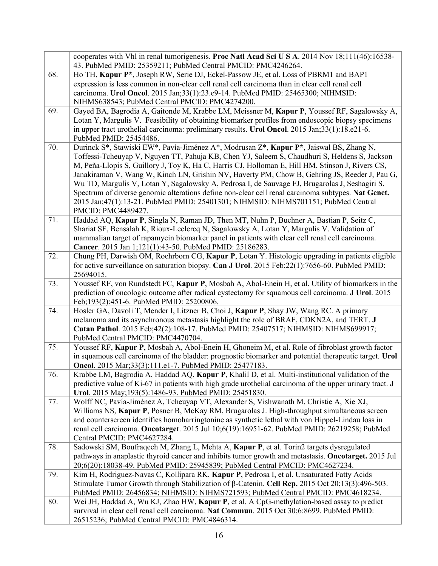|     | cooperates with Vhl in renal tumorigenesis. Proc Natl Acad Sci U S A. 2014 Nov 18;111(46):16538-<br>43. PubMed PMID: 25359211; PubMed Central PMCID: PMC4246264.                                                                                                                                                                                                                                                                                                                                                                                                                                                                                                                                                 |
|-----|------------------------------------------------------------------------------------------------------------------------------------------------------------------------------------------------------------------------------------------------------------------------------------------------------------------------------------------------------------------------------------------------------------------------------------------------------------------------------------------------------------------------------------------------------------------------------------------------------------------------------------------------------------------------------------------------------------------|
| 68. | Ho TH, Kapur P <sup>*</sup> , Joseph RW, Serie DJ, Eckel-Passow JE, et al. Loss of PBRM1 and BAP1<br>expression is less common in non-clear cell renal cell carcinoma than in clear cell renal cell<br>carcinoma. Urol Oncol. 2015 Jan;33(1):23.e9-14. PubMed PMID: 25465300; NIHMSID:<br>NIHMS638543; PubMed Central PMCID: PMC4274200.                                                                                                                                                                                                                                                                                                                                                                         |
| 69. | Gayed BA, Bagrodia A, Gaitonde M, Krabbe LM, Meissner M, Kapur P, Youssef RF, Sagalowsky A,<br>Lotan Y, Margulis V. Feasibility of obtaining biomarker profiles from endoscopic biopsy specimens<br>in upper tract urothelial carcinoma: preliminary results. Urol Oncol. 2015 Jan;33(1):18.e21-6.<br>PubMed PMID: 25454486.                                                                                                                                                                                                                                                                                                                                                                                     |
| 70. | Durinck S*, Stawiski EW*, Pavía-Jiménez A*, Modrusan Z*, Kapur P*, Jaiswal BS, Zhang N,<br>Toffessi-Tcheuyap V, Nguyen TT, Pahuja KB, Chen YJ, Saleem S, Chaudhuri S, Heldens S, Jackson<br>M, Peña-Llopis S, Guillory J, Toy K, Ha C, Harris CJ, Holloman E, Hill HM, Stinson J, Rivers CS,<br>Janakiraman V, Wang W, Kinch LN, Grishin NV, Haverty PM, Chow B, Gehring JS, Reeder J, Pau G,<br>Wu TD, Margulis V, Lotan Y, Sagalowsky A, Pedrosa I, de Sauvage FJ, Brugarolas J, Seshagiri S.<br>Spectrum of diverse genomic alterations define non-clear cell renal carcinoma subtypes. Nat Genet.<br>2015 Jan;47(1):13-21. PubMed PMID: 25401301; NIHMSID: NIHMS701151; PubMed Central<br>PMCID: PMC4489427. |
| 71. | Haddad AQ, Kapur P, Singla N, Raman JD, Then MT, Nuhn P, Buchner A, Bastian P, Seitz C,<br>Shariat SF, Bensalah K, Rioux-Leclercq N, Sagalowsky A, Lotan Y, Margulis V. Validation of<br>mammalian target of rapamycin biomarker panel in patients with clear cell renal cell carcinoma.<br>Cancer. 2015 Jan 1;121(1):43-50. PubMed PMID: 25186283.                                                                                                                                                                                                                                                                                                                                                              |
| 72. | Chung PH, Darwish OM, Roehrborn CG, Kapur P, Lotan Y. Histologic upgrading in patients eligible<br>for active surveillance on saturation biopsy. Can J Urol. 2015 Feb;22(1):7656-60. PubMed PMID:<br>25694015.                                                                                                                                                                                                                                                                                                                                                                                                                                                                                                   |
| 73. | Youssef RF, von Rundstedt FC, Kapur P, Mosbah A, Abol-Enein H, et al. Utility of biomarkers in the<br>prediction of oncologic outcome after radical cystectomy for squamous cell carcinoma. J Urol. 2015<br>Feb; 193(2): 451-6. PubMed PMID: 25200806.                                                                                                                                                                                                                                                                                                                                                                                                                                                           |
| 74. | Hosler GA, Davoli T, Mender I, Litzner B, Choi J, Kapur P, Shay JW, Wang RC. A primary<br>melanoma and its asynchronous metastasis highlight the role of BRAF, CDKN2A, and TERT. J<br>Cutan Pathol. 2015 Feb; 42(2): 108-17. PubMed PMID: 25407517; NIHMSID: NIHMS699917;<br>PubMed Central PMCID: PMC4470704.                                                                                                                                                                                                                                                                                                                                                                                                   |
| 75. | Youssef RF, Kapur P, Mosbah A, Abol-Enein H, Ghoneim M, et al. Role of fibroblast growth factor<br>in squamous cell carcinoma of the bladder: prognostic biomarker and potential therapeutic target. Urol<br>Oncol. 2015 Mar;33(3):111.e1-7. PubMed PMID: 25477183.                                                                                                                                                                                                                                                                                                                                                                                                                                              |
| 76. | Krabbe LM, Bagrodia A, Haddad AQ, Kapur P, Khalil D, et al. Multi-institutional validation of the<br>predictive value of Ki-67 in patients with high grade urothelial carcinoma of the upper urinary tract. J<br>Urol. 2015 May;193(5):1486-93. PubMed PMID: 25451830.                                                                                                                                                                                                                                                                                                                                                                                                                                           |
| 77. | Wolff NC, Pavía-Jiménez A, Tcheuyap VT, Alexander S, Vishwanath M, Christie A, Xie XJ,<br>Williams NS, Kapur P, Posner B, McKay RM, Brugarolas J. High-throughput simultaneous screen<br>and counterscreen identifies homoharringtonine as synthetic lethal with von Hippel-Lindau loss in<br>renal cell carcinoma. Oncotarget. 2015 Jul 10;6(19):16951-62. PubMed PMID: 26219258; PubMed<br>Central PMCID: PMC4627284.                                                                                                                                                                                                                                                                                          |
| 78. | Sadowski SM, Boufragech M, Zhang L, Mehta A, Kapur P, et al. Torin2 targets dysregulated<br>pathways in anaplastic thyroid cancer and inhibits tumor growth and metastasis. Oncotarget. 2015 Jul<br>20;6(20):18038-49. PubMed PMID: 25945839; PubMed Central PMCID: PMC4627234.                                                                                                                                                                                                                                                                                                                                                                                                                                  |
| 79. | Kim H, Rodriguez-Navas C, Kollipara RK, Kapur P, Pedrosa I, et al. Unsaturated Fatty Acids<br>Stimulate Tumor Growth through Stabilization of $\beta$ -Catenin. Cell Rep. 2015 Oct 20;13(3):496-503.<br>PubMed PMID: 26456834; NIHMSID: NIHMS721593; PubMed Central PMCID: PMC4618234.                                                                                                                                                                                                                                                                                                                                                                                                                           |
| 80. | Wei JH, Haddad A, Wu KJ, Zhao HW, Kapur P, et al. A CpG-methylation-based assay to predict<br>survival in clear cell renal cell carcinoma. Nat Commun. 2015 Oct 30;6:8699. PubMed PMID:<br>26515236; PubMed Central PMCID: PMC4846314.                                                                                                                                                                                                                                                                                                                                                                                                                                                                           |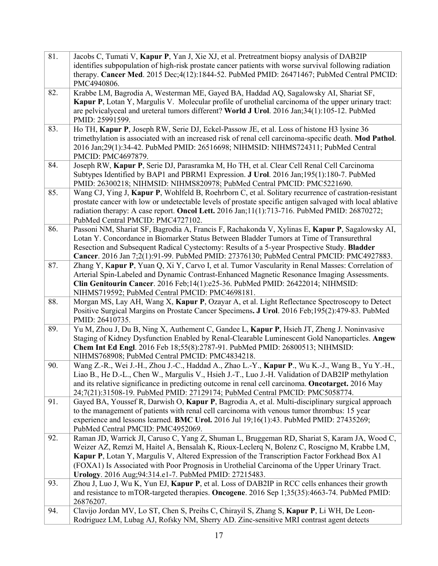| 81. | Jacobs C, Tumati V, Kapur P, Yan J, Xie XJ, et al. Pretreatment biopsy analysis of DAB2IP<br>identifies subpopulation of high-risk prostate cancer patients with worse survival following radiation<br>therapy. Cancer Med. 2015 Dec;4(12):1844-52. PubMed PMID: 26471467; PubMed Central PMCID:<br>PMC4940806.                                                                                                                                          |
|-----|----------------------------------------------------------------------------------------------------------------------------------------------------------------------------------------------------------------------------------------------------------------------------------------------------------------------------------------------------------------------------------------------------------------------------------------------------------|
| 82. | Krabbe LM, Bagrodia A, Westerman ME, Gayed BA, Haddad AQ, Sagalowsky AI, Shariat SF,<br>Kapur P, Lotan Y, Margulis V. Molecular profile of urothelial carcinoma of the upper urinary tract:<br>are pelvicalyceal and ureteral tumors different? World J Urol. 2016 Jan;34(1):105-12. PubMed<br>PMID: 25991599.                                                                                                                                           |
| 83. | Ho TH, Kapur P, Joseph RW, Serie DJ, Eckel-Passow JE, et al. Loss of histone H3 lysine 36<br>trimethylation is associated with an increased risk of renal cell carcinoma-specific death. Mod Pathol.<br>2016 Jan;29(1):34-42. PubMed PMID: 26516698; NIHMSID: NIHMS724311; PubMed Central<br>PMCID: PMC4697879.                                                                                                                                          |
| 84. | Joseph RW, Kapur P, Serie DJ, Parasramka M, Ho TH, et al. Clear Cell Renal Cell Carcinoma<br>Subtypes Identified by BAP1 and PBRM1 Expression. J Urol. 2016 Jan;195(1):180-7. PubMed<br>PMID: 26300218; NIHMSID: NIHMS820978; PubMed Central PMCID: PMC5221690.                                                                                                                                                                                          |
| 85. | Wang CJ, Ying J, Kapur P, Wohlfeld B, Roehrborn C, et al. Solitary recurrence of castration-resistant<br>prostate cancer with low or undetectable levels of prostate specific antigen salvaged with local ablative<br>radiation therapy: A case report. Oncol Lett. 2016 Jan;11(1):713-716. PubMed PMID: 26870272;<br>PubMed Central PMCID: PMC4727102.                                                                                                  |
| 86. | Passoni NM, Shariat SF, Bagrodia A, Francis F, Rachakonda V, Xylinas E, Kapur P, Sagalowsky AI,<br>Lotan Y. Concordance in Biomarker Status Between Bladder Tumors at Time of Transurethral<br>Resection and Subsequent Radical Cystectomy: Results of a 5-year Prospective Study. Bladder<br>Cancer. 2016 Jan 7;2(1):91-99. PubMed PMID: 27376130; PubMed Central PMCID: PMC4927883.                                                                    |
| 87. | Zhang Y, Kapur P, Yuan Q, Xi Y, Carvo I, et al. Tumor Vascularity in Renal Masses: Correlation of<br>Arterial Spin-Labeled and Dynamic Contrast-Enhanced Magnetic Resonance Imaging Assessments.<br>Clin Genitourin Cancer. 2016 Feb;14(1):e25-36. PubMed PMID: 26422014; NIHMSID:<br>NIHMS719592; PubMed Central PMCID: PMC4698181.                                                                                                                     |
| 88. | Morgan MS, Lay AH, Wang X, Kapur P, Ozayar A, et al. Light Reflectance Spectroscopy to Detect<br>Positive Surgical Margins on Prostate Cancer Specimens. J Urol. 2016 Feb;195(2):479-83. PubMed<br>PMID: 26410735.                                                                                                                                                                                                                                       |
| 89. | Yu M, Zhou J, Du B, Ning X, Authement C, Gandee L, Kapur P, Hsieh JT, Zheng J. Noninvasive<br>Staging of Kidney Dysfunction Enabled by Renal-Clearable Luminescent Gold Nanoparticles. Angew<br>Chem Int Ed Engl. 2016 Feb 18;55(8):2787-91. PubMed PMID: 26800513; NIHMSID:<br>NIHMS768908; PubMed Central PMCID: PMC4834218.                                                                                                                           |
| 90. | Wang Z.-R., Wei J.-H., Zhou J.-C., Haddad A., Zhao L.-Y., Kapur P., Wu K.-J., Wang B., Yu Y.-H.,<br>Liao B., He D.-L., Chen W., Margulis V., Hsieh J.-T., Luo J.-H. Validation of DAB2IP methylation<br>and its relative significance in predicting outcome in renal cell carcinoma. Oncotarget. 2016 May<br>24;7(21):31508-19. PubMed PMID: 27129174; PubMed Central PMCID: PMC5058774.                                                                 |
| 91. | Gayed BA, Youssef R, Darwish O, Kapur P, Bagrodia A, et al. Multi-disciplinary surgical approach<br>to the management of patients with renal cell carcinoma with venous tumor thrombus: 15 year<br>experience and lessons learned. BMC Urol. 2016 Jul 19;16(1):43. PubMed PMID: 27435269;<br>PubMed Central PMCID: PMC4952069.                                                                                                                           |
| 92. | Raman JD, Warrick JI, Caruso C, Yang Z, Shuman L, Bruggeman RD, Shariat S, Karam JA, Wood C,<br>Weizer AZ, Remzi M, Haitel A, Bensalah K, Rioux-Leclerq N, Bolenz C, Roscigno M, Krabbe LM,<br>Kapur P, Lotan Y, Margulis V, Altered Expression of the Transcription Factor Forkhead Box A1<br>(FOXA1) Is Associated with Poor Prognosis in Urothelial Carcinoma of the Upper Urinary Tract.<br>Urology. 2016 Aug; 94: 314. e1-7. PubMed PMID: 27215483. |
| 93. | Zhou J, Luo J, Wu K, Yun EJ, Kapur P, et al. Loss of DAB2IP in RCC cells enhances their growth<br>and resistance to mTOR-targeted therapies. Oncogene. 2016 Sep 1;35(35):4663-74. PubMed PMID:<br>26876207.                                                                                                                                                                                                                                              |
| 94. | Clavijo Jordan MV, Lo ST, Chen S, Preihs C, Chirayil S, Zhang S, Kapur P, Li WH, De Leon-<br>Rodriguez LM, Lubag AJ, Rofsky NM, Sherry AD. Zinc-sensitive MRI contrast agent detects                                                                                                                                                                                                                                                                     |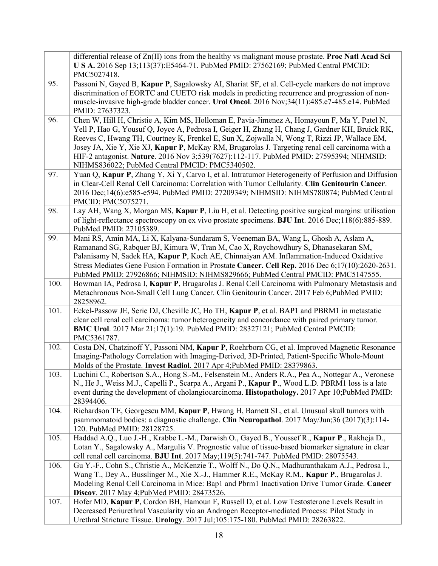|      | differential release of $Zn(II)$ ions from the healthy vs malignant mouse prostate. <b>Proc Natl Acad Sci</b><br>U S A. 2016 Sep 13;113(37):E5464-71. PubMed PMID: 27562169; PubMed Central PMCID:<br>PMC5027418.                                                                                                                                                                                                                                                                                                                             |
|------|-----------------------------------------------------------------------------------------------------------------------------------------------------------------------------------------------------------------------------------------------------------------------------------------------------------------------------------------------------------------------------------------------------------------------------------------------------------------------------------------------------------------------------------------------|
| 95.  | Passoni N, Gayed B, Kapur P, Sagalowsky AI, Shariat SF, et al. Cell-cycle markers do not improve<br>discrimination of EORTC and CUETO risk models in predicting recurrence and progression of non-<br>muscle-invasive high-grade bladder cancer. Urol Oncol. 2016 Nov;34(11):485.e7-485.e14. PubMed<br>PMID: 27637323.                                                                                                                                                                                                                        |
| 96.  | Chen W, Hill H, Christie A, Kim MS, Holloman E, Pavia-Jimenez A, Homayoun F, Ma Y, Patel N,<br>Yell P, Hao G, Yousuf Q, Joyce A, Pedrosa I, Geiger H, Zhang H, Chang J, Gardner KH, Bruick RK,<br>Reeves C, Hwang TH, Courtney K, Frenkel E, Sun X, Zojwalla N, Wong T, Rizzi JP, Wallace EM,<br>Josey JA, Xie Y, Xie XJ, Kapur P, McKay RM, Brugarolas J. Targeting renal cell carcinoma with a<br>HIF-2 antagonist. Nature. 2016 Nov 3;539(7627):112-117. PubMed PMID: 27595394; NIHMSID:<br>NIHMS836022; PubMed Central PMCID: PMC5340502. |
| 97.  | Yuan Q, Kapur P, Zhang Y, Xi Y, Carvo I, et al. Intratumor Heterogeneity of Perfusion and Diffusion<br>in Clear-Cell Renal Cell Carcinoma: Correlation with Tumor Cellularity. Clin Genitourin Cancer.<br>2016 Dec;14(6):e585-e594. PubMed PMID: 27209349; NIHMSID: NIHMS780874; PubMed Central<br>PMCID: PMC5075271.                                                                                                                                                                                                                         |
| 98.  | Lay AH, Wang X, Morgan MS, Kapur P, Liu H, et al. Detecting positive surgical margins: utilisation<br>of light-reflectance spectroscopy on ex vivo prostate specimens. BJU Int. 2016 Dec;118(6):885-889.<br>PubMed PMID: 27105389.                                                                                                                                                                                                                                                                                                            |
| 99.  | Mani RS, Amin MA, Li X, Kalyana-Sundaram S, Veeneman BA, Wang L, Ghosh A, Aslam A,<br>Ramanand SG, Rabquer BJ, Kimura W, Tran M, Cao X, Roychowdhury S, Dhanasekaran SM,<br>Palanisamy N, Sadek HA, Kapur P, Koch AE, Chinnaiyan AM. Inflammation-Induced Oxidative<br>Stress Mediates Gene Fusion Formation in Prostate Cancer. Cell Rep. 2016 Dec 6;17(10):2620-2631.<br>PubMed PMID: 27926866; NIHMSID: NIHMS829666; PubMed Central PMCID: PMC5147555.                                                                                     |
| 100. | Bowman IA, Pedrosa I, Kapur P, Brugarolas J. Renal Cell Carcinoma with Pulmonary Metastasis and<br>Metachronous Non-Small Cell Lung Cancer. Clin Genitourin Cancer. 2017 Feb 6;PubMed PMID:<br>28258962.                                                                                                                                                                                                                                                                                                                                      |
| 101. | Eckel-Passow JE, Serie DJ, Cheville JC, Ho TH, Kapur P, et al. BAP1 and PBRM1 in metastatic<br>clear cell renal cell carcinoma: tumor heterogeneity and concordance with paired primary tumor.<br>BMC Urol. 2017 Mar 21;17(1):19. PubMed PMID: 28327121; PubMed Central PMCID:<br>PMC5361787.                                                                                                                                                                                                                                                 |
| 102. | Costa DN, Chatzinoff Y, Passoni NM, Kapur P, Roehrborn CG, et al. Improved Magnetic Resonance<br>Imaging-Pathology Correlation with Imaging-Derived, 3D-Printed, Patient-Specific Whole-Mount<br>Molds of the Prostate. Invest Radiol. 2017 Apr 4; PubMed PMID: 28379863.                                                                                                                                                                                                                                                                     |
| 103. | Luchini C., Robertson S.A., Hong S.-M., Felsenstein M., Anders R.A., Pea A., Nottegar A., Veronese<br>N., He J., Weiss M.J., Capelli P., Scarpa A., Argani P., Kapur P., Wood L.D. PBRM1 loss is a late<br>event during the development of cholangiocarcinoma. Histopathology. 2017 Apr 10;PubMed PMID:<br>28394406.                                                                                                                                                                                                                          |
| 104. | Richardson TE, Georgescu MM, Kapur P, Hwang H, Barnett SL, et al. Unusual skull tumors with<br>psammomatoid bodies: a diagnostic challenge. Clin Neuropathol. 2017 May/Jun;36 (2017)(3):114-<br>120. PubMed PMID: 28128725.                                                                                                                                                                                                                                                                                                                   |
| 105. | Haddad A.Q., Luo J.-H., Krabbe L.-M., Darwish O., Gayed B., Youssef R., Kapur P., Rakheja D.,<br>Lotan Y., Sagalowsky A., Margulis V. Prognostic value of tissue-based biomarker signature in clear<br>cell renal cell carcinoma. BJU Int. 2017 May;119(5):741-747. PubMed PMID: 28075543.                                                                                                                                                                                                                                                    |
| 106. | Gu Y.-F., Cohn S., Christie A., McKenzie T., Wolff N., Do Q.N., Madhuranthakam A.J., Pedrosa I.,<br>Wang T., Dey A., Busslinger M., Xie X.-J., Hammer R.E., McKay R.M., <b>Kapur P.</b> , Brugarolas J.<br>Modeling Renal Cell Carcinoma in Mice: Bap1 and Pbrm1 Inactivation Drive Tumor Grade. Cancer<br>Discov. 2017 May 4; PubMed PMID: 28473526.                                                                                                                                                                                         |
| 107. | Hofer MD, Kapur P, Cordon BH, Hamoun F, Russell D, et al. Low Testosterone Levels Result in<br>Decreased Periurethral Vascularity via an Androgen Receptor-mediated Process: Pilot Study in<br>Urethral Stricture Tissue. Urology. 2017 Jul;105:175-180. PubMed PMID: 28263822.                                                                                                                                                                                                                                                               |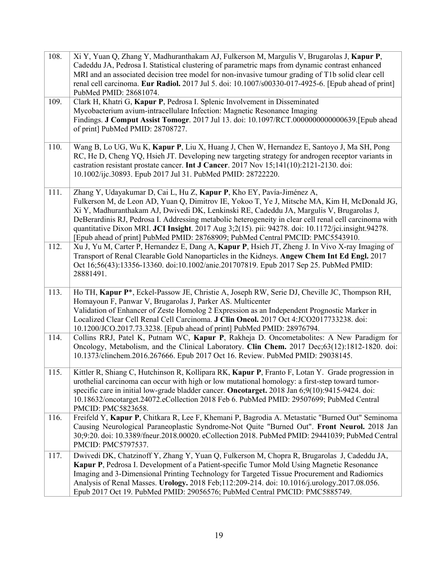| 108. | Xi Y, Yuan Q, Zhang Y, Madhuranthakam AJ, Fulkerson M, Margulis V, Brugarolas J, Kapur P,                                                                                                            |
|------|------------------------------------------------------------------------------------------------------------------------------------------------------------------------------------------------------|
|      | Cadeddu JA, Pedrosa I. Statistical clustering of parametric maps from dynamic contrast enhanced<br>MRI and an associated decision tree model for non-invasive tumour grading of T1b solid clear cell |
|      | renal cell carcinoma. Eur Radiol. 2017 Jul 5. doi: 10.1007/s00330-017-4925-6. [Epub ahead of print]                                                                                                  |
|      | PubMed PMID: 28681074.                                                                                                                                                                               |
| 109. | Clark H, Khatri G, Kapur P, Pedrosa I. Splenic Involvement in Disseminated                                                                                                                           |
|      | Mycobacterium avium-intracellulare Infection: Magnetic Resonance Imaging                                                                                                                             |
|      | Findings. J Comput Assist Tomogr. 2017 Jul 13. doi: 10.1097/RCT.0000000000000639.[Epub ahead                                                                                                         |
|      | of print] PubMed PMID: 28708727.                                                                                                                                                                     |
| 110. | Wang B, Lo UG, Wu K, Kapur P, Liu X, Huang J, Chen W, Hernandez E, Santoyo J, Ma SH, Pong<br>RC, He D, Cheng YQ, Hsieh JT. Developing new targeting strategy for androgen receptor variants in       |
|      | castration resistant prostate cancer. Int J Cancer. 2017 Nov 15;141(10):2121-2130. doi:                                                                                                              |
|      | 10.1002/ijc.30893. Epub 2017 Jul 31. PubMed PMID: 28722220.                                                                                                                                          |
| 111. | Zhang Y, Udayakumar D, Cai L, Hu Z, Kapur P, Kho EY, Pavía-Jiménez A,                                                                                                                                |
|      | Fulkerson M, de Leon AD, Yuan Q, Dimitrov IE, Yokoo T, Ye J, Mitsche MA, Kim H, McDonald JG,<br>Xi Y, Madhuranthakam AJ, Dwivedi DK, Lenkinski RE, Cadeddu JA, Margulis V, Brugarolas J,             |
|      | DeBerardinis RJ, Pedrosa I. Addressing metabolic heterogeneity in clear cell renal cell carcinoma with                                                                                               |
|      | quantitative Dixon MRI. JCI Insight. 2017 Aug 3;2(15). pii: 94278. doi: 10.1172/jci.insight.94278.                                                                                                   |
|      | [Epub ahead of print] PubMed PMID: 28768909; PubMed Central PMCID: PMC5543910.                                                                                                                       |
| 112. | Xu J, Yu M, Carter P, Hernandez E, Dang A, Kapur P, Hsieh JT, Zheng J. In Vivo X-ray Imaging of<br>Transport of Renal Clearable Gold Nanoparticles in the Kidneys. Angew Chem Int Ed Engl. 2017      |
|      | Oct 16;56(43):13356-13360. doi:10.1002/anie.201707819. Epub 2017 Sep 25. PubMed PMID:                                                                                                                |
|      | 28881491.                                                                                                                                                                                            |
|      |                                                                                                                                                                                                      |
| 113. | Ho TH, Kapur P*, Eckel-Passow JE, Christie A, Joseph RW, Serie DJ, Cheville JC, Thompson RH,                                                                                                         |
|      | Homayoun F, Panwar V, Brugarolas J, Parker AS. Multicenter                                                                                                                                           |
|      | Validation of Enhancer of Zeste Homolog 2 Expression as an Independent Prognostic Marker in<br>Localized Clear Cell Renal Cell Carcinoma. J Clin Oncol. 2017 Oct 4:JCO2017733238. doi:               |
|      | 10.1200/JCO.2017.73.3238. [Epub ahead of print] PubMed PMID: 28976794.                                                                                                                               |
| 114. | Collins RRJ, Patel K, Putnam WC, Kapur P, Rakheja D. Oncometabolites: A New Paradigm for                                                                                                             |
|      | Oncology, Metabolism, and the Clinical Laboratory. Clin Chem. 2017 Dec;63(12):1812-1820. doi:                                                                                                        |
|      | 10.1373/clinchem.2016.267666. Epub 2017 Oct 16. Review. PubMed PMID: 29038145.                                                                                                                       |
| 115. | Kittler R, Shiang C, Hutchinson R, Kollipara RK, Kapur P, Franto F, Lotan Y. Grade progression in                                                                                                    |
|      | urothelial carcinoma can occur with high or low mutational homology: a first-step toward tumor-                                                                                                      |
|      | specific care in initial low-grade bladder cancer. Oncotarget. 2018 Jan 6;9(10):9415-9424. doi:                                                                                                      |
|      | 10.18632/oncotarget.24072.eCollection 2018 Feb 6. PubMed PMID: 29507699; PubMed Central                                                                                                              |
|      | PMCID: PMC5823658.<br>Freifeld Y, Kapur P, Chitkara R, Lee F, Khemani P, Bagrodia A. Metastatic "Burned Out" Seminoma                                                                                |
| 116. | Causing Neurological Paraneoplastic Syndrome-Not Quite "Burned Out". Front Neurol. 2018 Jan                                                                                                          |
|      | 30;9:20. doi: 10.3389/fneur.2018.00020. eCollection 2018. PubMed PMID: 29441039; PubMed Central                                                                                                      |
|      | PMCID: PMC5797537.                                                                                                                                                                                   |
| 117. | Dwivedi DK, Chatzinoff Y, Zhang Y, Yuan Q, Fulkerson M, Chopra R, Brugarolas J, Cadeddu JA,                                                                                                          |
|      | Kapur P, Pedrosa I. Development of a Patient-specific Tumor Mold Using Magnetic Resonance                                                                                                            |
|      | Imaging and 3-Dimensional Printing Technology for Targeted Tissue Procurement and Radiomics                                                                                                          |
|      | Analysis of Renal Masses. Urology. 2018 Feb; 112:209-214. doi: 10.1016/j.urology.2017.08.056.                                                                                                        |
|      | Epub 2017 Oct 19. PubMed PMID: 29056576; PubMed Central PMCID: PMC5885749.                                                                                                                           |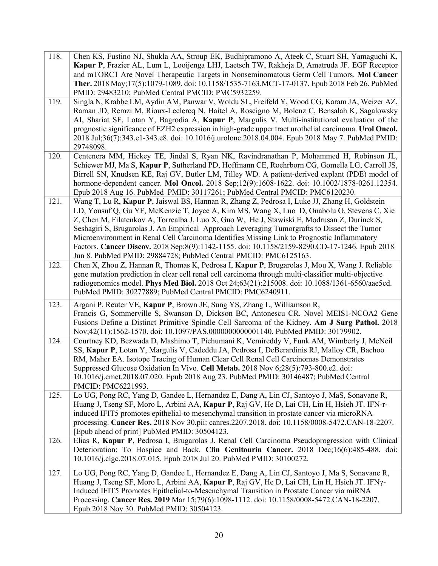| 118. | Chen KS, Fustino NJ, Shukla AA, Stroup EK, Budhipramono A, Ateek C, Stuart SH, Yamaguchi K,<br>Kapur P, Frazier AL, Lum L, Looijenga LHJ, Laetsch TW, Rakheja D, Amatruda JF. EGF Receptor<br>and mTORC1 Are Novel Therapeutic Targets in Nonseminomatous Germ Cell Tumors. Mol Cancer<br>Ther. 2018 May; 17(5):1079-1089. doi: 10.1158/1535-7163. MCT-17-0137. Epub 2018 Feb 26. PubMed<br>PMID: 29483210; PubMed Central PMCID: PMC5932259.                                                                                                                                                                                                                 |
|------|---------------------------------------------------------------------------------------------------------------------------------------------------------------------------------------------------------------------------------------------------------------------------------------------------------------------------------------------------------------------------------------------------------------------------------------------------------------------------------------------------------------------------------------------------------------------------------------------------------------------------------------------------------------|
| 119. | Singla N, Krabbe LM, Aydin AM, Panwar V, Woldu SL, Freifeld Y, Wood CG, Karam JA, Weizer AZ,<br>Raman JD, Remzi M, Rioux-Leclercq N, Haitel A, Roscigno M, Bolenz C, Bensalah K, Sagalowsky<br>AI, Shariat SF, Lotan Y, Bagrodia A, Kapur P, Margulis V. Multi-institutional evaluation of the<br>prognostic significance of EZH2 expression in high-grade upper tract urothelial carcinoma. Urol Oncol.<br>2018 Jul;36(7):343.e1-343.e8. doi: 10.1016/j.urolonc.2018.04.004. Epub 2018 May 7. PubMed PMID:<br>29748098.                                                                                                                                      |
| 120. | Centenera MM, Hickey TE, Jindal S, Ryan NK, Ravindranathan P, Mohammed H, Robinson JL,<br>Schiewer MJ, Ma S, Kapur P, Sutherland PD, Hoffmann CE, Roehrborn CG, Gomella LG, Carroll JS,<br>Birrell SN, Knudsen KE, Raj GV, Butler LM, Tilley WD. A patient-derived explant (PDE) model of<br>hormone-dependent cancer. Mol Oncol. 2018 Sep;12(9):1608-1622. doi: 10.1002/1878-0261.12354.<br>Epub 2018 Aug 16. PubMed PMID: 30117261; PubMed Central PMCID: PMC6120230.                                                                                                                                                                                       |
| 121. | Wang T, Lu R, Kapur P, Jaiswal BS, Hannan R, Zhang Z, Pedrosa I, Luke JJ, Zhang H, Goldstein<br>LD, Yousuf Q, Gu YF, McKenzie T, Joyce A, Kim MS, Wang X, Luo D, Onabolu O, Stevens C, Xie<br>Z, Chen M, Filatenkov A, Torrealba J, Luo X, Guo W, He J, Stawiski E, Modrusan Z, Durinck S,<br>Seshagiri S, Brugarolas J. An Empirical Approach Leveraging Tumorgrafts to Dissect the Tumor<br>Microenvironment in Renal Cell Carcinoma Identifies Missing Link to Prognostic Inflammatory<br>Factors. Cancer Discov. 2018 Sep;8(9):1142-1155. doi: 10.1158/2159-8290.CD-17-1246. Epub 2018<br>Jun 8. PubMed PMID: 29884728; PubMed Central PMCID: PMC6125163. |
| 122. | Chen X, Zhou Z, Hannan R, Thomas K, Pedrosa I, Kapur P, Brugarolas J, Mou X, Wang J. Reliable<br>gene mutation prediction in clear cell renal cell carcinoma through multi-classifier multi-objective<br>radiogenomics model. Phys Med Biol. 2018 Oct 24;63(21):215008. doi: 10.1088/1361-6560/aae5cd.<br>PubMed PMID: 30277889; PubMed Central PMCID: PMC6240911.                                                                                                                                                                                                                                                                                            |
| 123. | Argani P, Reuter VE, Kapur P, Brown JE, Sung YS, Zhang L, Williamson R,<br>Francis G, Sommerville S, Swanson D, Dickson BC, Antonescu CR. Novel MEIS1-NCOA2 Gene<br>Fusions Define a Distinct Primitive Spindle Cell Sarcoma of the Kidney. Am J Surg Pathol. 2018<br>Nov;42(11):1562-1570. doi: 10.1097/PAS.000000000001140. PubMed PMID: 30179902.                                                                                                                                                                                                                                                                                                          |
| 124. | Courtney KD, Bezwada D, Mashimo T, Pichumani K, Vemireddy V, Funk AM, Wimberly J, McNeil<br>SS, Kapur P, Lotan Y, Margulis V, Cadeddu JA, Pedrosa I, DeBerardinis RJ, Malloy CR, Bachoo<br>RM, Maher EA. Isotope Tracing of Human Clear Cell Renal Cell Carcinomas Demonstrates<br>Suppressed Glucose Oxidation In Vivo. Cell Metab. 2018 Nov 6;28(5):793-800.e2. doi:<br>10.1016/j.cmet.2018.07.020. Epub 2018 Aug 23. PubMed PMID: 30146487; PubMed Central<br>PMCID: PMC6221993.                                                                                                                                                                           |
| 125. | Lo UG, Pong RC, Yang D, Gandee L, Hernandez E, Dang A, Lin CJ, Santoyo J, MaS, Sonavane R,<br>Huang J, Tseng SF, Moro L, Arbini AA, Kapur P, Raj GV, He D, Lai CH, Lin H, Hsieh JT. IFN-r-<br>induced IFIT5 promotes epithelial-to mesenchymal transition in prostate cancer via microRNA<br>processing. Cancer Res. 2018 Nov 30.pii: canres.2207.2018. doi: 10.1158/0008-5472.CAN-18-2207.<br>[Epub ahead of print] PubMed PMID: 30504123.                                                                                                                                                                                                                   |
| 126. | Elias R, Kapur P, Pedrosa I, Brugarolas J. Renal Cell Carcinoma Pseudoprogression with Clinical<br>Deterioration: To Hospice and Back. Clin Genitourin Cancer. 2018 Dec;16(6):485-488. doi:<br>10.1016/j.clgc.2018.07.015. Epub 2018 Jul 20. PubMed PMID: 30100272.                                                                                                                                                                                                                                                                                                                                                                                           |
| 127. | Lo UG, Pong RC, Yang D, Gandee L, Hernandez E, Dang A, Lin CJ, Santoyo J, Ma S, Sonavane R,<br>Huang J, Tseng SF, Moro L, Arbini AA, Kapur P, Raj GV, He D, Lai CH, Lin H, Hsieh JT. IFNγ-<br>Induced IFIT5 Promotes Epithelial-to-Mesenchymal Transition in Prostate Cancer via miRNA<br>Processing. Cancer Res. 2019 Mar 15;79(6):1098-1112. doi: 10.1158/0008-5472.CAN-18-2207.<br>Epub 2018 Nov 30. PubMed PMID: 30504123.                                                                                                                                                                                                                                |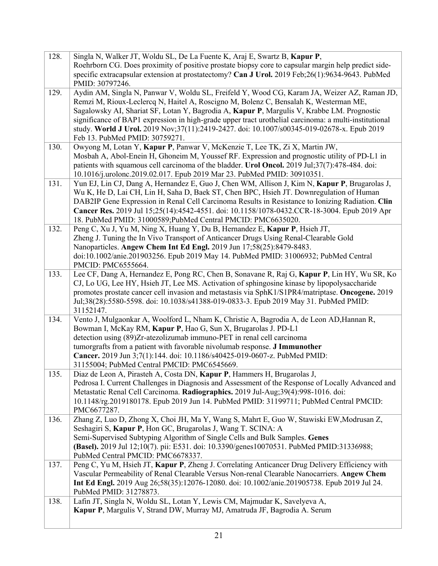| 128. | Singla N, Walker JT, Woldu SL, De La Fuente K, Araj E, Swartz B, Kapur P,<br>Roehrborn CG. Does proximity of positive prostate biopsy core to capsular margin help predict side-<br>specific extracapsular extension at prostatectomy? Can J Urol. 2019 Feb;26(1):9634-9643. PubMed<br>PMID: 30797246.                                                                                                                                                                                                                     |
|------|----------------------------------------------------------------------------------------------------------------------------------------------------------------------------------------------------------------------------------------------------------------------------------------------------------------------------------------------------------------------------------------------------------------------------------------------------------------------------------------------------------------------------|
| 129. | Aydin AM, Singla N, Panwar V, Woldu SL, Freifeld Y, Wood CG, Karam JA, Weizer AZ, Raman JD,<br>Remzi M, Rioux-Leclercq N, Haitel A, Roscigno M, Bolenz C, Bensalah K, Westerman ME,<br>Sagalowsky AI, Shariat SF, Lotan Y, Bagrodia A, Kapur P, Margulis V, Krabbe LM. Prognostic<br>significance of BAP1 expression in high-grade upper tract urothelial carcinoma: a multi-institutional<br>study. World J Urol. 2019 Nov;37(11):2419-2427. doi: 10.1007/s00345-019-02678-x. Epub 2019<br>Feb 13. PubMed PMID: 30759271. |
| 130. | Owyong M, Lotan Y, Kapur P, Panwar V, McKenzie T, Lee TK, Zi X, Martin JW,<br>Mosbah A, Abol-Enein H, Ghoneim M, Youssef RF. Expression and prognostic utility of PD-L1 in<br>patients with squamous cell carcinoma of the bladder. Urol Oncol. 2019 Jul;37(7):478-484. doi:<br>10.1016/j.urolonc.2019.02.017. Epub 2019 Mar 23. PubMed PMID: 30910351.                                                                                                                                                                    |
| 131. | Yun EJ, Lin CJ, Dang A, Hernandez E, Guo J, Chen WM, Allison J, Kim N, Kapur P, Brugarolas J,<br>Wu K, He D, Lai CH, Lin H, Saha D, Baek ST, Chen BPC, Hsieh JT. Downregulation of Human<br>DAB2IP Gene Expression in Renal Cell Carcinoma Results in Resistance to Ionizing Radiation. Clin<br>Cancer Res. 2019 Jul 15;25(14):4542-4551. doi: 10.1158/1078-0432.CCR-18-3004. Epub 2019 Apr<br>18. PubMed PMID: 31000589; PubMed Central PMCID: PMC6635020.                                                                |
| 132. | Peng C, Xu J, Yu M, Ning X, Huang Y, Du B, Hernandez E, Kapur P, Hsieh JT,<br>Zheng J. Tuning the In Vivo Transport of Anticancer Drugs Using Renal-Clearable Gold<br>Nanoparticles. Angew Chem Int Ed Engl. 2019 Jun 17;58(25):8479-8483.<br>doi:10.1002/anie.201903256. Epub 2019 May 14. PubMed PMID: 31006932; PubMed Central<br>PMCID: PMC6555664.                                                                                                                                                                    |
| 133. | Lee CF, Dang A, Hernandez E, Pong RC, Chen B, Sonavane R, Raj G, Kapur P, Lin HY, Wu SR, Ko<br>CJ, Lo UG, Lee HY, Hsieh JT, Lee MS. Activation of sphingosine kinase by lipopolysaccharide<br>promotes prostate cancer cell invasion and metastasis via SphK1/S1PR4/matriptase. Oncogene. 2019<br>Jul;38(28):5580-5598. doi: 10.1038/s41388-019-0833-3. Epub 2019 May 31. PubMed PMID:<br>31152147.                                                                                                                        |
| 134. | Vento J, Mulgaonkar A, Woolford L, Nham K, Christie A, Bagrodia A, de Leon AD, Hannan R,<br>Bowman I, McKay RM, Kapur P, Hao G, Sun X, Brugarolas J. PD-L1<br>detection using (89)Zr-atezolizumab immuno-PET in renal cell carcinoma<br>tumorgrafts from a patient with favorable nivolumab response. J Immunother<br>Cancer. 2019 Jun 3;7(1):144. doi: 10.1186/s40425-019-0607-z. PubMed PMID:<br>31155004; PubMed Central PMCID: PMC6545669.                                                                             |
| 135. | Diaz de Leon A, Pirasteh A, Costa DN, Kapur P, Hammers H, Brugarolas J,<br>Pedrosa I. Current Challenges in Diagnosis and Assessment of the Response of Locally Advanced and<br>Metastatic Renal Cell Carcinoma. Radiographics. 2019 Jul-Aug;39(4):998-1016. doi:<br>10.1148/rg.2019180178. Epub 2019 Jun 14. PubMed PMID: 31199711; PubMed Central PMCID:<br>PMC6677287.                                                                                                                                                  |
| 136. | Zhang Z, Luo D, Zhong X, Choi JH, Ma Y, Wang S, Mahrt E, Guo W, Stawiski EW, Modrusan Z,<br>Seshagiri S, Kapur P, Hon GC, Brugarolas J, Wang T. SCINA: A<br>Semi-Supervised Subtyping Algorithm of Single Cells and Bulk Samples. Genes<br>(Basel). 2019 Jul 12;10(7). pii: E531. doi: 10.3390/genes10070531. PubMed PMID:31336988;<br>PubMed Central PMCID: PMC6678337.                                                                                                                                                   |
| 137. | Peng C, Yu M, Hsieh JT, Kapur P, Zheng J. Correlating Anticancer Drug Delivery Efficiency with<br>Vascular Permeability of Renal Clearable Versus Non-renal Clearable Nanocarriers. Angew Chem<br>Int Ed Engl. 2019 Aug 26;58(35):12076-12080. doi: 10.1002/anie.201905738. Epub 2019 Jul 24.<br>PubMed PMID: 31278873.                                                                                                                                                                                                    |
| 138. | Lafin JT, Singla N, Woldu SL, Lotan Y, Lewis CM, Majmudar K, Savelyeva A,<br>Kapur P, Margulis V, Strand DW, Murray MJ, Amatruda JF, Bagrodia A. Serum                                                                                                                                                                                                                                                                                                                                                                     |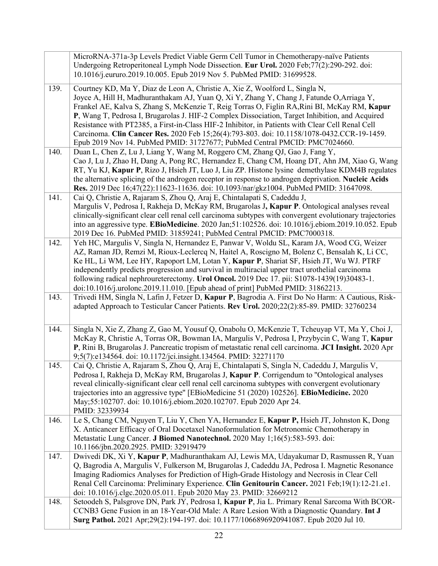|      | MicroRNA-371a-3p Levels Predict Viable Germ Cell Tumor in Chemotherapy-naïve Patients                                                                                                          |
|------|------------------------------------------------------------------------------------------------------------------------------------------------------------------------------------------------|
|      | Undergoing Retroperitoneal Lymph Node Dissection. Eur Urol. 2020 Feb; 77(2): 290-292. doi:                                                                                                     |
|      | 10.1016/j.eururo.2019.10.005. Epub 2019 Nov 5. PubMed PMID: 31699528.                                                                                                                          |
| 139. | Courtney KD, Ma Y, Diaz de Leon A, Christie A, Xie Z, Woolford L, Singla N,                                                                                                                    |
|      | Joyce A, Hill H, Madhuranthakam AJ, Yuan Q, Xi Y, Zhang Y, Chang J, Fatunde O, Arriaga Y,                                                                                                      |
|      | Frankel AE, Kalva S, Zhang S, McKenzie T, Reig Torras O, Figlin RA, Rini BI, McKay RM, Kapur                                                                                                   |
|      | P, Wang T, Pedrosa I, Brugarolas J. HIF-2 Complex Dissociation, Target Inhibition, and Acquired                                                                                                |
|      | Resistance with PT2385, a First-in-Class HIF-2 Inhibitor, in Patients with Clear Cell Renal Cell                                                                                               |
|      | Carcinoma. Clin Cancer Res. 2020 Feb 15;26(4):793-803. doi: 10.1158/1078-0432.CCR-19-1459.                                                                                                     |
|      | Epub 2019 Nov 14. PubMed PMID: 31727677; PubMed Central PMCID: PMC7024660.                                                                                                                     |
| 140. | Duan L, Chen Z, Lu J, Liang Y, Wang M, Roggero CM, Zhang QJ, Gao J, Fang Y,                                                                                                                    |
|      | Cao J, Lu J, Zhao H, Dang A, Pong RC, Hernandez E, Chang CM, Hoang DT, Ahn JM, Xiao G, Wang                                                                                                    |
|      | RT, Yu KJ, Kapur P, Rizo J, Hsieh JT, Luo J, Liu ZP. Histone lysine demethylase KDM4B regulates                                                                                                |
|      | the alternative splicing of the androgen receptor in response to androgen deprivation. Nucleic Acids                                                                                           |
|      | Res. 2019 Dec 16;47(22):11623-11636. doi: 10.1093/nar/gkz1004. PubMed PMID: 31647098.                                                                                                          |
| 141. | Cai Q, Christie A, Rajaram S, Zhou Q, Araj E, Chintalapati S, Cadeddu J,                                                                                                                       |
|      | Margulis V, Pedrosa I, Rakheja D, McKay RM, Brugarolas J, Kapur P. Ontological analyses reveal                                                                                                 |
|      | clinically-significant clear cell renal cell carcinoma subtypes with convergent evolutionary trajectories                                                                                      |
|      | into an aggressive type. EBioMedicine. 2020 Jan;51:102526. doi: 10.1016/j.ebiom.2019.10.052. Epub                                                                                              |
|      | 2019 Dec 16. PubMed PMID: 31859241; PubMed Central PMCID: PMC7000318.                                                                                                                          |
| 142. | Yeh HC, Margulis V, Singla N, Hernandez E, Panwar V, Woldu SL, Karam JA, Wood CG, Weizer                                                                                                       |
|      | AZ, Raman JD, Remzi M, Rioux-Leclercq N, Haitel A, Roscigno M, Bolenz C, Bensalah K, Li CC,                                                                                                    |
|      | Ke HL, Li WM, Lee HY, Rapoport LM, Lotan Y, Kapur P, Shariat SF, Hsieh JT, Wu WJ. PTRF                                                                                                         |
|      | independently predicts progression and survival in multiracial upper tract urothelial carcinoma                                                                                                |
|      | following radical nephroureterectomy. Urol Oncol. 2019 Dec 17. pii: S1078-1439(19)30483-1.                                                                                                     |
|      | doi:10.1016/j.urolonc.2019.11.010. [Epub ahead of print] PubMed PMID: 31862213.                                                                                                                |
| 143. | Trivedi HM, Singla N, Lafin J, Fetzer D, Kapur P, Bagrodia A. First Do No Harm: A Cautious, Risk-                                                                                              |
|      | adapted Approach to Testicular Cancer Patients. Rev Urol. 2020;22(2):85-89. PMID: 32760234                                                                                                     |
|      |                                                                                                                                                                                                |
|      |                                                                                                                                                                                                |
|      |                                                                                                                                                                                                |
| 144. | Singla N, Xie Z, Zhang Z, Gao M, Yousuf Q, Onabolu O, McKenzie T, Tcheuyap VT, Ma Y, Choi J,                                                                                                   |
|      | McKay R, Christie A, Torras OR, Bowman IA, Margulis V, Pedrosa I, Przybycin C, Wang T, Kapur                                                                                                   |
|      | P, Rini B, Brugarolas J. Pancreatic tropism of metastatic renal cell carcinoma. JCI Insight. 2020 Apr                                                                                          |
| 145. | 9;5(7):e134564. doi: 10.1172/jci.insight.134564. PMID: 32271170                                                                                                                                |
|      | Cai Q, Christie A, Rajaram S, Zhou Q, Araj E, Chintalapati S, Singla N, Cadeddu J, Margulis V,<br>Pedrosa I, Rakheja D, McKay RM, Brugarolas J, Kapur P. Corrigendum to "Ontological analyses" |
|      | reveal clinically-significant clear cell renal cell carcinoma subtypes with convergent evolutionary                                                                                            |
|      | trajectories into an aggressive type" [EBioMedicine 51 (2020) 102526]. EBioMedicine. 2020                                                                                                      |
|      | May;55:102707. doi: 10.1016/j.ebiom.2020.102707. Epub 2020 Apr 24.                                                                                                                             |
|      | PMID: 32339934                                                                                                                                                                                 |
| 146. | Le S, Chang CM, Nguyen T, Liu Y, Chen YA, Hernandez E, Kapur P, Hsieh JT, Johnston K, Dong                                                                                                     |
|      | X. Anticancer Efficacy of Oral Docetaxel Nanoformulation for Metronomic Chemotherapy in                                                                                                        |
|      | Metastatic Lung Cancer. J Biomed Nanotechnol. 2020 May 1;16(5):583-593. doi:                                                                                                                   |
|      | 10.1166/jbn.2020.2925. PMID: 32919479                                                                                                                                                          |
| 147. | Dwivedi DK, Xi Y, Kapur P, Madhuranthakam AJ, Lewis MA, Udayakumar D, Rasmussen R, Yuan                                                                                                        |
|      | Q, Bagrodia A, Margulis V, Fulkerson M, Brugarolas J, Cadeddu JA, Pedrosa I. Magnetic Resonance                                                                                                |
|      | Imaging Radiomics Analyses for Prediction of High-Grade Histology and Necrosis in Clear Cell                                                                                                   |
|      | Renal Cell Carcinoma: Preliminary Experience. Clin Genitourin Cancer. 2021 Feb;19(1):12-21.e1.                                                                                                 |
|      | doi: 10.1016/j.clgc.2020.05.011. Epub 2020 May 23. PMID: 32669212                                                                                                                              |
| 148. | Setoodeh S, Palsgrove DN, Park JY, Pedrosa I, Kapur P, Jia L. Primary Renal Sarcoma With BCOR-                                                                                                 |
|      | CCNB3 Gene Fusion in an 18-Year-Old Male: A Rare Lesion With a Diagnostic Quandary. Int J<br>Surg Pathol. 2021 Apr;29(2):194-197. doi: 10.1177/1066896920941087. Epub 2020 Jul 10.             |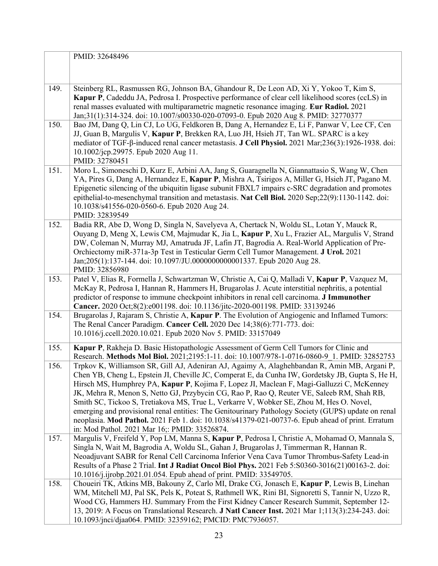|      | PMID: 32648496                                                                                                                                                                                                                                                                                                                                                                                                                                                                                                                                                                                                                                                                                                                                     |
|------|----------------------------------------------------------------------------------------------------------------------------------------------------------------------------------------------------------------------------------------------------------------------------------------------------------------------------------------------------------------------------------------------------------------------------------------------------------------------------------------------------------------------------------------------------------------------------------------------------------------------------------------------------------------------------------------------------------------------------------------------------|
|      |                                                                                                                                                                                                                                                                                                                                                                                                                                                                                                                                                                                                                                                                                                                                                    |
| 149. | Steinberg RL, Rasmussen RG, Johnson BA, Ghandour R, De Leon AD, Xi Y, Yokoo T, Kim S,<br>Kapur P, Cadeddu JA, Pedrosa I. Prospective performance of clear cell likelihood scores (ccLS) in<br>renal masses evaluated with multiparametric magnetic resonance imaging. Eur Radiol. 2021<br>Jan;31(1):314-324. doi: 10.1007/s00330-020-07093-0. Epub 2020 Aug 8. PMID: 32770377                                                                                                                                                                                                                                                                                                                                                                      |
| 150. | Bao JM, Dang Q, Lin CJ, Lo UG, Feldkoren B, Dang A, Hernandez E, Li F, Panwar V, Lee CF, Cen<br>JJ, Guan B, Margulis V, Kapur P, Brekken RA, Luo JH, Hsieh JT, Tan WL. SPARC is a key<br>mediator of TGF- $\beta$ -induced renal cancer metastasis. J Cell Physiol. 2021 Mar;236(3):1926-1938. doi:<br>10.1002/jcp.29975. Epub 2020 Aug 11.<br>PMID: 32780451                                                                                                                                                                                                                                                                                                                                                                                      |
| 151. | Moro L, Simoneschi D, Kurz E, Arbini AA, Jang S, Guaragnella N, Giannattasio S, Wang W, Chen<br>YA, Pires G, Dang A, Hernandez E, Kapur P, Mishra A, Tsirigos A, Miller G, Hsieh JT, Pagano M.<br>Epigenetic silencing of the ubiquitin ligase subunit FBXL7 impairs c-SRC degradation and promotes<br>epithelial-to-mesenchymal transition and metastasis. Nat Cell Biol. 2020 Sep;22(9):1130-1142. doi:<br>10.1038/s41556-020-0560-6. Epub 2020 Aug 24.<br>PMID: 32839549                                                                                                                                                                                                                                                                        |
| 152. | Badia RR, Abe D, Wong D, Singla N, Savelyeva A, Chertack N, Woldu SL, Lotan Y, Mauck R,<br>Ouyang D, Meng X, Lewis CM, Majmudar K, Jia L, Kapur P, Xu L, Frazier AL, Margulis V, Strand<br>DW, Coleman N, Murray MJ, Amatruda JF, Lafin JT, Bagrodia A. Real-World Application of Pre-<br>Orchiectomy miR-371a-3p Test in Testicular Germ Cell Tumor Management. J Urol. 2021<br>Jan;205(1):137-144. doi: 10.1097/JU.0000000000001337. Epub 2020 Aug 28.<br>PMID: 32856980                                                                                                                                                                                                                                                                         |
| 153. | Patel V, Elias R, Formella J, Schwartzman W, Christie A, Cai Q, Malladi V, Kapur P, Vazquez M,<br>McKay R, Pedrosa I, Hannan R, Hammers H, Brugarolas J. Acute interstitial nephritis, a potential<br>predictor of response to immune checkpoint inhibitors in renal cell carcinoma. J Immunother<br>Cancer. 2020 Oct;8(2):e001198. doi: 10.1136/jitc-2020-001198. PMID: 33139246                                                                                                                                                                                                                                                                                                                                                                  |
| 154. | Brugarolas J, Rajaram S, Christie A, Kapur P. The Evolution of Angiogenic and Inflamed Tumors:<br>The Renal Cancer Paradigm. Cancer Cell. 2020 Dec 14;38(6):771-773. doi:<br>10.1016/j.ccell.2020.10.021. Epub 2020 Nov 5. PMID: 33157049                                                                                                                                                                                                                                                                                                                                                                                                                                                                                                          |
| 155. | Kapur P, Rakheja D. Basic Histopathologic Assessment of Germ Cell Tumors for Clinic and<br>Research. Methods Mol Biol. 2021;2195:1-11. doi: 10.1007/978-1-0716-0860-9 1. PMID: 32852753                                                                                                                                                                                                                                                                                                                                                                                                                                                                                                                                                            |
| 156. | Trpkov K, Williamson SR, Gill AJ, Adeniran AJ, Agaimy A, Alaghehbandan R, Amin MB, Argani P,<br>Chen YB, Cheng L, Epstein JI, Cheville JC, Comperat E, da Cunha IW, Gordetsky JB, Gupta S, He H,<br>Hirsch MS, Humphrey PA, Kapur P, Kojima F, Lopez JI, Maclean F, Magi-Galluzzi C, McKenney<br>JK, Mehra R, Menon S, Netto GJ, Przybycin CG, Rao P, Rao Q, Reuter VE, Saleeb RM, Shah RB,<br>Smith SC, Tickoo S, Tretiakova MS, True L, Verkarre V, Wobker SE, Zhou M, Hes O. Novel,<br>emerging and provisional renal entities: The Genitourinary Pathology Society (GUPS) update on renal<br>neoplasia. Mod Pathol. 2021 Feb 1. doi: 10.1038/s41379-021-00737-6. Epub ahead of print. Erratum<br>in: Mod Pathol. 2021 Mar 16;: PMID: 33526874. |
| 157. | Margulis V, Freifeld Y, Pop LM, Manna S, Kapur P, Pedrosa I, Christie A, Mohamad O, Mannala S,<br>Singla N, Wait M, Bagrodia A, Woldu SL, Gahan J, Brugarolas J, Timmerman R, Hannan R.<br>Neoadjuvant SABR for Renal Cell Carcinoma Inferior Vena Cava Tumor Thrombus-Safety Lead-in<br>Results of a Phase 2 Trial. Int J Radiat Oncol Biol Phys. 2021 Feb 5:S0360-3016(21)00163-2. doi:<br>10.1016/j.ijrobp.2021.01.054. Epub ahead of print. PMID: 33549705.                                                                                                                                                                                                                                                                                    |
| 158. | Choueiri TK, Atkins MB, Bakouny Z, Carlo MI, Drake CG, Jonasch E, Kapur P, Lewis B, Linehan<br>WM, Mitchell MJ, Pal SK, Pels K, Poteat S, Rathmell WK, Rini BI, Signoretti S, Tannir N, Uzzo R,<br>Wood CG, Hammers HJ. Summary From the First Kidney Cancer Research Summit, September 12-<br>13, 2019: A Focus on Translational Research. <b>J Natl Cancer Inst.</b> 2021 Mar 1;113(3):234-243. doi:<br>10.1093/jnci/djaa064. PMID: 32359162; PMCID: PMC7936057.                                                                                                                                                                                                                                                                                 |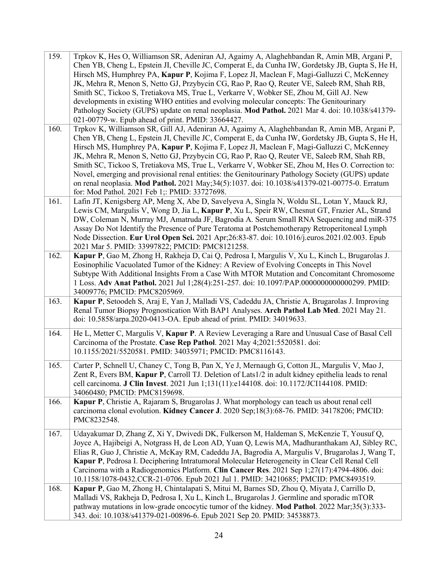| 159. | Trpkov K, Hes O, Williamson SR, Adeniran AJ, Agaimy A, Alaghehbandan R, Amin MB, Argani P,<br>Chen YB, Cheng L, Epstein JI, Cheville JC, Comperat E, da Cunha IW, Gordetsky JB, Gupta S, He H,<br>Hirsch MS, Humphrey PA, Kapur P, Kojima F, Lopez JI, Maclean F, Magi-Galluzzi C, McKenney<br>JK, Mehra R, Menon S, Netto GJ, Przybycin CG, Rao P, Rao Q, Reuter VE, Saleeb RM, Shah RB,<br>Smith SC, Tickoo S, Tretiakova MS, True L, Verkarre V, Wobker SE, Zhou M, Gill AJ. New<br>developments in existing WHO entities and evolving molecular concepts: The Genitourinary<br>Pathology Society (GUPS) update on renal neoplasia. Mod Pathol. 2021 Mar 4. doi: 10.1038/s41379-<br>021-00779-w. Epub ahead of print. PMID: 33664427.              |
|------|-------------------------------------------------------------------------------------------------------------------------------------------------------------------------------------------------------------------------------------------------------------------------------------------------------------------------------------------------------------------------------------------------------------------------------------------------------------------------------------------------------------------------------------------------------------------------------------------------------------------------------------------------------------------------------------------------------------------------------------------------------|
| 160. | Trpkov K, Williamson SR, Gill AJ, Adeniran AJ, Agaimy A, Alaghehbandan R, Amin MB, Argani P,<br>Chen YB, Cheng L, Epstein JI, Cheville JC, Comperat E, da Cunha IW, Gordetsky JB, Gupta S, He H,<br>Hirsch MS, Humphrey PA, Kapur P, Kojima F, Lopez JI, Maclean F, Magi-Galluzzi C, McKenney<br>JK, Mehra R, Menon S, Netto GJ, Przybycin CG, Rao P, Rao Q, Reuter VE, Saleeb RM, Shah RB,<br>Smith SC, Tickoo S, Tretiakova MS, True L, Verkarre V, Wobker SE, Zhou M, Hes O. Correction to:<br>Novel, emerging and provisional renal entities: the Genitourinary Pathology Society (GUPS) update<br>on renal neoplasia. Mod Pathol. 2021 May;34(5):1037. doi: 10.1038/s41379-021-00775-0. Erratum<br>for: Mod Pathol. 2021 Feb 1;: PMID: 33727698. |
| 161. | Lafin JT, Kenigsberg AP, Meng X, Abe D, Savelyeva A, Singla N, Woldu SL, Lotan Y, Mauck RJ,<br>Lewis CM, Margulis V, Wong D, Jia L, Kapur P, Xu L, Speir RW, Chesnut GT, Frazier AL, Strand<br>DW, Coleman N, Murray MJ, Amatruda JF, Bagrodia A. Serum Small RNA Sequencing and miR-375<br>Assay Do Not Identify the Presence of Pure Teratoma at Postchemotherapy Retroperitoneal Lymph<br>Node Dissection. Eur Urol Open Sci. 2021 Apr;26:83-87. doi: 10.1016/j.euros.2021.02.003. Epub<br>2021 Mar 5. PMID: 33997822; PMCID: PMC8121258.                                                                                                                                                                                                          |
| 162. | Kapur P, Gao M, Zhong H, Rakheja D, Cai Q, Pedrosa I, Margulis V, Xu L, Kinch L, Brugarolas J.<br>Eosinophilic Vacuolated Tumor of the Kidney: A Review of Evolving Concepts in This Novel<br>Subtype With Additional Insights From a Case With MTOR Mutation and Concomitant Chromosome<br>1 Loss. Adv Anat Pathol. 2021 Jul 1;28(4):251-257. doi: 10.1097/PAP.0000000000000299. PMID:<br>34009776; PMCID: PMC8205969.                                                                                                                                                                                                                                                                                                                               |
| 163. | Kapur P, Setoodeh S, Araj E, Yan J, Malladi VS, Cadeddu JA, Christie A, Brugarolas J. Improving<br>Renal Tumor Biopsy Prognostication With BAP1 Analyses. Arch Pathol Lab Med. 2021 May 21.<br>doi: 10.5858/arpa.2020-0413-OA. Epub ahead of print. PMID: 34019633.                                                                                                                                                                                                                                                                                                                                                                                                                                                                                   |
| 164. | He L, Metter C, Margulis V, Kapur P. A Review Leveraging a Rare and Unusual Case of Basal Cell<br>Carcinoma of the Prostate. Case Rep Pathol. 2021 May 4;2021:5520581. doi:<br>10.1155/2021/5520581. PMID: 34035971; PMCID: PMC8116143.                                                                                                                                                                                                                                                                                                                                                                                                                                                                                                               |
| 165. | Carter P, Schnell U, Chaney C, Tong B, Pan X, Ye J, Mernaugh G, Cotton JL, Margulis V, Mao J,<br>Zent R, Evers BM, Kapur P, Carroll TJ. Deletion of Lats1/2 in adult kidney epithelia leads to renal<br>cell carcinoma. J Clin Invest. 2021 Jun 1;131(11):e144108. doi: 10.1172/JCI144108. PMID:<br>34060480; PMCID: PMC8159698.                                                                                                                                                                                                                                                                                                                                                                                                                      |
| 166. | Kapur P, Christie A, Rajaram S, Brugarolas J. What morphology can teach us about renal cell<br>carcinoma clonal evolution. Kidney Cancer J. 2020 Sep;18(3):68-76. PMID: 34178206; PMCID:<br>PMC8232548.                                                                                                                                                                                                                                                                                                                                                                                                                                                                                                                                               |
| 167. | Udayakumar D, Zhang Z, Xi Y, Dwivedi DK, Fulkerson M, Haldeman S, McKenzie T, Yousuf Q,<br>Joyce A, Hajibeigi A, Notgrass H, de Leon AD, Yuan Q, Lewis MA, Madhuranthakam AJ, Sibley RC,<br>Elias R, Guo J, Christie A, McKay RM, Cadeddu JA, Bagrodia A, Margulis V, Brugarolas J, Wang T,<br>Kapur P, Pedrosa I. Deciphering Intratumoral Molecular Heterogeneity in Clear Cell Renal Cell<br>Carcinoma with a Radiogenomics Platform. Clin Cancer Res. 2021 Sep 1;27(17):4794-4806. doi:<br>10.1158/1078-0432.CCR-21-0706. Epub 2021 Jul 1. PMID: 34210685; PMCID: PMC8493519.                                                                                                                                                                     |
| 168. | Kapur P, Gao M, Zhong H, Chintalapati S, Mitui M, Barnes SD, Zhou Q, Miyata J, Carrillo D,<br>Malladi VS, Rakheja D, Pedrosa I, Xu L, Kinch L, Brugarolas J. Germline and sporadic mTOR<br>pathway mutations in low-grade oncocytic tumor of the kidney. Mod Pathol. 2022 Mar;35(3):333-<br>343. doi: 10.1038/s41379-021-00896-6. Epub 2021 Sep 20. PMID: 34538873.                                                                                                                                                                                                                                                                                                                                                                                   |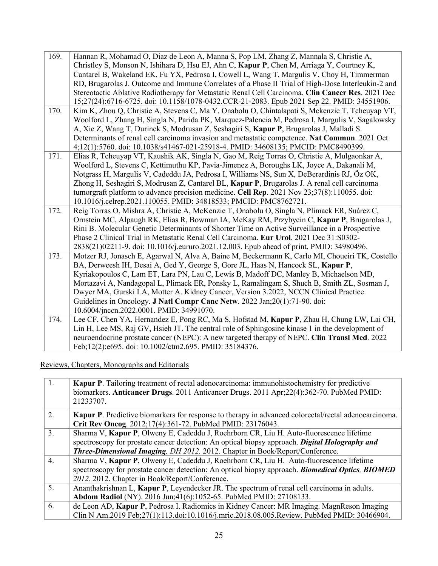| 169. | Hannan R, Mohamad O, Diaz de Leon A, Manna S, Pop LM, Zhang Z, Mannala S, Christie A,              |
|------|----------------------------------------------------------------------------------------------------|
|      | Christley S, Monson N, Ishihara D, Hsu EJ, Ahn C, Kapur P, Chen M, Arriaga Y, Courtney K,          |
|      | Cantarel B, Wakeland EK, Fu YX, Pedrosa I, Cowell L, Wang T, Margulis V, Choy H, Timmerman         |
|      | RD, Brugarolas J. Outcome and Immune Correlates of a Phase II Trial of High-Dose Interleukin-2 and |
|      | Stereotactic Ablative Radiotherapy for Metastatic Renal Cell Carcinoma. Clin Cancer Res. 2021 Dec  |
|      | 15;27(24):6716-6725. doi: 10.1158/1078-0432.CCR-21-2083. Epub 2021 Sep 22. PMID: 34551906.         |
| 170. | Kim K, Zhou Q, Christie A, Stevens C, Ma Y, Onabolu O, Chintalapati S, Mckenzie T, Tcheuyap VT,    |
|      | Woolford L, Zhang H, Singla N, Parida PK, Marquez-Palencia M, Pedrosa I, Margulis V, Sagalowsky    |
|      | A, Xie Z, Wang T, Durinck S, Modrusan Z, Seshagiri S, Kapur P, Brugarolas J, Malladi S.            |
|      | Determinants of renal cell carcinoma invasion and metastatic competence. Nat Commun. 2021 Oct      |
|      | 4;12(1):5760. doi: 10.1038/s41467-021-25918-4. PMID: 34608135; PMCID: PMC8490399.                  |
| 171. | Elias R, Tcheuyap VT, Kaushik AK, Singla N, Gao M, Reig Torras O, Christie A, Mulgaonkar A,        |
|      | Woolford L, Stevens C, Kettimuthu KP, Pavia-Jimenez A, Boroughs LK, Joyce A, Dakanali M,           |
|      | Notgrass H, Margulis V, Cadeddu JA, Pedrosa I, Williams NS, Sun X, DeBerardinis RJ, Öz OK,         |
|      | Zhong H, Seshagiri S, Modrusan Z, Cantarel BL, Kapur P, Brugarolas J. A renal cell carcinoma       |
|      | tumorgraft platform to advance precision medicine. Cell Rep. 2021 Nov 23;37(8):110055. doi:        |
|      | 10.1016/j.celrep.2021.110055. PMID: 34818533; PMCID: PMC8762721.                                   |
| 172. | Reig Torras O, Mishra A, Christie A, McKenzie T, Onabolu O, Singla N, Plimack ER, Suárez C,        |
|      | Ornstein MC, Alpaugh RK, Elias R, Bowman IA, McKay RM, Przybycin C, Kapur P, Brugarolas J,         |
|      | Rini B. Molecular Genetic Determinants of Shorter Time on Active Surveillance in a Prospective     |
|      | Phase 2 Clinical Trial in Metastatic Renal Cell Carcinoma. Eur Urol. 2021 Dec 31:S0302-            |
|      | 2838(21)02211-9. doi: 10.1016/j.eururo.2021.12.003. Epub ahead of print. PMID: 34980496.           |
| 173. | Motzer RJ, Jonasch E, Agarwal N, Alva A, Baine M, Beckermann K, Carlo MI, Choueiri TK, Costello    |
|      | BA, Derweesh IH, Desai A, Ged Y, George S, Gore JL, Haas N, Hancock SL, Kapur P,                   |
|      | Kyriakopoulos C, Lam ET, Lara PN, Lau C, Lewis B, Madoff DC, Manley B, Michaelson MD,              |
|      | Mortazavi A, Nandagopal L, Plimack ER, Ponsky L, Ramalingam S, Shuch B, Smith ZL, Sosman J,        |
|      | Dwyer MA, Gurski LA, Motter A. Kidney Cancer, Version 3.2022, NCCN Clinical Practice               |
|      | Guidelines in Oncology. J Natl Compr Canc Netw. 2022 Jan;20(1):71-90. doi:                         |
|      | 10.6004/jnccn.2022.0001. PMID: 34991070.                                                           |
| 174. | Lee CF, Chen YA, Hernandez E, Pong RC, Ma S, Hofstad M, Kapur P, Zhau H, Chung LW, Lai CH,         |
|      | Lin H, Lee MS, Raj GV, Hsieh JT. The central role of Sphingosine kinase 1 in the development of    |
|      | neuroendocrine prostate cancer (NEPC): A new targeted therapy of NEPC. Clin Transl Med. 2022       |
|      | Feb;12(2):e695. doi: 10.1002/ctm2.695. PMID: 35184376.                                             |

Reviews, Chapters, Monographs and Editorials

| 1.               | Kapur P. Tailoring treatment of rectal adenocarcinoma: immunohistochemistry for predictive<br>biomarkers. Anticancer Drugs. 2011 Anticancer Drugs. 2011 Apr;22(4):362-70. PubMed PMID:<br>21233707. |
|------------------|-----------------------------------------------------------------------------------------------------------------------------------------------------------------------------------------------------|
| 2.               | <b>Kapur P.</b> Predictive biomarkers for response to therapy in advanced colorectal/rectal adenocarcinoma.                                                                                         |
|                  | Crit Rev Oncog. 2012;17(4):361-72. PubMed PMID: 23176043.                                                                                                                                           |
| $\overline{3}$ . | Sharma V, Kapur P, Olweny E, Cadeddu J, Roehrborn CR, Liu H. Auto-fluorescence lifetime                                                                                                             |
|                  | spectroscopy for prostate cancer detection: An optical biopsy approach. Digital Holography and                                                                                                      |
|                  | Three-Dimensional Imaging, DH 2012. 2012. Chapter in Book/Report/Conference.                                                                                                                        |
| 4.               | Sharma V, Kapur P, Olweny E, Cadeddu J, Roehrborn CR, Liu H. Auto-fluorescence lifetime                                                                                                             |
|                  | spectroscopy for prostate cancer detection: An optical biopsy approach. Biomedical Optics, BIOMED                                                                                                   |
|                  | 2012. 2012. Chapter in Book/Report/Conference.                                                                                                                                                      |
| 5.               | Ananthakrishnan L, Kapur P, Leyendecker JR. The spectrum of renal cell carcinoma in adults.                                                                                                         |
|                  | Abdom Radiol (NY). 2016 Jun; 41(6): 1052-65. PubMed PMID: 27108133.                                                                                                                                 |
| 6.               | de Leon AD, Kapur P, Pedrosa I. Radiomics in Kidney Cancer: MR Imaging. MagnReson Imaging                                                                                                           |
|                  | Clin N Am.2019 Feb;27(1):113.doi:10.1016/j.mric.2018.08.005.Review. PubMed PMID: 30466904.                                                                                                          |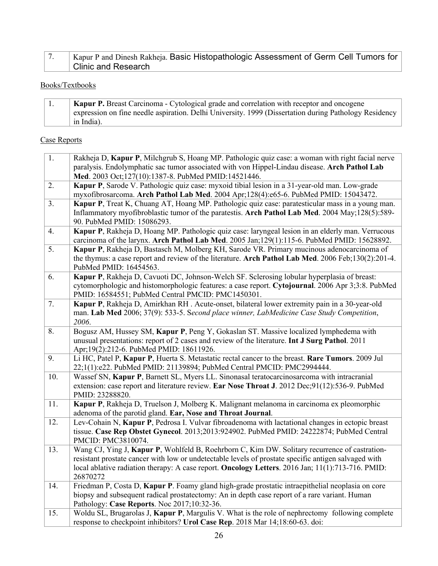| Kapur P and Dinesh Rakheja. Basic Histopathologic Assessment of Germ Cell Tumors for |
|--------------------------------------------------------------------------------------|
| <b>Clinic and Research</b>                                                           |

# Books/Textbooks

|  | Kapur P. Breast Carcinoma - Cytological grade and correlation with receptor and oncogene              |
|--|-------------------------------------------------------------------------------------------------------|
|  | expression on fine needle aspiration. Delhi University. 1999 (Dissertation during Pathology Residency |
|  | in India).                                                                                            |

# Case Reports

| 1.  | Rakheja D, Kapur P, Milchgrub S, Hoang MP. Pathologic quiz case: a woman with right facial nerve     |
|-----|------------------------------------------------------------------------------------------------------|
|     | paralysis. Endolymphatic sac tumor associated with von Hippel-Lindau disease. Arch Pathol Lab        |
|     | Med. 2003 Oct;127(10):1387-8. PubMed PMID:14521446.                                                  |
| 2.  | Kapur P, Sarode V. Pathologic quiz case: myxoid tibial lesion in a 31-year-old man. Low-grade        |
|     | myxofibrosarcoma. Arch Pathol Lab Med. 2004 Apr;128(4):e65-6. PubMed PMID: 15043472.                 |
| 3.  | Kapur P, Treat K, Chuang AT, Hoang MP. Pathologic quiz case: paratesticular mass in a young man.     |
|     | Inflammatory myofibroblastic tumor of the paratestis. Arch Pathol Lab Med. 2004 May;128(5):589-      |
|     | 90. PubMed PMID: 15086293.                                                                           |
| 4.  | Kapur P, Rakheja D, Hoang MP. Pathologic quiz case: laryngeal lesion in an elderly man. Verrucous    |
|     | carcinoma of the larynx. Arch Pathol Lab Med. 2005 Jan; 129(1): 115-6. PubMed PMID: 15628892.        |
| 5.  | Kapur P, Rakheja D, Bastasch M, Molberg KH, Sarode VR. Primary mucinous adenocarcinoma of            |
|     | the thymus: a case report and review of the literature. Arch Pathol Lab Med. 2006 Feb;130(2):201-4.  |
|     | PubMed PMID: 16454563.                                                                               |
| 6.  | Kapur P, Rakheja D, Cavuoti DC, Johnson-Welch SF. Sclerosing lobular hyperplasia of breast:          |
|     | cytomorphologic and histomorphologic features: a case report. Cytojournal. 2006 Apr 3;3:8. PubMed    |
|     | PMID: 16584551; PubMed Central PMCID: PMC1450301.                                                    |
| 7.  | Kapur P, Rakheja D, Amirkhan RH. Acute-onset, bilateral lower extremity pain in a 30-year-old        |
|     | man. Lab Med 2006; 37(9): 533-5. Second place winner, LabMedicine Case Study Competition,            |
|     | 2006.                                                                                                |
| 8.  | Bogusz AM, Hussey SM, Kapur P, Peng Y, Gokaslan ST. Massive localized lymphedema with                |
|     | unusual presentations: report of 2 cases and review of the literature. Int J Surg Pathol. 2011       |
|     | Apr;19(2):212-6. PubMed PMID: 18611926.                                                              |
| 9.  | Li HC, Patel P, Kapur P, Huerta S. Metastatic rectal cancer to the breast. Rare Tumors. 2009 Jul     |
|     | 22;1(1):e22. PubMed PMID: 21139894; PubMed Central PMCID: PMC2994444.                                |
| 10. | Wassef SN, Kapur P, Barnett SL, Myers LL. Sinonasal teratocarcinosarcoma with intracranial           |
|     | extension: case report and literature review. Ear Nose Throat J. 2012 Dec;91(12):536-9. PubMed       |
|     | PMID: 23288820.                                                                                      |
| 11. | Kapur P, Rakheja D, Truelson J, Molberg K. Malignant melanoma in carcinoma ex pleomorphic            |
|     | adenoma of the parotid gland. Ear, Nose and Throat Journal.                                          |
| 12. | Lev-Cohain N, Kapur P, Pedrosa I. Vulvar fibroadenoma with lactational changes in ectopic breast     |
|     | tissue. Case Rep Obstet Gynecol. 2013;2013:924902. PubMed PMID: 24222874; PubMed Central             |
|     | PMCID: PMC3810074.                                                                                   |
| 13. | Wang CJ, Ying J, Kapur P, Wohlfeld B, Roehrborn C, Kim DW. Solitary recurrence of castration-        |
|     | resistant prostate cancer with low or undetectable levels of prostate specific antigen salvaged with |
|     | local ablative radiation therapy: A case report. Oncology Letters. 2016 Jan; 11(1):713-716. PMID:    |
|     | 26870272                                                                                             |
| 14. | Friedman P, Costa D, Kapur P. Foamy gland high-grade prostatic intraepithelial neoplasia on core     |
|     | biopsy and subsequent radical prostatectomy: An in depth case report of a rare variant. Human        |
|     | Pathology: Case Reports. Noc 2017;10:32-36.                                                          |
| 15. | Woldu SL, Brugarolas J, Kapur P, Margulis V. What is the role of nephrectomy following complete      |
|     | response to checkpoint inhibitors? Urol Case Rep. 2018 Mar 14;18:60-63. doi:                         |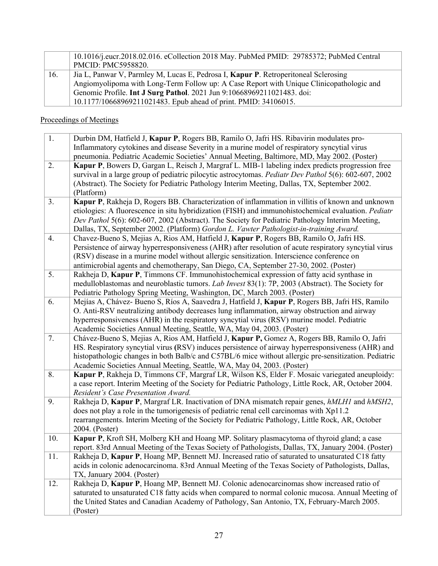|     | 10.1016/j.eucr.2018.02.016. eCollection 2018 May. PubMed PMID: 29785372; PubMed Central     |
|-----|---------------------------------------------------------------------------------------------|
|     | <b>PMCID: PMC5958820.</b>                                                                   |
| 16. | Jia L, Panwar V, Parmley M, Lucas E, Pedrosa I, <b>Kapur P</b> . Retroperitoneal Sclerosing |
|     | Angiomyolipoma with Long-Term Follow up: A Case Report with Unique Clinicopathologic and    |
|     | Genomic Profile. Int J Surg Pathol. 2021 Jun 9:10668969211021483. doi:                      |
|     | 10.1177/10668969211021483. Epub ahead of print. PMID: 34106015.                             |

# Proceedings of Meetings

| 1.  | Durbin DM, Hatfield J, Kapur P, Rogers BB, Ramilo O, Jafri HS. Ribavirin modulates pro-                                                                                                                                                                                                                                                                                                              |
|-----|------------------------------------------------------------------------------------------------------------------------------------------------------------------------------------------------------------------------------------------------------------------------------------------------------------------------------------------------------------------------------------------------------|
|     | Inflammatory cytokines and disease Severity in a murine model of respiratory syncytial virus                                                                                                                                                                                                                                                                                                         |
|     | pneumonia. Pediatric Academic Societies' Annual Meeting, Baltimore, MD, May 2002. (Poster)                                                                                                                                                                                                                                                                                                           |
| 2.  | Kapur P, Bowers D, Gargan L, Reisch J, Margraf L. MIB-1 labeling index predicts progression free<br>survival in a large group of pediatric pilocytic astrocytomas. Pediatr Dev Pathol 5(6): 602-607, 2002<br>(Abstract). The Society for Pediatric Pathology Interim Meeting, Dallas, TX, September 2002.<br>(Platform)                                                                              |
| 3.  | Kapur P, Rakheja D, Rogers BB. Characterization of inflammation in villitis of known and unknown<br>etiologies: A fluorescence in situ hybridization (FISH) and immunohistochemical evaluation. Pediatr<br>Dev Pathol 5(6): 602-607, 2002 (Abstract). The Society for Pediatric Pathology Interim Meeting,<br>Dallas, TX, September 2002. (Platform) Gordon L. Vawter Pathologist-in-training Award. |
| 4.  | Chavez-Bueno S, Mejias A, Rios AM, Hatfield J, Kapur P, Rogers BB, Ramilo O, Jafri HS.<br>Persistence of airway hyperresponsiveness (AHR) after resolution of acute respiratory syncytial virus<br>(RSV) disease in a murine model without allergic sensitization. Interscience conference on<br>antimicrobial agents and chemotherapy, San Diego, CA, September 27-30, 2002. (Poster)               |
| 5.  | Rakheja D, Kapur P, Timmons CF. Immunohistochemical expression of fatty acid synthase in<br>medulloblastomas and neuroblastic tumors. Lab Invest 83(1): 7P, 2003 (Abstract). The Society for<br>Pediatric Pathology Spring Meeting, Washington, DC, March 2003. (Poster)                                                                                                                             |
| 6.  | Mejías A, Chávez- Bueno S, Ríos A, Saavedra J, Hatfield J, Kapur P, Rogers BB, Jafri HS, Ramilo<br>O. Anti-RSV neutralizing antibody decreases lung inflammation, airway obstruction and airway<br>hyperresponsiveness (AHR) in the respiratory syncytial virus (RSV) murine model. Pediatric<br>Academic Societies Annual Meeting, Seattle, WA, May 04, 2003. (Poster)                              |
| 7.  | Chávez-Bueno S, Mejias A, Rios AM, Hatfield J, Kapur P, Gomez A, Rogers BB, Ramilo O, Jafri<br>HS. Respiratory syncytial virus (RSV) induces persistence of airway hyperresponsiveness (AHR) and<br>histopathologic changes in both Balb/c and C57BL/6 mice without allergic pre-sensitization. Pediatric<br>Academic Societies Annual Meeting, Seattle, WA, May 04, 2003. (Poster)                  |
| 8.  | Kapur P, Rakheja D, Timmons CF, Margraf LR, Wilson KS, Elder F. Mosaic variegated aneuploidy:<br>a case report. Interim Meeting of the Society for Pediatric Pathology, Little Rock, AR, October 2004.<br>Resident's Case Presentation Award.                                                                                                                                                        |
| 9.  | Rakheja D, Kapur P, Margraf LR. Inactivation of DNA mismatch repair genes, hMLH1 and hMSH2,<br>does not play a role in the tumorigenesis of pediatric renal cell carcinomas with Xp11.2<br>rearrangements. Interim Meeting of the Society for Pediatric Pathology, Little Rock, AR, October<br>2004. (Poster)                                                                                        |
| 10. | Kapur P, Kroft SH, Molberg KH and Hoang MP. Solitary plasmacytoma of thyroid gland; a case<br>report. 83rd Annual Meeting of the Texas Society of Pathologists, Dallas, TX, January 2004. (Poster)                                                                                                                                                                                                   |
| 11. | Rakheja D, Kapur P, Hoang MP, Bennett MJ. Increased ratio of saturated to unsaturated C18 fatty<br>acids in colonic adenocarcinoma. 83rd Annual Meeting of the Texas Society of Pathologists, Dallas,<br>TX, January 2004. (Poster)                                                                                                                                                                  |
| 12. | Rakheja D, Kapur P, Hoang MP, Bennett MJ. Colonic adenocarcinomas show increased ratio of<br>saturated to unsaturated C18 fatty acids when compared to normal colonic mucosa. Annual Meeting of<br>the United States and Canadian Academy of Pathology, San Antonio, TX, February-March 2005.<br>(Poster)                                                                                            |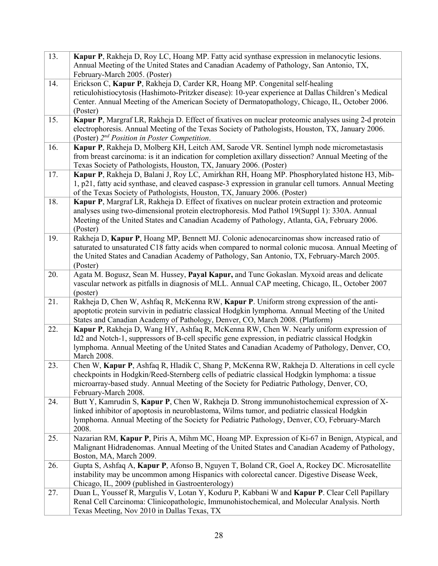| 13. | Kapur P, Rakheja D, Roy LC, Hoang MP. Fatty acid synthase expression in melanocytic lesions.<br>Annual Meeting of the United States and Canadian Academy of Pathology, San Antonio, TX,<br>February-March 2005. (Poster)                                                                                              |
|-----|-----------------------------------------------------------------------------------------------------------------------------------------------------------------------------------------------------------------------------------------------------------------------------------------------------------------------|
| 14. | Erickson C, Kapur P, Rakheja D, Carder KR, Hoang MP. Congenital self-healing<br>reticulohistiocytosis (Hashimoto-Pritzker disease): 10-year experience at Dallas Children's Medical<br>Center. Annual Meeting of the American Society of Dermatopathology, Chicago, IL, October 2006.<br>(Poster)                     |
| 15. | Kapur P, Margraf LR, Rakheja D. Effect of fixatives on nuclear proteomic analyses using 2-d protein<br>electrophoresis. Annual Meeting of the Texas Society of Pathologists, Houston, TX, January 2006.<br>(Poster) $2^{nd}$ Position in Poster Competition.                                                          |
| 16. | Kapur P, Rakheja D, Molberg KH, Leitch AM, Sarode VR. Sentinel lymph node micrometastasis<br>from breast carcinoma: is it an indication for completion axillary dissection? Annual Meeting of the<br>Texas Society of Pathologists, Houston, TX, January 2006. (Poster)                                               |
| 17. | Kapur P, Rakheja D, Balani J, Roy LC, Amirkhan RH, Hoang MP. Phosphorylated histone H3, Mib-<br>1, p21, fatty acid synthase, and cleaved caspase-3 expression in granular cell tumors. Annual Meeting<br>of the Texas Society of Pathologists, Houston, TX, January 2006. (Poster)                                    |
| 18. | <b>Kapur P,</b> Margraf LR, Rakheja D. Effect of fixatives on nuclear protein extraction and proteomic<br>analyses using two-dimensional protein electrophoresis. Mod Pathol 19(Suppl 1): 330A. Annual<br>Meeting of the United States and Canadian Academy of Pathology, Atlanta, GA, February 2006.<br>(Poster)     |
| 19. | Rakheja D, Kapur P, Hoang MP, Bennett MJ. Colonic adenocarcinomas show increased ratio of<br>saturated to unsaturated C18 fatty acids when compared to normal colonic mucosa. Annual Meeting of<br>the United States and Canadian Academy of Pathology, San Antonio, TX, February-March 2005.<br>(Poster)             |
| 20. | Agata M. Bogusz, Sean M. Hussey, Payal Kapur, and Tunc Gokaslan. Myxoid areas and delicate<br>vascular network as pitfalls in diagnosis of MLL. Annual CAP meeting, Chicago, IL, October 2007<br>(poster)                                                                                                             |
| 21. | Rakheja D, Chen W, Ashfaq R, McKenna RW, Kapur P. Uniform strong expression of the anti-<br>apoptotic protein survivin in pediatric classical Hodgkin lymphoma. Annual Meeting of the United<br>States and Canadian Academy of Pathology, Denver, CO, March 2008. (Platform)                                          |
| 22. | Kapur P, Rakheja D, Wang HY, Ashfaq R, McKenna RW, Chen W. Nearly uniform expression of<br>Id2 and Notch-1, suppressors of B-cell specific gene expression, in pediatric classical Hodgkin<br>lymphoma. Annual Meeting of the United States and Canadian Academy of Pathology, Denver, CO,<br>March 2008.             |
| 23. | Chen W, Kapur P, Ashfaq R, Hladik C, Shang P, McKenna RW, Rakheja D. Alterations in cell cycle<br>checkpoints in Hodgkin/Reed-Sternberg cells of pediatric classical Hodgkin lymphoma: a tissue<br>microarray-based study. Annual Meeting of the Society for Pediatric Pathology, Denver, CO,<br>February-March 2008. |
| 24. | Butt Y, Kamrudin S, Kapur P, Chen W, Rakheja D. Strong immunohistochemical expression of X-<br>linked inhibitor of apoptosis in neuroblastoma, Wilms tumor, and pediatric classical Hodgkin<br>lymphoma. Annual Meeting of the Society for Pediatric Pathology, Denver, CO, February-March<br>2008.                   |
| 25. | Nazarian RM, Kapur P, Piris A, Mihm MC, Hoang MP. Expression of Ki-67 in Benign, Atypical, and<br>Malignant Hidradenomas. Annual Meeting of the United States and Canadian Academy of Pathology,<br>Boston, MA, March 2009.                                                                                           |
| 26. | Gupta S, Ashfaq A, Kapur P, Afonso B, Nguyen T, Boland CR, Goel A, Rockey DC. Microsatellite<br>instability may be uncommon among Hispanics with colorectal cancer. Digestive Disease Week,<br>Chicago, IL, 2009 (published in Gastroenterology)                                                                      |
| 27. | Duan L, Youssef R, Margulis V, Lotan Y, Koduru P, Kabbani W and Kapur P. Clear Cell Papillary<br>Renal Cell Carcinoma: Clinicopathologic, Immunohistochemical, and Molecular Analysis. North<br>Texas Meeting, Nov 2010 in Dallas Texas, TX                                                                           |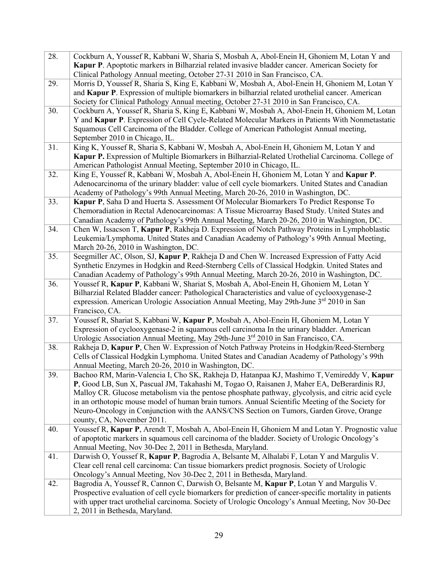| 28. | Cockburn A, Youssef R, Kabbani W, Sharia S, Mosbah A, Abol-Enein H, Ghoniem M, Lotan Y and<br>Kapur P. Apoptotic markers in Bilharzial related invasive bladder cancer. American Society for<br>Clinical Pathology Annual meeting, October 27-31 2010 in San Francisco, CA.                                                                                                                                                                                                                                                  |
|-----|------------------------------------------------------------------------------------------------------------------------------------------------------------------------------------------------------------------------------------------------------------------------------------------------------------------------------------------------------------------------------------------------------------------------------------------------------------------------------------------------------------------------------|
| 29. | Morris D, Youssef R, Sharia S, King E, Kabbani W, Mosbah A, Abol-Enein H, Ghoniem M, Lotan Y<br>and Kapur P. Expression of multiple biomarkers in bilharzial related urothelial cancer. American<br>Society for Clinical Pathology Annual meeting, October 27-31 2010 in San Francisco, CA.                                                                                                                                                                                                                                  |
| 30. | Cockburn A, Youssef R, Sharia S, King E, Kabbani W, Mosbah A, Abol-Enein H, Ghoniem M, Lotan<br>Y and Kapur P. Expression of Cell Cycle-Related Molecular Markers in Patients With Nonmetastatic<br>Squamous Cell Carcinoma of the Bladder. College of American Pathologist Annual meeting,<br>September 2010 in Chicago, IL.                                                                                                                                                                                                |
| 31. | King K, Youssef R, Sharia S, Kabbani W, Mosbah A, Abol-Enein H, Ghoniem M, Lotan Y and<br>Kapur P. Expression of Multiple Biomarkers in Bilharzial-Related Urothelial Carcinoma. College of<br>American Pathologist Annual Meeting, September 2010 in Chicago, IL.                                                                                                                                                                                                                                                           |
| 32. | King E, Youssef R, Kabbani W, Mosbah A, Abol-Enein H, Ghoniem M, Lotan Y and Kapur P.<br>Adenocarcinoma of the urinary bladder: value of cell cycle biomarkers. United States and Canadian<br>Academy of Pathology's 99th Annual Meeting, March 20-26, 2010 in Washington, DC.                                                                                                                                                                                                                                               |
| 33. | Kapur P, Saha D and Huerta S. Assessment Of Molecular Biomarkers To Predict Response To<br>Chemoradiation in Rectal Adenocarcinomas: A Tissue Microarray Based Study. United States and<br>Canadian Academy of Pathology's 99th Annual Meeting, March 20-26, 2010 in Washington, DC.                                                                                                                                                                                                                                         |
| 34. | Chen W, Issacson T, Kapur P, Rakheja D. Expression of Notch Pathway Proteins in Lymphoblastic<br>Leukemia/Lymphoma. United States and Canadian Academy of Pathology's 99th Annual Meeting,<br>March 20-26, 2010 in Washington, DC.                                                                                                                                                                                                                                                                                           |
| 35. | Seegmiller AC, Olson, SJ, Kapur P, Rakheja D and Chen W. Increased Expression of Fatty Acid<br>Synthetic Enzymes in Hodgkin and Reed-Sternberg Cells of Classical Hodgkin. United States and<br>Canadian Academy of Pathology's 99th Annual Meeting, March 20-26, 2010 in Washington, DC.                                                                                                                                                                                                                                    |
| 36. | Youssef R, Kapur P, Kabbani W, Shariat S, Mosbah A, Abol-Enein H, Ghoniem M, Lotan Y<br>Bilharzial Related Bladder cancer: Pathological Characteristics and value of cyclooxygenase-2<br>expression. American Urologic Association Annual Meeting, May 29th-June 3 <sup>rd</sup> 2010 in San<br>Francisco, CA.                                                                                                                                                                                                               |
| 37. | Youssef R, Shariat S, Kabbani W, Kapur P, Mosbah A, Abol-Enein H, Ghoniem M, Lotan Y<br>Expression of cyclooxygenase-2 in squamous cell carcinoma In the urinary bladder. American<br>Urologic Association Annual Meeting, May 29th-June 3rd 2010 in San Francisco, CA.                                                                                                                                                                                                                                                      |
| 38. | Rakheja D, Kapur P, Chen W. Expression of Notch Pathway Proteins in Hodgkin/Reed-Sternberg<br>Cells of Classical Hodgkin Lymphoma. United States and Canadian Academy of Pathology's 99th<br>Annual Meeting, March 20-26, 2010 in Washington, DC.                                                                                                                                                                                                                                                                            |
| 39. | Bachoo RM, Marin-Valencia I, Cho SK, Rakheja D, Hatanpaa KJ, Mashimo T, Vemireddy V, Kapur<br>P, Good LB, Sun X, Pascual JM, Takahashi M, Togao O, Raisanen J, Maher EA, DeBerardinis RJ,<br>Malloy CR. Glucose metabolism via the pentose phosphate pathway, glycolysis, and citric acid cycle<br>in an orthotopic mouse model of human brain tumors. Annual Scientific Meeting of the Society for<br>Neuro-Oncology in Conjunction with the AANS/CNS Section on Tumors, Garden Grove, Orange<br>county, CA, November 2011. |
| 40. | Youssef R, Kapur P, Arendt T, Mosbah A, Abol-Enein H, Ghoniem M and Lotan Y. Prognostic value<br>of apoptotic markers in squamous cell carcinoma of the bladder. Society of Urologic Oncology's<br>Annual Meeting, Nov 30-Dec 2, 2011 in Bethesda, Maryland.                                                                                                                                                                                                                                                                 |
| 41. | Darwish O, Youssef R, Kapur P, Bagrodia A, Belsante M, Alhalabi F, Lotan Y and Margulis V.<br>Clear cell renal cell carcinoma: Can tissue biomarkers predict prognosis. Society of Urologic<br>Oncology's Annual Meeting, Nov 30-Dec 2, 2011 in Bethesda, Maryland.                                                                                                                                                                                                                                                          |
| 42. | Bagrodia A, Youssef R, Cannon C, Darwish O, Belsante M, Kapur P, Lotan Y and Margulis V.<br>Prospective evaluation of cell cycle biomarkers for prediction of cancer-specific mortality in patients<br>with upper tract urothelial carcinoma. Society of Urologic Oncology's Annual Meeting, Nov 30-Dec<br>2, 2011 in Bethesda, Maryland.                                                                                                                                                                                    |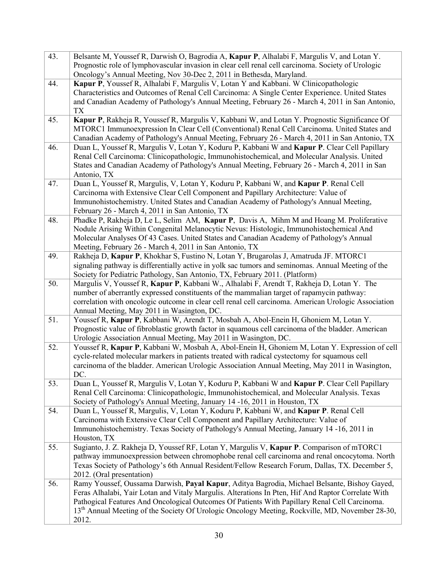| 43. | Belsante M, Youssef R, Darwish O, Bagrodia A, Kapur P, Alhalabi F, Margulis V, and Lotan Y.                 |
|-----|-------------------------------------------------------------------------------------------------------------|
|     | Prognostic role of lymphovascular invasion in clear cell renal cell carcinoma. Society of Urologic          |
|     | Oncology's Annual Meeting, Nov 30-Dec 2, 2011 in Bethesda, Maryland.                                        |
| 44. | Kapur P, Youssef R, Alhalabi F, Margulis V, Lotan Y and Kabbani. W Clinicopathologic                        |
|     | Characteristics and Outcomes of Renal Cell Carcinoma: A Single Center Experience. United States             |
|     | and Canadian Academy of Pathology's Annual Meeting, February 26 - March 4, 2011 in San Antonio,             |
|     | <b>TX</b>                                                                                                   |
| 45. | Kapur P, Rakheja R, Youssef R, Margulis V, Kabbani W, and Lotan Y. Prognostic Significance Of               |
|     | MTORC1 Immunoexpression In Clear Cell (Conventional) Renal Cell Carcinoma. United States and                |
|     | Canadian Academy of Pathology's Annual Meeting, February 26 - March 4, 2011 in San Antonio, TX              |
| 46. | Duan L, Youssef R, Margulis V, Lotan Y, Koduru P, Kabbani W and Kapur P. Clear Cell Papillary               |
|     | Renal Cell Carcinoma: Clinicopathologic, Immunohistochemical, and Molecular Analysis. United                |
|     | States and Canadian Academy of Pathology's Annual Meeting, February 26 - March 4, 2011 in San               |
|     | Antonio, TX                                                                                                 |
| 47. | Duan L, Youssef R, Margulis, V, Lotan Y, Koduru P, Kabbani W, and Kapur P. Renal Cell                       |
|     | Carcinoma with Extensive Clear Cell Component and Papillary Architecture: Value of                          |
|     | Immunohistochemistry. United States and Canadian Academy of Pathology's Annual Meeting,                     |
|     | February 26 - March 4, 2011 in San Antonio, TX                                                              |
| 48. | Phadke P, Rakheja D, Le L, Selim AM, Kapur P, Davis A, Mihm M and Hoang M. Proliferative                    |
|     | Nodule Arising Within Congenital Melanocytic Nevus: Histologic, Immunohistochemical And                     |
|     | Molecular Analyses Of 43 Cases. United States and Canadian Academy of Pathology's Annual                    |
|     | Meeting, February 26 - March 4, 2011 in San Antonio, TX                                                     |
| 49. | Rakheja D, Kapur P, Khokhar S, Fustino N, Lotan Y, Brugarolas J, Amatruda JF. MTORC1                        |
|     | signaling pathway is differentially active in yolk sac tumors and seminomas. Annual Meeting of the          |
|     | Society for Pediatric Pathology, San Antonio, TX, February 2011. (Platform)                                 |
| 50. | Margulis V, Youssef R, Kapur P, Kabbani W., Alhalabi F, Arendt T, Rakheja D, Lotan Y. The                   |
|     | number of aberrantly expressed constituents of the mammalian target of rapamycin pathway:                   |
|     | correlation with oncologic outcome in clear cell renal cell carcinoma. American Urologic Association        |
|     | Annual Meeting, May 2011 in Wasington, DC.                                                                  |
| 51. | Youssef R, Kapur P, Kabbani W, Arendt T, Mosbah A, Abol-Enein H, Ghoniem M, Lotan Y.                        |
|     | Prognostic value of fibroblastic growth factor in squamous cell carcinoma of the bladder. American          |
|     | Urologic Association Annual Meeting, May 2011 in Wasington, DC.                                             |
| 52. | Youssef R, Kapur P, Kabbani W, Mosbah A, Abol-Enein H, Ghoniem M, Lotan Y. Expression of cell               |
|     | cycle-related molecular markers in patients treated with radical cystectomy for squamous cell               |
|     | carcinoma of the bladder. American Urologic Association Annual Meeting, May 2011 in Wasington,              |
|     | DC.                                                                                                         |
| 53. | Duan L, Youssef R, Margulis V, Lotan Y, Koduru P, Kabbani W and Kapur P. Clear Cell Papillary               |
|     | Renal Cell Carcinoma: Clinicopathologic, Immunohistochemical, and Molecular Analysis. Texas                 |
|     | Society of Pathology's Annual Meeting, January 14 -16, 2011 in Houston, TX                                  |
| 54. | Duan L, Youssef R, Margulis, V, Lotan Y, Koduru P, Kabbani W, and Kapur P. Renal Cell                       |
|     | Carcinoma with Extensive Clear Cell Component and Papillary Architecture: Value of                          |
|     | Immunohistochemistry. Texas Society of Pathology's Annual Meeting, January 14 -16, 2011 in                  |
|     | Houston, TX                                                                                                 |
| 55. | Sugianto, J. Z. Rakheja D, Youssef RF, Lotan Y, Margulis V, Kapur P. Comparison of mTORC1                   |
|     | pathway immunoexpression between chromophobe renal cell carcinoma and renal oncocytoma. North               |
|     | Texas Society of Pathology's 6th Annual Resident/Fellow Research Forum, Dallas, TX. December 5,             |
|     | 2012. (Oral presentation)                                                                                   |
| 56. | Ramy Youssef, Oussama Darwish, Payal Kapur, Aditya Bagrodia, Michael Belsante, Bishoy Gayed,                |
|     | Feras Alhalabi, Yair Lotan and Vitaly Margulis. Alterations In Pten, Hif And Raptor Correlate With          |
|     | Pathogical Features And Oncological Outcomes Of Patients With Papillary Renal Cell Carcinoma.               |
|     | 13 <sup>th</sup> Annual Meeting of the Society Of Urologic Oncology Meeting, Rockville, MD, November 28-30, |
|     | 2012.                                                                                                       |
|     |                                                                                                             |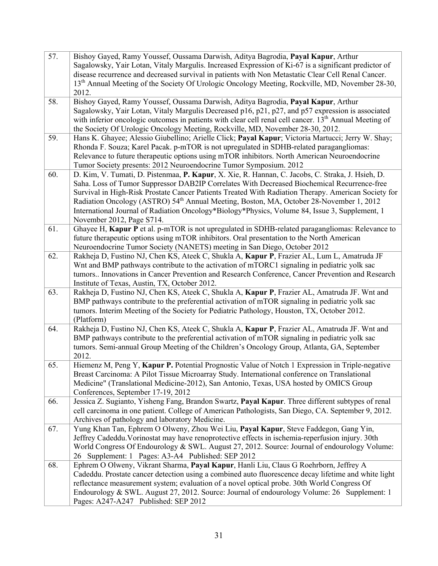| 57. | Bishoy Gayed, Ramy Youssef, Oussama Darwish, Aditya Bagrodia, Payal Kapur, Arthur<br>Sagalowsky, Yair Lotan, Vitaly Margulis. Increased Expression of Ki-67 is a significant predictor of<br>disease recurrence and decreased survival in patients with Non Metastatic Clear Cell Renal Cancer.<br>13 <sup>th</sup> Annual Meeting of the Society Of Urologic Oncology Meeting, Rockville, MD, November 28-30,<br>2012.                                                                                                                      |
|-----|----------------------------------------------------------------------------------------------------------------------------------------------------------------------------------------------------------------------------------------------------------------------------------------------------------------------------------------------------------------------------------------------------------------------------------------------------------------------------------------------------------------------------------------------|
| 58. | Bishoy Gayed, Ramy Youssef, Oussama Darwish, Aditya Bagrodia, Payal Kapur, Arthur<br>Sagalowsky, Yair Lotan, Vitaly Margulis Decreased p16, p21, p27, and p57 expression is associated<br>with inferior oncologic outcomes in patients with clear cell renal cell cancer. 13 <sup>th</sup> Annual Meeting of<br>the Society Of Urologic Oncology Meeting, Rockville, MD, November 28-30, 2012.                                                                                                                                               |
| 59. | Hans K. Ghayee; Alessio Giubellino; Arielle Click; Payal Kapur; Victoria Martucci; Jerry W. Shay;<br>Rhonda F. Souza; Karel Pacak. p-mTOR is not upregulated in SDHB-related paragangliomas:<br>Relevance to future therapeutic options using mTOR inhibitors. North American Neuroendocrine<br>Tumor Society presents: 2012 Neuroendocrine Tumor Symposium. 2012                                                                                                                                                                            |
| 60. | D. Kim, V. Tumati, D. Pistenmaa, P. Kapur, X. Xie, R. Hannan, C. Jacobs, C. Straka, J. Hsieh, D.<br>Saha. Loss of Tumor Suppressor DAB2IP Correlates With Decreased Biochemical Recurrence-free<br>Survival in High-Risk Prostate Cancer Patients Treated With Radiation Therapy. American Society for<br>Radiation Oncology (ASTRO) 54 <sup>th</sup> Annual Meeting, Boston, MA, October 28-November 1, 2012<br>International Journal of Radiation Oncology*Biology*Physics, Volume 84, Issue 3, Supplement, 1<br>November 2012, Page S714. |
| 61. | Ghayee H, Kapur P et al. p-mTOR is not upregulated in SDHB-related paragangliomas: Relevance to<br>future therapeutic options using mTOR inhibitors. Oral presentation to the North American<br>Neuroendocrine Tumor Society (NANETS) meeting in San Diego, October 2012                                                                                                                                                                                                                                                                     |
| 62. | Rakheja D, Fustino NJ, Chen KS, Ateek C, Shukla A, Kapur P, Frazier AL, Lum L, Amatruda JF<br>Wnt and BMP pathways contribute to the activation of mTORC1 signaling in pediatric yolk sac<br>tumors Innovations in Cancer Prevention and Research Conference, Cancer Prevention and Research<br>Institute of Texas, Austin, TX, October 2012.                                                                                                                                                                                                |
| 63. | Rakheja D, Fustino NJ, Chen KS, Ateek C, Shukla A, Kapur P, Frazier AL, Amatruda JF. Wnt and<br>BMP pathways contribute to the preferential activation of mTOR signaling in pediatric yolk sac<br>tumors. Interim Meeting of the Society for Pediatric Pathology, Houston, TX, October 2012.<br>(Platform)                                                                                                                                                                                                                                   |
| 64. | Rakheja D, Fustino NJ, Chen KS, Ateek C, Shukla A, Kapur P, Frazier AL, Amatruda JF. Wnt and<br>BMP pathways contribute to the preferential activation of mTOR signaling in pediatric yolk sac<br>tumors. Semi-annual Group Meeting of the Children's Oncology Group, Atlanta, GA, September<br>2012.                                                                                                                                                                                                                                        |
| 65. | Hiemenz M, Peng Y, Kapur P. Potential Prognostic Value of Notch 1 Expression in Triple-negative<br>Breast Carcinoma: A Pilot Tissue Microarray Study. International conference on Translational<br>Medicine" (Translational Medicine-2012), San Antonio, Texas, USA hosted by OMICS Group<br>Conferences, September 17-19, 2012                                                                                                                                                                                                              |
| 66. | Jessica Z. Sugianto, Yisheng Fang, Brandon Swartz, Payal Kapur. Three different subtypes of renal<br>cell carcinoma in one patient. College of American Pathologists, San Diego, CA. September 9, 2012.<br>Archives of pathology and laboratory Medicine.                                                                                                                                                                                                                                                                                    |
| 67. | Yung Khan Tan, Ephrem O Olweny, Zhou Wei Liu, Payal Kapur, Steve Faddegon, Gang Yin,<br>Jeffrey Cadeddu. Vorinostat may have renoprotective effects in ischemia-reperfusion injury. 30th<br>World Congress Of Endourology & SWL. August 27, 2012. Source: Journal of endourology Volume:<br>26 Supplement: 1 Pages: A3-A4 Published: SEP 2012                                                                                                                                                                                                |
| 68. | Ephrem O Olweny, Vikrant Sharma, Payal Kapur, Hanli Liu, Claus G Roehrborn, Jeffrey A<br>Cadeddu. Prostate cancer detection using a combined auto fluorescence decay lifetime and white light<br>reflectance measurement system; evaluation of a novel optical probe. 30th World Congress Of<br>Endourology & SWL. August 27, 2012. Source: Journal of endourology Volume: 26 Supplement: 1<br>Pages: A247-A247 Published: SEP 2012                                                                                                          |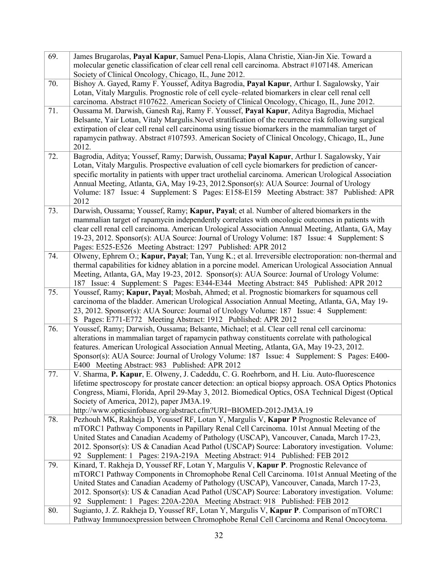| 69. | James Brugarolas, Payal Kapur, Samuel Pena-Llopis, Alana Christie, Xian-Jin Xie. Toward a                                                              |
|-----|--------------------------------------------------------------------------------------------------------------------------------------------------------|
|     | molecular genetic classification of clear cell renal cell carcinoma. Abstract #107148. American                                                        |
|     | Society of Clinical Oncology, Chicago, IL, June 2012.                                                                                                  |
| 70. | Bishoy A. Gayed, Ramy F. Youssef, Aditya Bagrodia, Payal Kapur, Arthur I. Sagalowsky, Yair                                                             |
|     | Lotan, Vitaly Margulis. Prognostic role of cell cycle-related biomarkers in clear cell renal cell                                                      |
|     | carcinoma. Abstract #107622. American Society of Clinical Oncology, Chicago, IL, June 2012.                                                            |
| 71. | Oussama M. Darwish, Ganesh Raj, Ramy F. Youssef, Payal Kapur, Aditya Bagrodia, Michael                                                                 |
|     | Belsante, Yair Lotan, Vitaly Margulis. Novel stratification of the recurrence risk following surgical                                                  |
|     | extirpation of clear cell renal cell carcinoma using tissue biomarkers in the mammalian target of                                                      |
|     | rapamycin pathway. Abstract #107593. American Society of Clinical Oncology, Chicago, IL, June                                                          |
|     | 2012.                                                                                                                                                  |
| 72. | Bagrodia, Aditya; Youssef, Ramy; Darwish, Oussama; Payal Kapur, Arthur I. Sagalowsky, Yair                                                             |
|     | Lotan, Vitaly Margulis. Prospective evaluation of cell cycle biomarkers for prediction of cancer-                                                      |
|     | specific mortality in patients with upper tract urothelial carcinoma. American Urological Association                                                  |
|     | Annual Meeting, Atlanta, GA, May 19-23, 2012. Sponsor(s): AUA Source: Journal of Urology                                                               |
|     | Volume: 187 Issue: 4 Supplement: S Pages: E158-E159 Meeting Abstract: 387 Published: APR                                                               |
|     | 2012                                                                                                                                                   |
| 73. | Darwish, Oussama; Youssef, Ramy; Kapur, Payal; et al. Number of altered biomarkers in the                                                              |
|     | mammalian target of rapamycin independently correlates with oncologic outcomes in patients with                                                        |
|     | clear cell renal cell carcinoma. American Urological Association Annual Meeting, Atlanta, GA, May                                                      |
|     | 19-23, 2012. Sponsor(s): AUA Source: Journal of Urology Volume: 187 Issue: 4 Supplement: S                                                             |
|     | Pages: E525-E526 Meeting Abstract: 1297 Published: APR 2012                                                                                            |
| 74. | Olweny, Ephrem O.; Kapur, Payal; Tan, Yung K.; et al. Irreversible electroporation: non-thermal and                                                    |
|     | thermal capabilities for kidney ablation in a porcine model. American Urological Association Annual                                                    |
|     | Meeting, Atlanta, GA, May 19-23, 2012. Sponsor(s): AUA Source: Journal of Urology Volume:                                                              |
|     | 187 Issue: 4 Supplement: S Pages: E344-E344 Meeting Abstract: 845 Published: APR 2012                                                                  |
| 75. | Youssef, Ramy; Kapur, Payal; Mosbah, Ahmed; et al. Prognostic biomarkers for squamous cell                                                             |
|     | carcinoma of the bladder. American Urological Association Annual Meeting, Atlanta, GA, May 19-                                                         |
|     | 23, 2012. Sponsor(s): AUA Source: Journal of Urology Volume: 187 Issue: 4 Supplement:<br>S Pages: E771-E772 Meeting Abstract: 1912 Published: APR 2012 |
| 76. | Youssef, Ramy; Darwish, Oussama; Belsante, Michael; et al. Clear cell renal cell carcinoma:                                                            |
|     | alterations in mammalian target of rapamycin pathway constituents correlate with pathological                                                          |
|     | features. American Urological Association Annual Meeting, Atlanta, GA, May 19-23, 2012.                                                                |
|     | Sponsor(s): AUA Source: Journal of Urology Volume: 187 Issue: 4 Supplement: S Pages: E400-                                                             |
|     | E400 Meeting Abstract: 983 Published: APR 2012                                                                                                         |
| 77. | V. Sharma, P. Kapur, E. Olweny, J. Cadeddu, C. G. Roehrborn, and H. Liu. Auto-fluorescence                                                             |
|     | lifetime spectroscopy for prostate cancer detection: an optical biopsy approach. OSA Optics Photonics                                                  |
|     | Congress, Miami, Florida, April 29-May 3, 2012. Biomedical Optics, OSA Technical Digest (Optical                                                       |
|     | Society of America, 2012), paper JM3A.19.                                                                                                              |
|     | http://www.opticsinfobase.org/abstract.cfm?URI=BIOMED-2012-JM3A.19                                                                                     |
| 78. | Pezhouh MK, Rakheja D, Youssef RF, Lotan Y, Margulis V, Kapur P Prognostic Relevance of                                                                |
|     | mTORC1 Pathway Components in Papillary Renal Cell Carcinoma. 101st Annual Meeting of the                                                               |
|     | United States and Canadian Academy of Pathology (USCAP), Vancouver, Canada, March 17-23,                                                               |
|     | 2012. Sponsor(s): US & Canadian Acad Pathol (USCAP) Source: Laboratory investigation. Volume:                                                          |
|     | 92 Supplement: 1 Pages: 219A-219A Meeting Abstract: 914 Published: FEB 2012                                                                            |
| 79. | Kinard, T. Rakheja D, Youssef RF, Lotan Y, Margulis V, Kapur P. Prognostic Relevance of                                                                |
|     | mTORC1 Pathway Components in Chromophobe Renal Cell Carcinoma. 101st Annual Meeting of the                                                             |
|     | United States and Canadian Academy of Pathology (USCAP), Vancouver, Canada, March 17-23,                                                               |
|     | 2012. Sponsor(s): US & Canadian Acad Pathol (USCAP) Source: Laboratory investigation. Volume:                                                          |
|     | 92 Supplement: 1 Pages: 220A-220A Meeting Abstract: 918 Published: FEB 2012                                                                            |
| 80. | Sugianto, J. Z. Rakheja D, Youssef RF, Lotan Y, Margulis V, Kapur P. Comparison of mTORC1                                                              |
|     | Pathway Immunoexpression between Chromophobe Renal Cell Carcinoma and Renal Oncocytoma.                                                                |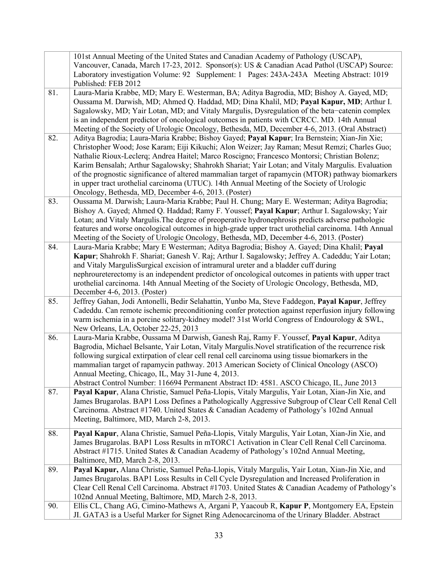|     | 101st Annual Meeting of the United States and Canadian Academy of Pathology (USCAP),<br>Vancouver, Canada, March 17-23, 2012. Sponsor(s): US & Canadian Acad Pathol (USCAP) Source:<br>Laboratory investigation Volume: 92 Supplement: 1 Pages: 243A-243A Meeting Abstract: 1019<br>Published: FEB 2012                                                                                                                                                                                                                                                                                                                                                      |
|-----|--------------------------------------------------------------------------------------------------------------------------------------------------------------------------------------------------------------------------------------------------------------------------------------------------------------------------------------------------------------------------------------------------------------------------------------------------------------------------------------------------------------------------------------------------------------------------------------------------------------------------------------------------------------|
| 81. | Laura-Maria Krabbe, MD; Mary E. Westerman, BA; Aditya Bagrodia, MD; Bishoy A. Gayed, MD;<br>Oussama M. Darwish, MD; Ahmed Q. Haddad, MD; Dina Khalil, MD; Payal Kapur, MD; Arthur I.<br>Sagalowsky, MD; Yair Lotan, MD; and Vitaly Margulis, Dysregulation of the beta-catenin complex<br>is an independent predictor of oncological outcomes in patients with CCRCC. MD. 14th Annual<br>Meeting of the Society of Urologic Oncology, Bethesda, MD, December 4-6, 2013. (Oral Abstract)                                                                                                                                                                      |
| 82. | Aditya Bagrodia; Laura-Maria Krabbe; Bishoy Gayed; Payal Kapur; Ira Bernstein; Xian-Jin Xie;<br>Christopher Wood; Jose Karam; Eiji Kikuchi; Alon Weizer; Jay Raman; Mesut Remzi; Charles Guo;<br>Nathalie Rioux-Leclerq; Andrea Haitel; Marco Roscigno; Francesco Montorsi; Christian Bolenz;<br>Karim Bensalah; Arthur Sagalowsky; Shahrokh Shariat; Yair Lotan; and Vitaly Margulis. Evaluation<br>of the prognostic significance of altered mammalian target of rapamycin (MTOR) pathway biomarkers<br>in upper tract urothelial carcinoma (UTUC). 14th Annual Meeting of the Society of Urologic<br>Oncology, Bethesda, MD, December 4-6, 2013. (Poster) |
| 83. | Oussama M. Darwish; Laura-Maria Krabbe; Paul H. Chung; Mary E. Westerman; Aditya Bagrodia;<br>Bishoy A. Gayed; Ahmed Q. Haddad; Ramy F. Youssef; Payal Kapur; Arthur I. Sagalowsky; Yair<br>Lotan; and Vitaly Margulis. The degree of preoperative hydronephrosis predicts adverse pathologic<br>features and worse oncological outcomes in high-grade upper tract urothelial carcinoma. 14th Annual<br>Meeting of the Society of Urologic Oncology, Bethesda, MD, December 4-6, 2013. (Poster)                                                                                                                                                              |
| 84. | Laura-Maria Krabbe; Mary E Westerman; Aditya Bagrodia; Bishoy A. Gayed; Dina Khalil; Payal<br>Kapur; Shahrokh F. Shariat; Ganesh V. Raj; Arthur I. Sagalowsky; Jeffrey A. Cadeddu; Yair Lotan;<br>and Vitaly MargulisSurgical excision of intramural ureter and a bladder cuff during<br>nephroureterectomy is an independent predictor of oncological outcomes in patients with upper tract<br>urothelial carcinoma. 14th Annual Meeting of the Society of Urologic Oncology, Bethesda, MD,<br>December 4-6, 2013. (Poster)                                                                                                                                 |
| 85. | Jeffrey Gahan, Jodi Antonelli, Bedir Selahattin, Yunbo Ma, Steve Faddegon, Payal Kapur, Jeffrey<br>Cadeddu. Can remote ischemic preconditioning confer protection against reperfusion injury following<br>warm ischemia in a porcine solitary-kidney model? 31st World Congress of Endourology & SWL,<br>New Orleans, LA, October 22-25, 2013                                                                                                                                                                                                                                                                                                                |
| 86. | Laura-Maria Krabbe, Oussama M Darwish, Ganesh Raj, Ramy F. Youssef, Payal Kapur, Aditya<br>Bagrodia, Michael Belsante, Yair Lotan, Vitaly Margulis. Novel stratification of the recurrence risk<br>following surgical extirpation of clear cell renal cell carcinoma using tissue biomarkers in the<br>mammalian target of rapamycin pathway. 2013 American Society of Clinical Oncology (ASCO)<br>Annual Meeting, Chicago, IL, May 31-June 4, 2013.<br>Abstract Control Number: 116694 Permanent Abstract ID: 4581. ASCO Chicago, IL, June 2013                                                                                                             |
| 87. | Payal Kapur, Alana Christie, Samuel Peña-Llopis, Vitaly Margulis, Yair Lotan, Xian-Jin Xie, and<br>James Brugarolas. BAP1 Loss Defines a Pathologically Aggressive Subgroup of Clear Cell Renal Cell<br>Carcinoma. Abstract #1740. United States & Canadian Academy of Pathology's 102nd Annual<br>Meeting, Baltimore, MD, March 2-8, 2013.                                                                                                                                                                                                                                                                                                                  |
| 88. | Payal Kapur, Alana Christie, Samuel Peña-Llopis, Vitaly Margulis, Yair Lotan, Xian-Jin Xie, and<br>James Brugarolas. BAP1 Loss Results in mTORC1 Activation in Clear Cell Renal Cell Carcinoma.<br>Abstract #1715. United States & Canadian Academy of Pathology's 102nd Annual Meeting,<br>Baltimore, MD, March 2-8, 2013.                                                                                                                                                                                                                                                                                                                                  |
| 89. | Payal Kapur, Alana Christie, Samuel Peña-Llopis, Vitaly Margulis, Yair Lotan, Xian-Jin Xie, and<br>James Brugarolas. BAP1 Loss Results in Cell Cycle Dysregulation and Increased Proliferation in<br>Clear Cell Renal Cell Carcinoma. Abstract #1703. United States & Canadian Academy of Pathology's<br>102nd Annual Meeting, Baltimore, MD, March 2-8, 2013.                                                                                                                                                                                                                                                                                               |
| 90. | Ellis CL, Chang AG, Cimino-Mathews A, Argani P, Yaacoub R, Kapur P, Montgomery EA, Epstein<br>JI. GATA3 is a Useful Marker for Signet Ring Adenocarcinoma of the Urinary Bladder. Abstract                                                                                                                                                                                                                                                                                                                                                                                                                                                                   |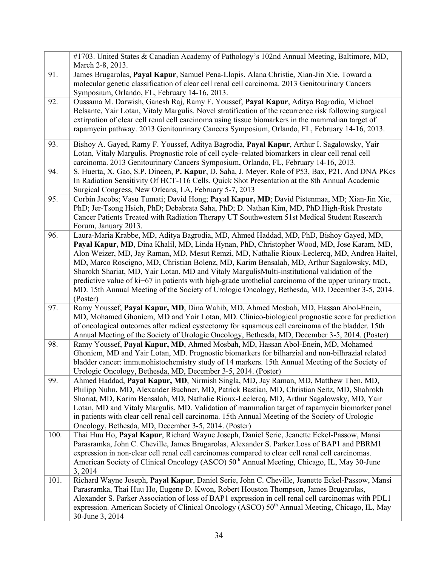|      | #1703. United States & Canadian Academy of Pathology's 102nd Annual Meeting, Baltimore, MD,<br>March 2-8, 2013.                                                                                                                                                                                                                                                                                                                                                                                                                                                                                                                                                                                          |
|------|----------------------------------------------------------------------------------------------------------------------------------------------------------------------------------------------------------------------------------------------------------------------------------------------------------------------------------------------------------------------------------------------------------------------------------------------------------------------------------------------------------------------------------------------------------------------------------------------------------------------------------------------------------------------------------------------------------|
| 91.  | James Brugarolas, Payal Kapur, Samuel Pena-Llopis, Alana Christie, Xian-Jin Xie. Toward a<br>molecular genetic classification of clear cell renal cell carcinoma. 2013 Genitourinary Cancers<br>Symposium, Orlando, FL, February 14-16, 2013.                                                                                                                                                                                                                                                                                                                                                                                                                                                            |
| 92.  | Oussama M. Darwish, Ganesh Raj, Ramy F. Youssef, Payal Kapur, Aditya Bagrodia, Michael<br>Belsante, Yair Lotan, Vitaly Margulis. Novel stratification of the recurrence risk following surgical<br>extirpation of clear cell renal cell carcinoma using tissue biomarkers in the mammalian target of<br>rapamycin pathway. 2013 Genitourinary Cancers Symposium, Orlando, FL, February 14-16, 2013.                                                                                                                                                                                                                                                                                                      |
| 93.  | Bishoy A. Gayed, Ramy F. Youssef, Aditya Bagrodia, Payal Kapur, Arthur I. Sagalowsky, Yair<br>Lotan, Vitaly Margulis. Prognostic role of cell cycle-related biomarkers in clear cell renal cell<br>carcinoma. 2013 Genitourinary Cancers Symposium, Orlando, FL, February 14-16, 2013.                                                                                                                                                                                                                                                                                                                                                                                                                   |
| 94.  | S. Huerta, X. Gao, S.P. Dineen, P. Kapur, D. Saha, J. Meyer. Role of P53, Bax, P21, And DNA PKcs<br>In Radiation Sensitivity Of HCT-116 Cells. Quick Shot Presentation at the 8th Annual Academic<br>Surgical Congress, New Orleans, LA, February 5-7, 2013                                                                                                                                                                                                                                                                                                                                                                                                                                              |
| 95.  | Corbin Jacobs; Vasu Tumati; David Hong; Payal Kapur, MD; David Pistenmaa, MD; Xian-Jin Xie,<br>PhD; Jer-Tsong Hsieh, PhD; Debabrata Saha, PhD; D. Nathan Kim, MD, PhD.High-Risk Prostate<br>Cancer Patients Treated with Radiation Therapy UT Southwestern 51st Medical Student Research<br>Forum, January 2013.                                                                                                                                                                                                                                                                                                                                                                                         |
| 96.  | Laura-Maria Krabbe, MD, Aditya Bagrodia, MD, Ahmed Haddad, MD, PhD, Bishoy Gayed, MD,<br>Payal Kapur, MD, Dina Khalil, MD, Linda Hynan, PhD, Christopher Wood, MD, Jose Karam, MD,<br>Alon Weizer, MD, Jay Raman, MD, Mesut Remzi, MD, Nathalie Rioux-Leclercq, MD, Andrea Haitel,<br>MD, Marco Roscigno, MD, Christian Bolenz, MD, Karim Bensalah, MD, Arthur Sagalowsky, MD,<br>Sharokh Shariat, MD, Yair Lotan, MD and Vitaly Margulis Multi-institutional validation of the<br>predictive value of ki-67 in patients with high-grade urothelial carcinoma of the upper urinary tract.,<br>MD. 15th Annual Meeting of the Society of Urologic Oncology, Bethesda, MD, December 3-5, 2014.<br>(Poster) |
| 97.  | Ramy Youssef, Payal Kapur, MD, Dina Wahib, MD, Ahmed Mosbah, MD, Hassan Abol-Enein,<br>MD, Mohamed Ghoniem, MD and Yair Lotan, MD. Clinico-biological prognostic score for prediction<br>of oncological outcomes after radical cystectomy for squamous cell carcinoma of the bladder. 15th<br>Annual Meeting of the Society of Urologic Oncology, Bethesda, MD, December 3-5, 2014. (Poster)                                                                                                                                                                                                                                                                                                             |
| 98.  | Ramy Youssef, Payal Kapur, MD, Ahmed Mosbah, MD, Hassan Abol-Enein, MD, Mohamed<br>Ghoniem, MD and Yair Lotan, MD. Prognostic biomarkers for bilharzial and non-bilhrazial related<br>bladder cancer: immunohistochemistry study of 14 markers. 15th Annual Meeting of the Society of<br>Urologic Oncology, Bethesda, MD, December 3-5, 2014. (Poster)                                                                                                                                                                                                                                                                                                                                                   |
| 99.  | Ahmed Haddad, Payal Kapur, MD, Nirmish Singla, MD, Jay Raman, MD, Matthew Then, MD,<br>Philipp Nuhn, MD, Alexander Buchner, MD, Patrick Bastian, MD, Christian Seitz, MD, Shahrokh<br>Shariat, MD, Karim Bensalah, MD, Nathalie Rioux-Leclercq, MD, Arthur Sagalowsky, MD, Yair<br>Lotan, MD and Vitaly Margulis, MD. Validation of mammalian target of rapamycin biomarker panel<br>in patients with clear cell renal cell carcinoma. 15th Annual Meeting of the Society of Urologic<br>Oncology, Bethesda, MD, December 3-5, 2014. (Poster)                                                                                                                                                            |
| 100. | Thai Huu Ho, Payal Kapur, Richard Wayne Joseph, Daniel Serie, Jeanette Eckel-Passow, Mansi<br>Parasramka, John C. Cheville, James Brugarolas, Alexander S. Parker.Loss of BAP1 and PBRM1<br>expression in non-clear cell renal cell carcinomas compared to clear cell renal cell carcinomas.<br>American Society of Clinical Oncology (ASCO) 50 <sup>th</sup> Annual Meeting, Chicago, IL, May 30-June<br>3, 2014                                                                                                                                                                                                                                                                                        |
| 101. | Richard Wayne Joseph, Payal Kapur, Daniel Serie, John C. Cheville, Jeanette Eckel-Passow, Mansi<br>Parasramka, Thai Huu Ho, Eugene D. Kwon, Robert Houston Thompson, James Brugarolas,<br>Alexander S. Parker Association of loss of BAP1 expression in cell renal cell carcinomas with PDL1<br>expression. American Society of Clinical Oncology (ASCO) 50 <sup>th</sup> Annual Meeting, Chicago, IL, May<br>30-June 3, 2014                                                                                                                                                                                                                                                                            |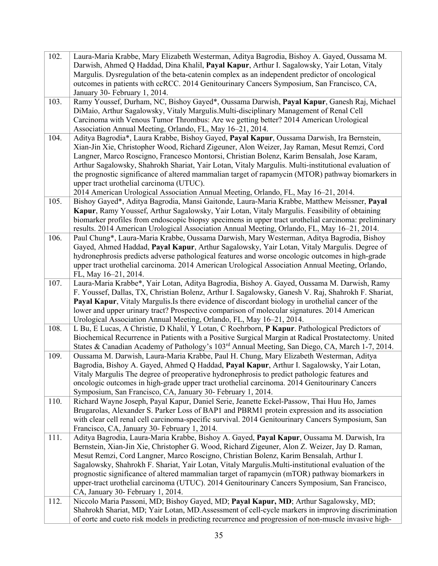| 102. | Laura-Maria Krabbe, Mary Elizabeth Westerman, Aditya Bagrodia, Bishoy A. Gayed, Oussama M.<br>Darwish, Ahmed Q Haddad, Dina Khalil, Payal Kapur, Arthur I. Sagalowsky, Yair Lotan, Vitaly<br>Margulis. Dysregulation of the beta-catenin complex as an independent predictor of oncological<br>outcomes in patients with ccRCC. 2014 Genitourinary Cancers Symposium, San Francisco, CA, |
|------|------------------------------------------------------------------------------------------------------------------------------------------------------------------------------------------------------------------------------------------------------------------------------------------------------------------------------------------------------------------------------------------|
|      | January 30- February 1, 2014.                                                                                                                                                                                                                                                                                                                                                            |
| 103. | Ramy Youssef, Durham, NC, Bishoy Gayed*, Oussama Darwish, Payal Kapur, Ganesh Raj, Michael<br>DiMaio, Arthur Sagalowsky, Vitaly Margulis. Multi-disciplinary Management of Renal Cell<br>Carcinoma with Venous Tumor Thrombus: Are we getting better? 2014 American Urological<br>Association Annual Meeting, Orlando, FL, May 16-21, 2014.                                              |
| 104. | Aditya Bagrodia*, Laura Krabbe, Bishoy Gayed, Payal Kapur, Oussama Darwish, Ira Bernstein,                                                                                                                                                                                                                                                                                               |
|      | Xian-Jin Xie, Christopher Wood, Richard Zigeuner, Alon Weizer, Jay Raman, Mesut Remzi, Cord                                                                                                                                                                                                                                                                                              |
|      | Langner, Marco Roscigno, Francesco Montorsi, Christian Bolenz, Karim Bensalah, Jose Karam,                                                                                                                                                                                                                                                                                               |
|      | Arthur Sagalowsky, Shahrokh Shariat, Yair Lotan, Vitaly Margulis. Multi-institutional evaluation of                                                                                                                                                                                                                                                                                      |
|      | the prognostic significance of altered mammalian target of rapamycin (MTOR) pathway biomarkers in                                                                                                                                                                                                                                                                                        |
|      | upper tract urothelial carcinoma (UTUC).                                                                                                                                                                                                                                                                                                                                                 |
|      | 2014 American Urological Association Annual Meeting, Orlando, FL, May 16-21, 2014.                                                                                                                                                                                                                                                                                                       |
| 105. | Bishoy Gayed*, Aditya Bagrodia, Mansi Gaitonde, Laura-Maria Krabbe, Matthew Meissner, Payal                                                                                                                                                                                                                                                                                              |
|      | Kapur, Ramy Youssef, Arthur Sagalowsky, Yair Lotan, Vitaly Margulis. Feasibility of obtaining                                                                                                                                                                                                                                                                                            |
|      | biomarker profiles from endoscopic biopsy specimens in upper tract urothelial carcinoma: preliminary                                                                                                                                                                                                                                                                                     |
| 106. | results. 2014 American Urological Association Annual Meeting, Orlando, FL, May 16-21, 2014.<br>Paul Chung*, Laura-Maria Krabbe, Oussama Darwish, Mary Westerman, Aditya Bagrodia, Bishoy                                                                                                                                                                                                 |
|      | Gayed, Ahmed Haddad, Payal Kapur, Arthur Sagalowsky, Yair Lotan, Vitaly Margulis. Degree of                                                                                                                                                                                                                                                                                              |
|      | hydronephrosis predicts adverse pathological features and worse oncologic outcomes in high-grade                                                                                                                                                                                                                                                                                         |
|      | upper tract urothelial carcinoma. 2014 American Urological Association Annual Meeting, Orlando,                                                                                                                                                                                                                                                                                          |
|      | FL, May 16-21, 2014.                                                                                                                                                                                                                                                                                                                                                                     |
| 107. | Laura-Maria Krabbe*, Yair Lotan, Aditya Bagrodia, Bishoy A. Gayed, Oussama M. Darwish, Ramy                                                                                                                                                                                                                                                                                              |
|      | F. Youssef, Dallas, TX, Christian Bolenz, Arthur I. Sagalowsky, Ganesh V. Raj, Shahrokh F. Shariat,                                                                                                                                                                                                                                                                                      |
|      | Payal Kapur, Vitaly Margulis. Is there evidence of discordant biology in urothelial cancer of the                                                                                                                                                                                                                                                                                        |
|      | lower and upper urinary tract? Prospective comparison of molecular signatures. 2014 American<br>Urological Association Annual Meeting, Orlando, FL, May 16-21, 2014.                                                                                                                                                                                                                     |
| 108. | L Bu, E Lucas, A Christie, D Khalil, Y Lotan, C Roehrborn, P Kapur. Pathological Predictors of                                                                                                                                                                                                                                                                                           |
|      | Biochemical Recurrence in Patients with a Positive Surgical Margin at Radical Prostatectomy. United                                                                                                                                                                                                                                                                                      |
|      | States & Canadian Academy of Pathology's 103 <sup>rd</sup> Annual Meeting, San Diego, CA, March 1-7, 2014.                                                                                                                                                                                                                                                                               |
| 109. | Oussama M. Darwish, Laura-Maria Krabbe, Paul H. Chung, Mary Elizabeth Westerman, Aditya                                                                                                                                                                                                                                                                                                  |
|      | Bagrodia, Bishoy A. Gayed, Ahmed Q Haddad, Payal Kapur, Arthur I. Sagalowsky, Yair Lotan,                                                                                                                                                                                                                                                                                                |
|      | Vitaly Margulis The degree of preoperative hydronephrosis to predict pathologic features and                                                                                                                                                                                                                                                                                             |
|      | oncologic outcomes in high-grade upper tract urothelial carcinoma. 2014 Genitourinary Cancers                                                                                                                                                                                                                                                                                            |
| 110. | Symposium, San Francisco, CA, January 30- February 1, 2014.<br>Richard Wayne Joseph, Payal Kapur, Daniel Serie, Jeanette Eckel-Passow, Thai Huu Ho, James                                                                                                                                                                                                                                |
|      | Brugarolas, Alexander S. Parker Loss of BAP1 and PBRM1 protein expression and its association                                                                                                                                                                                                                                                                                            |
|      | with clear cell renal cell carcinoma-specific survival. 2014 Genitourinary Cancers Symposium, San                                                                                                                                                                                                                                                                                        |
|      | Francisco, CA, January 30- February 1, 2014.                                                                                                                                                                                                                                                                                                                                             |
| 111. | Aditya Bagrodia, Laura-Maria Krabbe, Bishoy A. Gayed, Payal Kapur, Oussama M. Darwish, Ira                                                                                                                                                                                                                                                                                               |
|      | Bernstein, Xian-Jin Xie, Christopher G. Wood, Richard Zigeuner, Alon Z. Weizer, Jay D. Raman,                                                                                                                                                                                                                                                                                            |
|      | Mesut Remzi, Cord Langner, Marco Roscigno, Christian Bolenz, Karim Bensalah, Arthur I.                                                                                                                                                                                                                                                                                                   |
|      | Sagalowsky, Shahrokh F. Shariat, Yair Lotan, Vitaly Margulis. Multi-institutional evaluation of the                                                                                                                                                                                                                                                                                      |
|      | prognostic significance of altered mammalian target of rapamycin (mTOR) pathway biomarkers in                                                                                                                                                                                                                                                                                            |
|      | upper-tract urothelial carcinoma (UTUC). 2014 Genitourinary Cancers Symposium, San Francisco,<br>CA, January 30- February 1, 2014.                                                                                                                                                                                                                                                       |
| 112. | Niccolo Maria Passoni, MD; Bishoy Gayed, MD; Payal Kapur, MD; Arthur Sagalowsky, MD;                                                                                                                                                                                                                                                                                                     |
|      | Shahrokh Shariat, MD; Yair Lotan, MD.Assessment of cell-cycle markers in improving discrimination                                                                                                                                                                                                                                                                                        |
|      | of eortc and cueto risk models in predicting recurrence and progression of non-muscle invasive high-                                                                                                                                                                                                                                                                                     |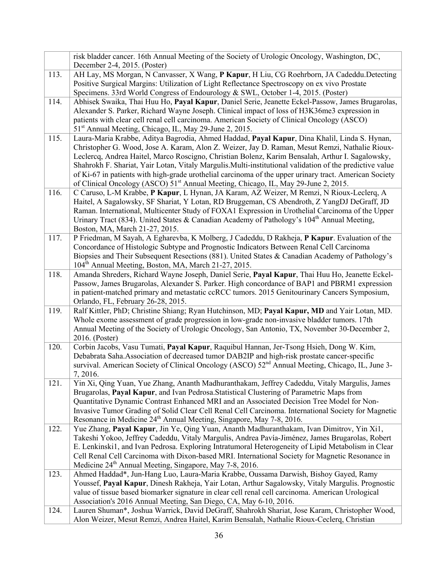|      | risk bladder cancer. 16th Annual Meeting of the Society of Urologic Oncology, Washington, DC,                |
|------|--------------------------------------------------------------------------------------------------------------|
|      | December 2-4, 2015. (Poster)                                                                                 |
| 113. | AH Lay, MS Morgan, N Canvasser, X Wang, P Kapur, H Liu, CG Roehrborn, JA Cadeddu.Detecting                   |
|      | Positive Surgical Margins: Utilization of Light Reflectance Spectroscopy on ex vivo Prostate                 |
|      | Specimens. 33rd World Congress of Endourology & SWL, October 1-4, 2015. (Poster)                             |
| 114. | Abhisek Swaika, Thai Huu Ho, Payal Kapur, Daniel Serie, Jeanette Eckel-Passow, James Brugarolas,             |
|      | Alexander S. Parker, Richard Wayne Joseph. Clinical impact of loss of H3K36me3 expression in                 |
|      | patients with clear cell renal cell carcinoma. American Society of Clinical Oncology (ASCO)                  |
|      | 51 <sup>st</sup> Annual Meeting, Chicago, IL, May 29-June 2, 2015.                                           |
| 115. | Laura-Maria Krabbe, Aditya Bagrodia, Ahmed Haddad, Payal Kapur, Dina Khalil, Linda S. Hynan,                 |
|      | Christopher G. Wood, Jose A. Karam, Alon Z. Weizer, Jay D. Raman, Mesut Remzi, Nathalie Rioux-               |
|      | Leclercq, Andrea Haitel, Marco Roscigno, Christian Bolenz, Karim Bensalah, Arthur I. Sagalowsky,             |
|      | Shahrokh F. Shariat, Yair Lotan, Vitaly Margulis. Multi-institutional validation of the predictive value     |
|      | of Ki-67 in patients with high-grade urothelial carcinoma of the upper urinary tract. American Society       |
|      | of Clinical Oncology (ASCO) 51 <sup>st</sup> Annual Meeting, Chicago, IL, May 29-June 2, 2015.               |
| 116. | C Caruso, L-M Krabbe, P Kapur, L Hynan, JA Karam, AZ Weizer, M Remzi, N Rioux-Leclerq, A                     |
|      | Haitel, A Sagalowsky, SF Shariat, Y Lotan, RD Bruggeman, CS Abendroth, Z YangDJ DeGraff, JD                  |
|      | Raman. International, Multicenter Study of FOXA1 Expression in Urothelial Carcinoma of the Upper             |
|      | Urinary Tract (834). United States & Canadian Academy of Pathology's 104 <sup>th</sup> Annual Meeting,       |
|      | Boston, MA, March 21-27, 2015.                                                                               |
| 117. | P Friedman, M Sayah, A Egharevba, K Molberg, J Cadeddu, D Rakheja, P Kapur. Evaluation of the                |
|      | Concordance of Histologic Subtype and Prognostic Indicators Between Renal Cell Carcinoma                     |
|      | Biopsies and Their Subsequent Resections (881). United States & Canadian Academy of Pathology's              |
|      | 104 <sup>th</sup> Annual Meeting, Boston, MA, March 21-27, 2015.                                             |
| 118. | Amanda Shreders, Richard Wayne Joseph, Daniel Serie, Payal Kapur, Thai Huu Ho, Jeanette Eckel-               |
|      | Passow, James Brugarolas, Alexander S. Parker. High concordance of BAP1 and PBRM1 expression                 |
|      | in patient-matched primary and metastatic ccRCC tumors. 2015 Genitourinary Cancers Symposium,                |
|      | Orlando, FL, February 26-28, 2015.                                                                           |
| 119. | Ralf Kittler, PhD; Christine Shiang; Ryan Hutchinson, MD; Payal Kapur, MD and Yair Lotan, MD.                |
|      | Whole exome assessment of grade progression in low-grade non-invasive bladder tumors. 17th                   |
|      | Annual Meeting of the Society of Urologic Oncology, San Antonio, TX, November 30-December 2,                 |
|      | 2016. (Poster)                                                                                               |
| 120. | Corbin Jacobs, Vasu Tumati, Payal Kapur, Raquibul Hannan, Jer-Tsong Hsieh, Dong W. Kim,                      |
|      | Debabrata Saha.Association of decreased tumor DAB2IP and high-risk prostate cancer-specific                  |
|      | survival. American Society of Clinical Oncology (ASCO) 52 <sup>nd</sup> Annual Meeting, Chicago, IL, June 3- |
|      | 7, 2016.                                                                                                     |
| 121. | Yin Xi, Qing Yuan, Yue Zhang, Ananth Madhuranthakam, Jeffrey Cadeddu, Vitaly Margulis, James                 |
|      | Brugarolas, Payal Kapur, and Ivan Pedrosa. Statistical Clustering of Parametric Maps from                    |
|      | Quantitative Dynamic Contrast Enhanced MRI and an Associated Decision Tree Model for Non-                    |
|      | Invasive Tumor Grading of Solid Clear Cell Renal Cell Carcinoma. International Society for Magnetic          |
|      | Resonance in Medicine 24 <sup>th</sup> Annual Meeting, Singapore, May 7-8, 2016.                             |
| 122. | Yue Zhang, Payal Kapur, Jin Ye, Qing Yuan, Ananth Madhuranthakam, Ivan Dimitrov, Yin Xi1,                    |
|      | Takeshi Yokoo, Jeffrey Cadeddu, Vitaly Margulis, Andrea Pavía-Jiménez, James Brugarolas, Robert              |
|      | E. Lenkinski1, and Ivan Pedrosa. Exploring Intratumoral Heterogeneity of Lipid Metabolism in Clear           |
|      | Cell Renal Cell Carcinoma with Dixon-based MRI. International Society for Magnetic Resonance in              |
|      | Medicine 24 <sup>th</sup> Annual Meeting, Singapore, May 7-8, 2016.                                          |
| 123. | Ahmed Haddad*, Jun-Hang Luo, Laura-Maria Krabbe, Oussama Darwish, Bishoy Gayed, Ramy                         |
|      | Youssef, Payal Kapur, Dinesh Rakheja, Yair Lotan, Arthur Sagalowsky, Vitaly Margulis. Prognostic             |
|      | value of tissue based biomarker signature in clear cell renal cell carcinoma. American Urological            |
|      | Association's 2016 Annual Meeting, San Diego, CA, May 6-10, 2016.                                            |
| 124. | Lauren Shuman*, Joshua Warrick, David DeGraff, Shahrokh Shariat, Jose Karam, Christopher Wood,               |
|      | Alon Weizer, Mesut Remzi, Andrea Haitel, Karim Bensalah, Nathalie Rioux-Ceclerq, Christian                   |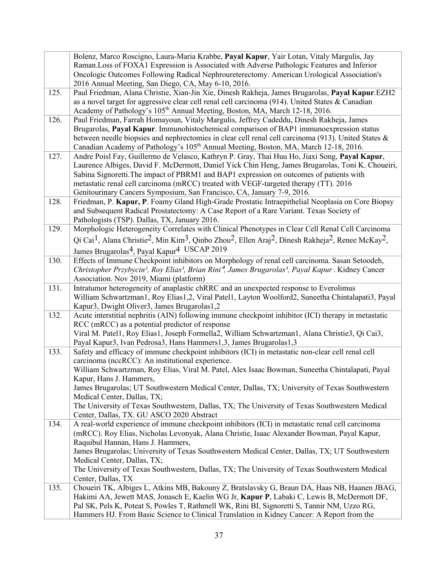|      | Bolenz, Marco Roscigno, Laura-Maria Krabbe, Payal Kapur, Yair Lotan, Vitaly Margulis, Jay<br>Raman.Loss of FOXA1 Expression is Associated with Adverse Pathologic Features and Inferior<br>Oncologic Outcomes Following Radical Nephroureterectomy. American Urological Association's<br>2016 Annual Meeting, San Diego, CA, May 6-10, 2016.                                                                                                                                                                                                                        |
|------|---------------------------------------------------------------------------------------------------------------------------------------------------------------------------------------------------------------------------------------------------------------------------------------------------------------------------------------------------------------------------------------------------------------------------------------------------------------------------------------------------------------------------------------------------------------------|
| 125. | Paul Friedman, Alana Christie, Xian-Jin Xie, Dinesh Rakheja, James Brugarolas, Payal Kapur.EZH2<br>as a novel target for aggressive clear cell renal cell carcinoma (914). United States & Canadian<br>Academy of Pathology's 105 <sup>th</sup> Annual Meeting, Boston, MA, March 12-18, 2016.                                                                                                                                                                                                                                                                      |
| 126. | Paul Friedman, Farrah Homayoun, Vitaly Margulis, Jeffrey Cadeddu, Dinesh Rakheja, James<br>Brugarolas, Payal Kapur. Immunohistochemical comparison of BAP1 immunoexpression status<br>between needle biopsies and nephrectomies in clear cell renal cell carcinoma (913). United States $\&$<br>Canadian Academy of Pathology's 105 <sup>th</sup> Annual Meeting, Boston, MA, March 12-18, 2016.                                                                                                                                                                    |
| 127. | Andre Poisl Fay, Guillermo de Velasco, Kathryn P. Gray, Thai Huu Ho, Jiaxi Song, Payal Kapur,<br>Laurence Albiges, David F. McDermott, Daniel Yick Chin Heng, James Brugarolas, Toni K. Choueiri,<br>Sabina Signoretti. The impact of PBRM1 and BAP1 expression on outcomes of patients with<br>metastatic renal cell carcinoma (mRCC) treated with VEGF-targeted therapy (TT). 2016<br>Genitourinary Cancers Symposium, San Francisco, CA, January 7-9, 2016.                                                                                                      |
| 128. | Friedman, P. Kapur, P. Foamy Gland High-Grade Prostatic Intraepithelial Neoplasia on Core Biopsy<br>and Subsequent Radical Prostatectomy: A Case Report of a Rare Variant. Texas Society of<br>Pathologists (TSP). Dallas, TX, January 2016.                                                                                                                                                                                                                                                                                                                        |
| 129. | Morphologic Heterogeneity Correlates with Clinical Phenotypes in Clear Cell Renal Cell Carcinoma<br>Qi Cai <sup>1</sup> , Alana Christie <sup>2</sup> , Min Kim <sup>3</sup> , Qinbo Zhou <sup>2</sup> , Ellen Araj <sup>2</sup> , Dinesh Rakheja <sup>2</sup> , Renee McKay <sup>2</sup> ,<br>James Brugarolas <sup>4</sup> , Payal Kapur <sup>4</sup> USCAP 2019                                                                                                                                                                                                  |
| 130. | Effects of Immune Checkpoint inhibitors on Morphology of renal cell carcinoma. Sasan Setoodeh,<br>Christopher Przybycin <sup>2</sup> , Roy Elias <sup>3</sup> , Brian Rini <sup>4</sup> , James Brugarolas <sup>3</sup> , Payal Kapur. Kidney Cancer<br>Association. Nov 2019, Miami (platform)                                                                                                                                                                                                                                                                     |
| 131. | Intratumor heterogeneity of anaplastic chRRC and an unexpected response to Everolimus<br>William Schwartzman1, Roy Elias1,2, Viral Patel1, Layton Woolford2, Suneetha Chintalapati3, Payal<br>Kapur3, Dwight Oliver3, James Brugarolas1,2                                                                                                                                                                                                                                                                                                                           |
| 132. | Acute interstitial nephritis (AIN) following immune checkpoint inhibitor (ICI) therapy in metastatic<br>RCC (mRCC) as a potential predictor of response<br>Viral M. Patel1, Roy Elias1, Joseph Formella2, William Schwartzman1, Alana Christie3, Qi Cai3,<br>Payal Kapur3, Ivan Pedrosa3, Hans Hammers1,3, James Brugarolas1,3                                                                                                                                                                                                                                      |
| 133. | Safety and efficacy of immune checkpoint inhibitors (ICI) in metastatic non-clear cell renal cell<br>carcinoma (nccRCC): An institutional experience.<br>William Schwartzman, Roy Elias, Viral M. Patel, Alex Isaac Bowman, Suneetha Chintalapati, Payal<br>Kapur, Hans J. Hammers,<br>James Brugarolas; UT Southwestern Medical Center, Dallas, TX; University of Texas Southwestern<br>Medical Center, Dallas, TX;<br>The University of Texas Southwestern, Dallas, TX; The University of Texas Southwestern Medical<br>Center, Dallas, TX. GU ASCO 2020 Abstract |
| 134. | A real-world experience of immune checkpoint inhibitors (ICI) in metastatic renal cell carcinoma<br>(mRCC). Roy Elias, Nicholas Levonyak, Alana Christie, Isaac Alexander Bowman, Payal Kapur,<br>Raquibul Hannan, Hans J. Hammers,<br>James Brugarolas; University of Texas Southwestern Medical Center, Dallas, TX; UT Southwestern<br>Medical Center, Dallas, TX;<br>The University of Texas Southwestern, Dallas, TX; The University of Texas Southwestern Medical<br>Center, Dallas, TX                                                                        |
| 135. | Choueiri TK, Albiges L, Atkins MB, Bakouny Z, Bratslavsky G, Braun DA, Haas NB, Haanen JBAG,<br>Hakimi AA, Jewett MAS, Jonasch E, Kaelin WG Jr, Kapur P, Labaki C, Lewis B, McDermott DF,<br>Pal SK, Pels K, Poteat S, Powles T, Rathmell WK, Rini BI, Signoretti S, Tannir NM, Uzzo RG,<br>Hammers HJ. From Basic Science to Clinical Translation in Kidney Cancer: A Report from the                                                                                                                                                                              |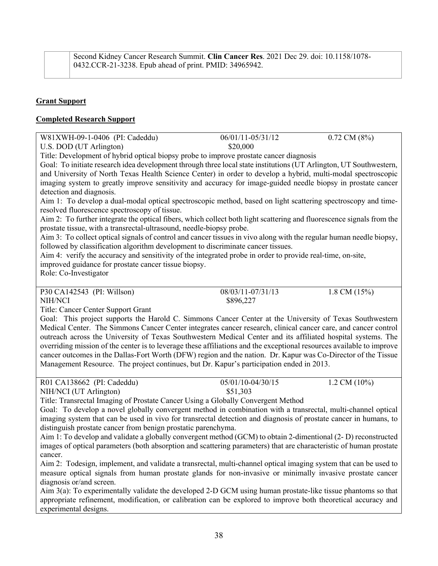### **Grant Support**

#### **Completed Research Support**

| W81XWH-09-1-0406 (PI: Cadeddu) | 06/01/11-05/31/12 | $0.72$ CM $(8\%)$ |
|--------------------------------|-------------------|-------------------|
| U.S. DOD (UT Arlington)        | \$20,000          |                   |

Title: Development of hybrid optical biopsy probe to improve prostate cancer diagnosis

Goal: To initiate research idea development through three local state institutions (UT Arlington, UT Southwestern, and University of North Texas Health Science Center) in order to develop a hybrid, multi-modal spectroscopic imaging system to greatly improve sensitivity and accuracy for image-guided needle biopsy in prostate cancer detection and diagnosis.

Aim 1: To develop a dual-modal optical spectroscopic method, based on light scattering spectroscopy and timeresolved fluorescence spectroscopy of tissue.

Aim 2: To further integrate the optical fibers, which collect both light scattering and fluorescence signals from the prostate tissue, with a transrectal-ultrasound, needle-biopsy probe.

Aim 3: To collect optical signals of control and cancer tissues in vivo along with the regular human needle biopsy, followed by classification algorithm development to discriminate cancer tissues.

Aim 4: verify the accuracy and sensitivity of the integrated probe in order to provide real-time, on-site, improved guidance for prostate cancer tissue biopsy.

Role: Co-Investigator

P30 CA142543 (PI: Willson) 08/03/11-07/31/13 1.8 CM (15%) NIH/NCI \$896,227

Title: Cancer Center Support Grant

Goal: This project supports the Harold C. Simmons Cancer Center at the University of Texas Southwestern Medical Center. The Simmons Cancer Center integrates cancer research, clinical cancer care, and cancer control outreach across the University of Texas Southwestern Medical Center and its affiliated hospital systems. The overriding mission of the center is to leverage these affiliations and the exceptional resources available to improve cancer outcomes in the Dallas-Fort Worth (DFW) region and the nation. Dr. Kapur was Co-Director of the Tissue Management Resource. The project continues, but Dr. Kapur's participation ended in 2013.

| R01 CA138662 (PI: Cadeddu) | 05/01/10-04/30/15 | 1.2 CM $(10\%)$ |
|----------------------------|-------------------|-----------------|
| NIH/NCI (UT Arlington)     | \$51,303          |                 |

Title: Transrectal Imaging of Prostate Cancer Using a Globally Convergent Method

Goal: To develop a novel globally convergent method in combination with a transrectal, multi-channel optical imaging system that can be used in vivo for transrectal detection and diagnosis of prostate cancer in humans, to distinguish prostate cancer from benign prostatic parenchyma.

Aim 1: To develop and validate a globally convergent method (GCM) to obtain 2-dimentional (2- D) reconstructed images of optical parameters (both absorption and scattering parameters) that are characteristic of human prostate cancer.

Aim 2: Todesign, implement, and validate a transrectal, multi-channel optical imaging system that can be used to measure optical signals from human prostate glands for non-invasive or minimally invasive prostate cancer diagnosis or/and screen.

Aim 3(a): To experimentally validate the developed 2-D GCM using human prostate-like tissue phantoms so that appropriate refinement, modification, or calibration can be explored to improve both theoretical accuracy and experimental designs.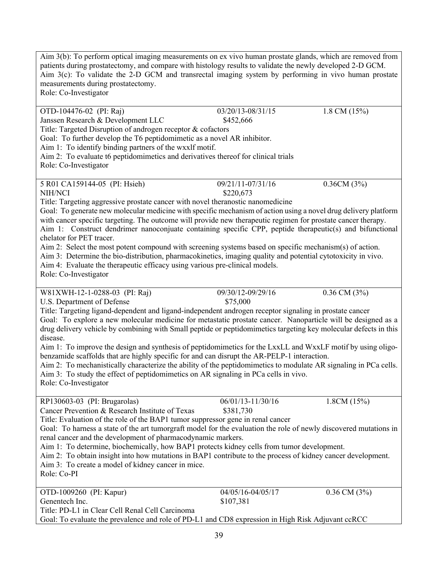Aim 3(b): To perform optical imaging measurements on ex vivo human prostate glands, which are removed from patients during prostatectomy, and compare with histology results to validate the newly developed 2-D GCM. Aim 3(c): To validate the 2-D GCM and transrectal imaging system by performing in vivo human prostate measurements during prostatectomy. Role: Co-Investigator OTD-104476-02 (PI: Raj) 03/20/13-08/31/15 1.8 CM (15%) Janssen Research & Development LLC \$452,666 Title: Targeted Disruption of androgen receptor & cofactors Goal: To further develop the T6 peptidomimetic as a novel AR inhibitor. Aim 1: To identify binding partners of the wxxlf motif. Aim 2: To evaluate t6 peptidomimetics and derivatives thereof for clinical trials Role: Co-Investigator 5 R01 CA159144-05 (PI: Hsieh) 09/21/11-07/31/16 0.36CM (3%) NIH/NCI \$220,673 Title: Targeting aggressive prostate cancer with novel theranostic nanomedicine Goal: To generate new molecular medicine with specific mechanism of action using a novel drug delivery platform with cancer specific targeting. The outcome will provide new therapeutic regimen for prostate cancer therapy. Aim 1: Construct dendrimer nanoconjuate containing specific CPP, peptide therapeutic(s) and bifunctional chelator for PET tracer. Aim 2: Select the most potent compound with screening systems based on specific mechanism(s) of action. Aim 3: Determine the bio-distribution, pharmacokinetics, imaging quality and potential cytotoxicity in vivo. Aim 4: Evaluate the therapeutic efficacy using various pre-clinical models. Role: Co-Investigator W81XWH-12-1-0288-03 (PI: Raj) 09/30/12-09/29/16 0.36 CM (3%) U.S. Department of Defense  $$75,000$ Title: Targeting ligand-dependent and ligand-independent androgen receptor signaling in prostate cancer Goal: To explore a new molecular medicine for metastatic prostate cancer. Nanoparticle will be designed as a drug delivery vehicle by combining with Small peptide or peptidomimetics targeting key molecular defects in this disease. Aim 1: To improve the design and synthesis of peptidomimetics for the LxxLL and WxxLF motif by using oligobenzamide scaffolds that are highly specific for and can disrupt the AR-PELP-1 interaction. Aim 2: To mechanistically characterize the ability of the peptidomimetics to modulate AR signaling in PCa cells. Aim 3: To study the effect of peptidomimetics on AR signaling in PCa cells in vivo. Role: Co-Investigator RP130603-03 (PI: Brugarolas) 06/01/13-11/30/16 1.8CM (15%) Cancer Prevention & Research Institute of Texas \$381,730 Title: Evaluation of the role of the BAP1 tumor suppressor gene in renal cancer Goal: To harness a state of the art tumorgraft model for the evaluation the role of newly discovered mutations in renal cancer and the development of pharmacodynamic markers. Aim 1: To determine, biochemically, how BAP1 protects kidney cells from tumor development. Aim 2: To obtain insight into how mutations in BAP1 contribute to the process of kidney cancer development. Aim 3: To create a model of kidney cancer in mice. Role: Co-PI OTD-1009260 (PI: Kapur) 04/05/16-04/05/17 0.36 CM (3%) Genentech Inc.  $$107,381$ Title: PD-L1 in Clear Cell Renal Cell Carcinoma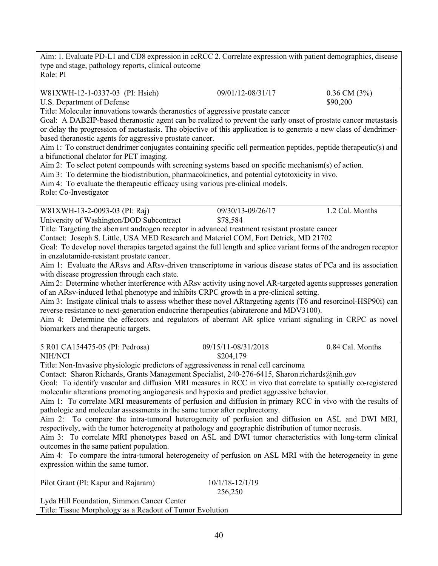Aim: 1. Evaluate PD-L1 and CD8 expression in ccRCC 2. Correlate expression with patient demographics, disease type and stage, pathology reports, clinical outcome Role: PI

W81XWH-12-1-0337-03 (PI: Hsieh) 09/01/12-08/31/17 0.36 CM (3%)

U.S. Department of Defense  $$90,200$ 

Title: Molecular innovations towards theranostics of aggressive prostate cancer

Goal: A DAB2IP-based theranostic agent can be realized to prevent the early onset of prostate cancer metastasis or delay the progression of metastasis. The objective of this application is to generate a new class of dendrimerbased theranostic agents for aggressive prostate cancer.

Aim 1: To construct dendrimer conjugates containing specific cell permeation peptides, peptide therapeutic(s) and a bifunctional chelator for PET imaging.

Aim 2: To select potent compounds with screening systems based on specific mechanism(s) of action.

Aim 3: To determine the biodistribution, pharmacokinetics, and potential cytotoxicity in vivo.

Aim 4: To evaluate the therapeutic efficacy using various pre-clinical models.

Role: Co-Investigator

W81XWH-13-2-0093-03 (PI: Raj) 09/30/13-09/26/17 1.2 Cal. Months University of Washington/DOD Subcontract \$78,584

Title: Targeting the aberrant androgen receptor in advanced treatment resistant prostate cancer

Contact: Joseph S. Little, USA MED Research and Materiel COM, Fort Detrick, MD 21702

Goal: To develop novel therapies targeted against the full length and splice variant forms of the androgen receptor in enzalutamide-resistant prostate cancer.

Aim 1: Evaluate the ARsvs and ARsv-driven transcriptome in various disease states of PCa and its association with disease progression through each state.

Aim 2: Determine whether interference with ARsv activity using novel AR-targeted agents suppresses generation of an ARsv-induced lethal phenotype and inhibits CRPC growth in a pre-clinical setting.

Aim 3: Instigate clinical trials to assess whether these novel ARtargeting agents (T6 and resorcinol-HSP90i) can reverse resistance to next-generation endocrine therapeutics (abiraterone and MDV3100).

Aim 4: Determine the effectors and regulators of aberrant AR splice variant signaling in CRPC as novel biomarkers and therapeutic targets.

| 5 R01 CA154475-05 (PI: Pedrosa) | 09/15/11-08/31/2018 | 0.84 Cal. Months |
|---------------------------------|---------------------|------------------|
| NIH/NCI                         | \$204,179           |                  |

Title: Non-Invasive physiologic predictors of aggressiveness in renal cell carcinoma

Contact: Sharon Richards, Grants Management Specialist, 240-276-6415, Sharon.richards@nih.gov

Goal: To identify vascular and diffusion MRI measures in RCC in vivo that correlate to spatially co-registered molecular alterations promoting angiogenesis and hypoxia and predict aggressive behavior.

Aim 1: To correlate MRI measurements of perfusion and diffusion in primary RCC in vivo with the results of pathologic and molecular assessments in the same tumor after nephrectomy.

Aim 2: To compare the intra-tumoral heterogeneity of perfusion and diffusion on ASL and DWI MRI, respectively, with the tumor heterogeneity at pathology and geographic distribution of tumor necrosis.

Aim 3: To correlate MRI phenotypes based on ASL and DWI tumor characteristics with long-term clinical outcomes in the same patient population.

Aim 4: To compare the intra-tumoral heterogeneity of perfusion on ASL MRI with the heterogeneity in gene expression within the same tumor.

Pilot Grant (PI: Kapur and Rajaram) 10/1/18-12/1/19 256,250 Lyda Hill Foundation, Simmon Cancer Center

Title: Tissue Morphology as a Readout of Tumor Evolution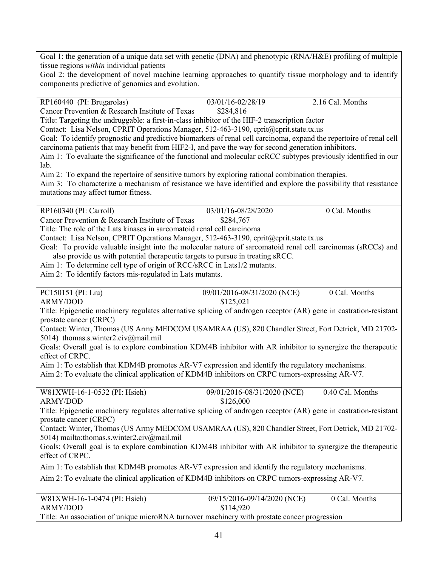Goal 1: the generation of a unique data set with genetic (DNA) and phenotypic (RNA/H&E) profiling of multiple tissue regions *within* individual patients

Goal 2: the development of novel machine learning approaches to quantify tissue morphology and to identify components predictive of genomics and evolution.

RP160440 (PI: Brugarolas) 03/01/16-02/28/19 2.16 Cal. Months Cancer Prevention & Research Institute of Texas \$284,816 Title: Targeting the undruggable: a first-in-class inhibitor of the HIF-2 transcription factor Contact: Lisa Nelson, CPRIT Operations Manager, 512-463-3190, cprit@cprit.state.tx.us Goal: To identify prognostic and predictive biomarkers of renal cell carcinoma, expand the repertoire of renal cell carcinoma patients that may benefit from HIF2-I, and pave the way for second generation inhibitors. Aim 1: To evaluate the significance of the functional and molecular ccRCC subtypes previously identified in our lab. Aim 2: To expand the repertoire of sensitive tumors by exploring rational combination therapies. Aim 3: To characterize a mechanism of resistance we have identified and explore the possibility that resistance mutations may affect tumor fitness. RP160340 (PI: Carroll) 03/01/16-08/28/2020 0 Cal. Months Cancer Prevention & Research Institute of Texas \$284,767 Title: The role of the Lats kinases in sarcomatoid renal cell carcinoma Contact: Lisa Nelson, CPRIT Operations Manager, 512-463-3190, cprit@cprit.state.tx.us Goal: To provide valuable insight into the molecular nature of sarcomatoid renal cell carcinomas (sRCCs) and also provide us with potential therapeutic targets to pursue in treating sRCC. Aim 1: To determine cell type of origin of RCC/sRCC in Lats1/2 mutants. Aim 2: To identify factors mis-regulated in Lats mutants. PC150151 (PI: Liu) 09/01/2016-08/31/2020 (NCE) 0 Cal. Months ARMY/DOD \$125,021 Title: Epigenetic machinery regulates alternative splicing of androgen receptor (AR) gene in castration-resistant prostate cancer (CRPC) Contact: Winter, Thomas (US Army MEDCOM USAMRAA (US), 820 Chandler Street, Fort Detrick, MD 21702- 5014) thomas.s.winter2.civ@mail.mil Goals: Overall goal is to explore combination KDM4B inhibitor with AR inhibitor to synergize the therapeutic effect of CRPC. Aim 1: To establish that KDM4B promotes AR-V7 expression and identify the regulatory mechanisms. Aim 2: To evaluate the clinical application of KDM4B inhibitors on CRPC tumors-expressing AR-V7. W81XWH-16-1-0532 (PI: Hsieh) 09/01/2016-08/31/2020 (NCE) 0.40 Cal. Months ARMY/DOD \$126,000 Title: Epigenetic machinery regulates alternative splicing of androgen receptor (AR) gene in castration-resistant prostate cancer (CRPC) Contact: Winter, Thomas (US Army MEDCOM USAMRAA (US), 820 Chandler Street, Fort Detrick, MD 21702- 5014) mailto:thomas.s.winter2.civ@mail.mil Goals: Overall goal is to explore combination KDM4B inhibitor with AR inhibitor to synergize the therapeutic effect of CRPC. Aim 1: To establish that KDM4B promotes AR-V7 expression and identify the regulatory mechanisms. Aim 2: To evaluate the clinical application of KDM4B inhibitors on CRPC tumors-expressing AR-V7. W81XWH-16-1-0474 (PI: Hsieh) 09/15/2016-09/14/2020 (NCE) 0 Cal. Months ARMY/DOD \$114,920 Title: An association of unique microRNA turnover machinery with prostate cancer progression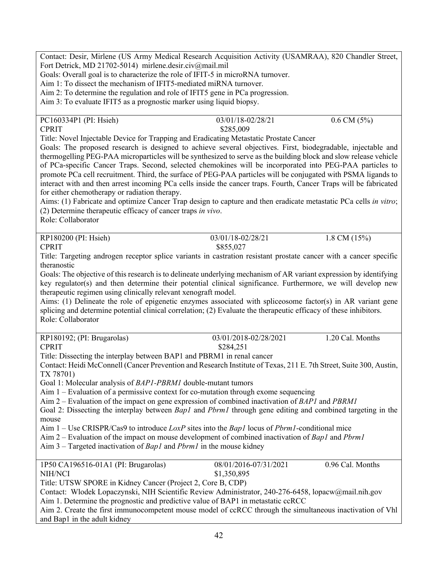Contact: Desir, Mirlene (US Army Medical Research Acquisition Activity (USAMRAA), 820 Chandler Street, Fort Detrick, MD 21702-5014) mirlene.desir.civ@mail.mil

Goals: Overall goal is to characterize the role of IFIT-5 in microRNA turnover.

Aim 1: To dissect the mechanism of IFIT5-mediated miRNA turnover.

Aim 2: To determine the regulation and role of IFIT5 gene in PCa progression.

Aim 3: To evaluate IFIT5 as a prognostic marker using liquid biopsy.

| PC160334P1 (PI: Hsieh) | 03/01/18-02/28/21 | $0.6$ CM $(5\%)$ |
|------------------------|-------------------|------------------|
| <b>CPRIT</b>           | \$285,009         |                  |

Title: Novel Injectable Device for Trapping and Eradicating Metastatic Prostate Cancer

Goals: The proposed research is designed to achieve several objectives. First, biodegradable, injectable and thermogelling PEG-PAA microparticles will be synthesized to serve as the building block and slow release vehicle of PCa-specific Cancer Traps. Second, selected chemokines will be incorporated into PEG-PAA particles to promote PCa cell recruitment. Third, the surface of PEG-PAA particles will be conjugated with PSMA ligands to interact with and then arrest incoming PCa cells inside the cancer traps. Fourth, Cancer Traps will be fabricated for either chemotherapy or radiation therapy.

Aims: (1) Fabricate and optimize Cancer Trap design to capture and then eradicate metastatic PCa cells *in vitro*; (2) Determine therapeutic efficacy of cancer traps *in vivo*.

Role: Collaborator

RP180200 (PI: Hsieh) 03/01/18-02/28/21 1.8 CM (15%)

CPRIT \$855,027

Title: Targeting androgen receptor splice variants in castration resistant prostate cancer with a cancer specific theranostic

Goals: The objective of this research is to delineate underlying mechanism of AR variant expression by identifying key regulator(s) and then determine their potential clinical significance. Furthermore, we will develop new therapeutic regimen using clinically relevant xenograft model.

Aims: (1) Delineate the role of epigenetic enzymes associated with spliceosome factor(s) in AR variant gene splicing and determine potential clinical correlation; (2) Evaluate the therapeutic efficacy of these inhibitors. Role: Collaborator

| RP180192; (PI: Brugarolas) | 03/01/2018-02/28/2021 | 1.20 Cal. Months |
|----------------------------|-----------------------|------------------|
| <b>CPRIT</b>               | \$284,251             |                  |

Title: Dissecting the interplay between BAP1 and PBRM1 in renal cancer

Contact: Heidi McConnell (Cancer Prevention and Research Institute of Texas, 211 E. 7th Street, Suite 300, Austin, TX 78701)

Goal 1: Molecular analysis of *BAP1-PBRM1* double-mutant tumors

Aim 1 – Evaluation of a permissive context for co-mutation through exome sequencing

Aim 2 – Evaluation of the impact on gene expression of combined inactivation of *BAP1* and *PBRM1*

Goal 2: Dissecting the interplay between *Bap1* and *Pbrm1* through gene editing and combined targeting in the mouse

Aim 1 – Use CRISPR/Cas9 to introduce *LoxP* sites into the *Bap1* locus of *Pbrm1*-conditional mice

Aim 2 – Evaluation of the impact on mouse development of combined inactivation of *Bap1* and *Pbrm1*

Aim 3 – Targeted inactivation of *Bap1* and *Pbrm1* in the mouse kidney

| 1P50 CA196516-01A1 (PI: Brugarolas)                         | 08/01/2016-07/31/2021 | 0.96 Cal. Months |
|-------------------------------------------------------------|-----------------------|------------------|
| NIH/NCI                                                     | \$1,350,895           |                  |
| Title: UTSW SPORE in Kidney Cancer (Project 2, Core B, CDP) |                       |                  |

Contact: Wlodek Lopaczynski, NIH Scientific Review Administrator, 240-276-6458, lopacw@mail.nih.gov Aim 1. Determine the prognostic and predictive value of BAP1 in metastatic ccRCC

Aim 2. Create the first immunocompetent mouse model of ccRCC through the simultaneous inactivation of Vhl and Bap1 in the adult kidney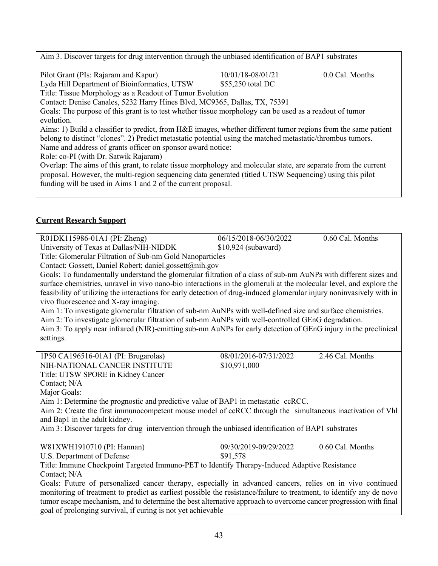Aim 3. Discover targets for drug intervention through the unbiased identification of BAP1 substrates

Pilot Grant (PIs: Rajaram and Kapur) 10/01/18-08/01/21 0.0 Cal. Months

Lyda Hill Department of Bioinformatics, UTSW \$55,250 total DC

Title: Tissue Morphology as a Readout of Tumor Evolution

Contact: Denise Canales, 5232 Harry Hines Blvd, MC9365, Dallas, TX, 75391

Goals: The purpose of this grant is to test whether tissue morphology can be used as a readout of tumor evolution.

Aims: 1) Build a classifier to predict, from H&E images, whether different tumor regions from the same patient belong to distinct "clones". 2) Predict metastatic potential using the matched metastatic/thrombus tumors. Name and address of grants officer on sponsor award notice:

Role: co-PI (with Dr. Satwik Rajaram)

Overlap: The aims of this grant, to relate tissue morphology and molecular state, are separate from the current proposal. However, the multi-region sequencing data generated (titled UTSW Sequencing) using this pilot funding will be used in Aims 1 and 2 of the current proposal.

## **Current Research Support**

| R01DK115986-01A1 (PI: Zheng)                                                                                          | 06/15/2018-06/30/2022 | 0.60 Cal. Months |
|-----------------------------------------------------------------------------------------------------------------------|-----------------------|------------------|
| University of Texas at Dallas/NIH-NIDDK                                                                               | $$10,924$ (subaward)  |                  |
| Title: Glomerular Filtration of Sub-nm Gold Nanoparticles                                                             |                       |                  |
| Contact: Gossett, Daniel Robert; daniel.gossett@nih.gov                                                               |                       |                  |
| Goals: To fundamentally understand the glomerular filtration of a class of sub-nm AuNPs with different sizes and      |                       |                  |
| surface chemistries, unravel in vivo nano-bio interactions in the glomeruli at the molecular level, and explore the   |                       |                  |
| feasibility of utilizing the interactions for early detection of drug-induced glomerular injury noninvasively with in |                       |                  |
| vivo fluorescence and X-ray imaging.                                                                                  |                       |                  |
| Aim 1: To investigate glomerular filtration of sub-nm AuNPs with well-defined size and surface chemistries.           |                       |                  |
| Aim 2: To investigate glomerular filtration of sub-nm AuNPs with well-controlled GEnG degradation.                    |                       |                  |
| Aim 3: To apply near infrared (NIR)-emitting sub-nm AuNPs for early detection of GEnG injury in the preclinical       |                       |                  |
| settings.                                                                                                             |                       |                  |
|                                                                                                                       |                       |                  |
| 1P50 CA196516-01A1 (PI: Brugarolas)                                                                                   | 08/01/2016-07/31/2022 | 2.46 Cal. Months |
| NIH-NATIONAL CANCER INSTITUTE                                                                                         | \$10,971,000          |                  |
| Title: UTSW SPORE in Kidney Cancer                                                                                    |                       |                  |
| Contact; N/A                                                                                                          |                       |                  |
| Major Goals:                                                                                                          |                       |                  |
| Aim 1: Determine the prognostic and predictive value of BAP1 in metastatic ccRCC.                                     |                       |                  |
| Aim 2: Create the first immunocompetent mouse model of ccRCC through the simultaneous inactivation of Vhl             |                       |                  |
| and Bap1 in the adult kidney.                                                                                         |                       |                  |
| Aim 3: Discover targets for drug intervention through the unbiased identification of BAP1 substrates                  |                       |                  |
|                                                                                                                       |                       |                  |
| W81XWH1910710 (PI: Hannan)                                                                                            | 09/30/2019-09/29/2022 | 0.60 Cal. Months |
| U.S. Department of Defense                                                                                            | \$91,578              |                  |
| Title: Immune Checkpoint Targeted Immuno-PET to Identify Therapy-Induced Adaptive Resistance                          |                       |                  |
| Contact; N/A                                                                                                          |                       |                  |
| Goals: Future of personalized cancer therapy, especially in advanced cancers, relies on in vivo continued             |                       |                  |
| monitoring of treatment to predict as earliest possible the resistance/failure to treatment, to identify any de novo  |                       |                  |
| tumor escape mechanism, and to determine the best alternative approach to overcome cancer progression with final      |                       |                  |
| goal of prolonging survival, if curing is not yet achievable                                                          |                       |                  |
|                                                                                                                       |                       |                  |
|                                                                                                                       |                       |                  |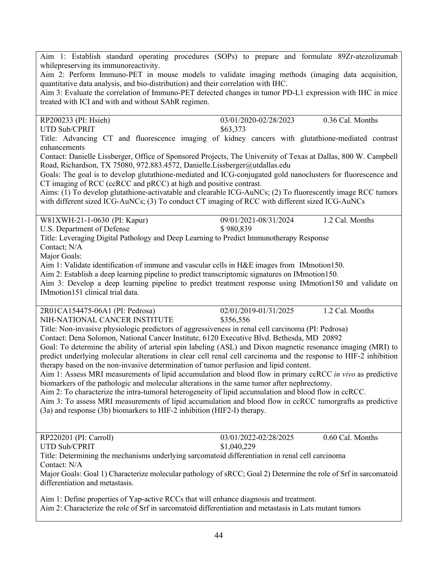Aim 1: Establish standard operating procedures (SOPs) to prepare and formulate 89Zr-atezolizumab whilepreserving its immunoreactivity.

Aim 2: Perform Immuno-PET in mouse models to validate imaging methods (imaging data acquisition, quantitative data analysis, and bio-distribution) and their correlation with IHC.

Aim 3: Evaluate the correlation of Immuno-PET detected changes in tumor PD-L1 expression with IHC in mice treated with ICI and with and without SAbR regimen.

RP200233 (PI: Hsieh) 03/01/2020-02/28/2023 0.36 Cal. Months UTD Sub/CPRIT \$63,373 Title: Advancing CT and fluorescence imaging of kidney cancers with glutathione-mediated contrast enhancements Contact: Danielle Lissberger, Office of Sponsored Projects, The University of Texas at Dallas, 800 W. Campbell Road, Richardson, TX 75080, 972.883.4572, Danielle.Lissberger@utdallas.edu Goals: The goal is to develop glutathione-mediated and ICG-conjugated gold nanoclusters for fluorescence and CT imaging of RCC (ccRCC and pRCC) at high and positive contrast. Aims: (1) To develop glutathione-activatable and clearable ICG-AuNCs; (2) To fluorescently image RCC tumors

with different sized ICG-AuNCs; (3) To conduct CT imaging of RCC with different sized ICG-AuNCs

W81XWH-21-1-0630 (PI: Kapur) 09/01/2021-08/31/2024 1.2 Cal. Months

U.S. Department of Defense  $$ 980,839$ 

Title: Leveraging Digital Pathology and Deep Learning to Predict Immunotherapy Response

Contact; N/A Major Goals:

Aim 1: Validate identification of immune and vascular cells in H&E images from IMmotion150.

Aim 2: Establish a deep learning pipeline to predict transcriptomic signatures on IMmotion150.

Aim 3: Develop a deep learning pipeline to predict treatment response using IMmotion150 and validate on IMmotion151 clinical trial data.

| 2R01CA154475-06A1 (PI: Pedrosa) | 02/01/2019-01/31/2025 | 1.2 Cal. Months |
|---------------------------------|-----------------------|-----------------|
| NIH-NATIONAL CANCER INSTITUTE   | \$356,556             |                 |

Title: Non-invasive physiologic predictors of aggressiveness in renal cell carcinoma (PI: Pedrosa)

Contact: Dena Solomon, National Cancer Institute, 6120 Executive Blvd. Bethesda, MD 20892

Goal: To determine the ability of arterial spin labeling (ASL) and Dixon magnetic resonance imaging (MRI) to predict underlying molecular alterations in clear cell renal cell carcinoma and the response to HIF-2 inhibition therapy based on the non-invasive determination of tumor perfusion and lipid content.

Aim 1: Assess MRI measurements of lipid accumulation and blood flow in primary ccRCC *in vivo* as predictive biomarkers of the pathologic and molecular alterations in the same tumor after nephrectomy.

Aim 2: To characterize the intra-tumoral heterogeneity of lipid accumulation and blood flow in ccRCC.

Aim 3: To assess MRI measurements of lipid accumulation and blood flow in ccRCC tumorgrafts as predictive (3a) and response (3b) biomarkers to HIF-2 inhibition (HIF2-I) therapy.

RP220201 (PI: Carroll) 03/01/2022-02/28/2025 0.60 Cal. Months

UTD Sub/CPRIT \$1,040,229

Title: Determining the mechanisms underlying sarcomatoid differentiation in renal cell carcinoma Contact: N/A

Major Goals: Goal 1) Characterize molecular pathology of sRCC; Goal 2) Determine the role of Srf in sarcomatoid differentiation and metastasis.

Aim 1: Define properties of Yap-active RCCs that will enhance diagnosis and treatment. Aim 2: Characterize the role of Srf in sarcomatoid differentiation and metastasis in Lats mutant tumors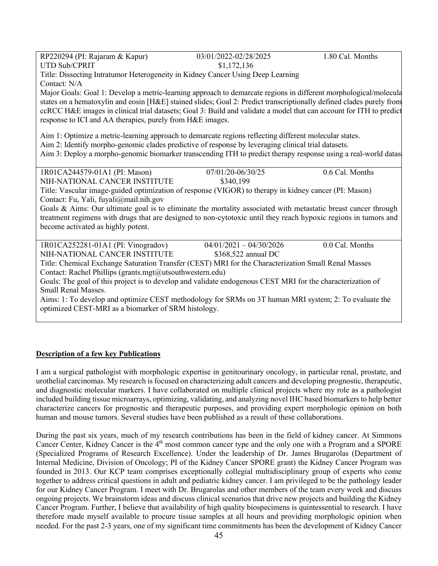| RP220294 (PI: Rajaram & Kapur)                                                                                       | 03/01/2022-02/28/2025     | 1.80 Cal. Months |  |
|----------------------------------------------------------------------------------------------------------------------|---------------------------|------------------|--|
| <b>UTD Sub/CPRIT</b>                                                                                                 | \$1,172,136               |                  |  |
| Title: Dissecting Intratumor Heterogeneity in Kidney Cancer Using Deep Learning                                      |                           |                  |  |
| Contact: N/A                                                                                                         |                           |                  |  |
| Major Goals: Goal 1: Develop a metric-learning approach to demarcate regions in different morphological/molecula     |                           |                  |  |
| states on a hematoxylin and eosin [H&E] stained slides; Goal 2: Predict transcriptionally defined clades purely from |                           |                  |  |
| ccRCC H&E images in clinical trial datasets; Goal 3: Build and validate a model that can account for ITH to predict  |                           |                  |  |
| response to ICI and AA therapies, purely from H&E images.                                                            |                           |                  |  |
|                                                                                                                      |                           |                  |  |
| Aim 1: Optimize a metric-learning approach to demarcate regions reflecting different molecular states.               |                           |                  |  |
| Aim 2: Identify morpho-genomic clades predictive of response by leveraging clinical trial datasets.                  |                           |                  |  |
| Aim 3: Deploy a morpho-genomic biomarker transcending ITH to predict therapy response using a real-world datas       |                           |                  |  |
| 1R01CA244579-01A1 (PI: Mason)                                                                                        | 07/01/20-06/30/25         | 0.6 Cal. Months  |  |
| NIH-NATIONAL CANCER INSTITUTE                                                                                        | \$340,199                 |                  |  |
| Title: Vascular image-guided optimization of response (VIGOR) to therapy in kidney cancer (PI: Mason)                |                           |                  |  |
| Contact: Fu, Yali, fuyali@mail.nih.gov                                                                               |                           |                  |  |
| Goals & Aims: Our ultimate goal is to eliminate the mortality associated with metastatic breast cancer through       |                           |                  |  |
| treatment regimens with drugs that are designed to non-cytotoxic until they reach hypoxic regions in tumors and      |                           |                  |  |
| become activated as highly potent.                                                                                   |                           |                  |  |
|                                                                                                                      |                           |                  |  |
| 1R01CA252281-01A1 (PI: Vinogradov)                                                                                   | $04/01/2021 - 04/30/2026$ | 0.0 Cal. Months  |  |
| NIH-NATIONAL CANCER INSTITUTE                                                                                        | \$368,522 annual DC       |                  |  |
| Title: Chemical Exchange Saturation Transfer (CEST) MRI for the Characterization Small Renal Masses                  |                           |                  |  |
| Contact: Rachel Phillips (grants.mgt@utsouthwestern.edu)                                                             |                           |                  |  |
| Goals: The goal of this project is to develop and validate endogenous CEST MRI for the characterization of           |                           |                  |  |
| Small Renal Masses.                                                                                                  |                           |                  |  |
| Aims: 1: To develop and optimize CEST methodology for SRMs on 3T human MRI system; 2: To evaluate the                |                           |                  |  |
| optimized CEST-MRI as a biomarker of SRM histology.                                                                  |                           |                  |  |
|                                                                                                                      |                           |                  |  |

### **Description of a few key Publications**

I am a surgical pathologist with morphologic expertise in genitourinary oncology, in particular renal, prostate, and urothelial carcinomas. My research is focused on characterizing adult cancers and developing prognostic, therapeutic, and diagnostic molecular markers. I have collaborated on multiple clinical projects where my role as a pathologist included building tissue microarrays, optimizing, validating, and analyzing novel IHC based biomarkers to help better characterize cancers for prognostic and therapeutic purposes, and providing expert morphologic opinion on both human and mouse tumors. Several studies have been published as a result of these collaborations.

During the past six years, much of my research contributions has been in the field of kidney cancer. At Simmons Cancer Center, Kidney Cancer is the 4<sup>th</sup> most common cancer type and the only one with a Program and a SPORE (Specialized Programs of Research Excellence). Under the leadership of Dr. James Brugarolas (Department of Internal Medicine, Division of Oncology; PI of the Kidney Cancer SPORE grant) the Kidney Cancer Program was founded in 2013. Our KCP team comprises exceptionally collegial multidisciplinary group of experts who come together to address critical questions in adult and pediatric kidney cancer. I am privileged to be the pathology leader for our Kidney Cancer Program. I meet with Dr. Brugarolas and other members of the team every week and discuss ongoing projects. We brainstorm ideas and discuss clinical scenarios that drive new projects and building the Kidney Cancer Program. Further, I believe that availability of high quality biospecimens is quintessential to research. I have therefore made myself available to procure tissue samples at all hours and providing morphologic opinion when needed. For the past 2-3 years, one of my significant time commitments has been the development of Kidney Cancer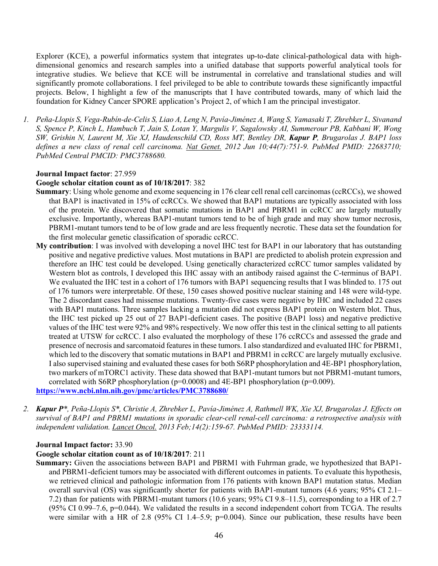Explorer (KCE), a powerful informatics system that integrates up-to-date clinical-pathological data with highdimensional genomics and research samples into a unified database that supports powerful analytical tools for integrative studies. We believe that KCE will be instrumental in correlative and translational studies and will significantly promote collaborations. I feel privileged to be able to contribute towards these significantly impactful projects. Below, I highlight a few of the manuscripts that I have contributed towards, many of which laid the foundation for Kidney Cancer SPORE application's Project 2, of which I am the principal investigator.

1. Peña-Llopis S, Vega-Rubín-de-Celis S, Liao A, Leng N, Pavía-Jiménez A, Wang S, Yamasaki T, Zhrebker L, Sivanand S, Spence P, Kinch L, Hambuch T, Jain S, Lotan Y, Margulis V, Sagalowsky AI, Summerour PB, Kabbani W, Wong SW, Grishin N, Laurent M, Xie XJ, Haudenschild CD, Ross MT, Bentley DR, Kapur P, Brugarolas J. BAP1 loss *defines a new class of renal cell carcinoma. Nat Genet. 2012 Jun 10;44(7):751-9. PubMed PMID: 22683710; PubMed Central PMCID: PMC3788680.*

#### **Journal Impact factor**: 27.959

#### **Google scholar citation count as of 10/18/2017**: 382

- **Summary**: Using whole genome and exome sequencing in 176 clear cell renal cell carcinomas (ccRCCs), we showed that BAP1 is inactivated in 15% of ccRCCs. We showed that BAP1 mutations are typically associated with loss of the protein. We discovered that somatic mutations in BAP1 and PBRM1 in ccRCC are largely mutually exclusive. Importantly, whereas BAP1-mutant tumors tend to be of high grade and may show tumor necrosis, PBRM1-mutant tumors tend to be of low grade and are less frequently necrotic. These data set the foundation for the first molecular genetic classification of sporadic ccRCC.
- **My contribution**: I was involved with developing a novel IHC test for BAP1 in our laboratory that has outstanding positive and negative predictive values. Most mutations in BAP1 are predicted to abolish protein expression and therefore an IHC test could be developed. Using genetically characterized ccRCC tumor samples validated by Western blot as controls, I developed this IHC assay with an antibody raised against the C-terminus of BAP1. We evaluated the IHC test in a cohort of 176 tumors with BAP1 sequencing results that I was blinded to. 175 out of 176 tumors were interpretable. Of these, 150 cases showed positive nuclear staining and 148 were wild-type. The 2 discordant cases had missense mutations. Twenty-five cases were negative by IHC and included 22 cases with BAP1 mutations. Three samples lacking a mutation did not express BAP1 protein on Western blot. Thus, the IHC test picked up 25 out of 27 BAP1-deficient cases. The positive (BAP1 loss) and negative predictive values of the IHC test were 92% and 98% respectively. We now offer this test in the clinical setting to all patients treated at UTSW for ccRCC. I also evaluated the morphology of these 176 ccRCCs and assessed the grade and presence of necrosis and sarcomatoid features in these tumors. I also standardized and evaluated IHC for PBRM1, which led to the discovery that somatic mutations in BAP1 and PBRM1 in ccRCC are largely mutually exclusive. I also supervised staining and evaluated these cases for both S6RP phosphorylation and 4E-BP1 phosphorylation, two markers of mTORC1 activity. These data showed that BAP1-mutant tumors but not PBRM1-mutant tumors, correlated with S6RP phosphorylation ( $p=0.0008$ ) and  $4E-BP1$  phosphorylation ( $p=0.009$ ). **https://www.ncbi.nlm.nih.gov/pmc/articles/PMC3788680/**
- 2. Kapur P<sup>\*</sup>, Peña-Llopis S<sup>\*</sup>, Christie A, Zhrebker L, Pavía-Jiménez A, Rathmell WK, Xie XJ, Brugarolas J. Effects on *survival of BAP1 and PBRM1 mutations in sporadic clear-cell renal-cell carcinoma: a retrospective analysis with independent validation. Lancet Oncol. 2013 Feb;14(2):159-67. PubMed PMID: 23333114.*

#### **Journal Impact factor:** 33.90

#### **Google scholar citation count as of 10/18/2017**: 211

**Summary:** Given the associations between BAP1 and PBRM1 with Fuhrman grade, we hypothesized that BAP1 and PBRM1-deficient tumors may be associated with different outcomes in patients. To evaluate this hypothesis, we retrieved clinical and pathologic information from 176 patients with known BAP1 mutation status. Median overall survival (OS) was significantly shorter for patients with BAP1-mutant tumors (4.6 years; 95% CI 2.1– 7.2) than for patients with PBRM1-mutant tumors (10.6 years; 95% CI 9.8–11.5), corresponding to a HR of 2.7  $(95\% \text{ CI } 0.99-7.6, \text{ p=0.044}).$  We validated the results in a second independent cohort from TCGA. The results were similar with a HR of 2.8 (95% CI 1.4–5.9; p=0.004). Since our publication, these results have been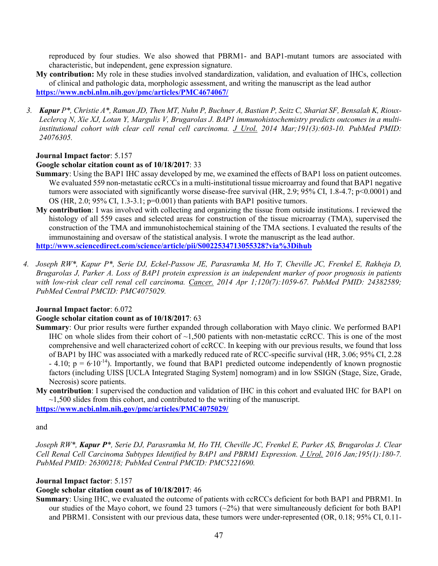reproduced by four studies. We also showed that PBRM1- and BAP1-mutant tumors are associated with characteristic, but independent, gene expression signature.

- **My contribution:** My role in these studies involved standardization, validation, and evaluation of IHCs, collection of clinical and pathologic data, morphologic assessment, and writing the manuscript as the lead author **https://www.ncbi.nlm.nih.gov/pmc/articles/PMC4674067/**
- 3. Kapur P<sup>\*</sup>, Christie A<sup>\*</sup>, Raman JD, Then MT, Nuhn P, Buchner A, Bastian P, Seitz C, Shariat SF, Bensalah K, Rioux-Leclercq N, Xie XJ, Lotan Y, Margulis V, Brugarolas J. BAP1 immunohistochemistry predicts outcomes in a multi*institutional cohort with clear cell renal cell carcinoma. J Urol. 2014 Mar;191(3):603-10. PubMed PMID: 24076305.*

#### **Journal Impact factor**: 5.157

#### **Google scholar citation count as of 10/18/2017**: 33

- **Summary**: Using the BAP1 IHC assay developed by me, we examined the effects of BAP1 loss on patient outcomes. We evaluated 559 non-metastatic ccRCCs in a multi-institutional tissue microarray and found that BAP1 negative tumors were associated with significantly worse disease-free survival (HR, 2.9; 95% CI, 1.8-4.7; p<0.0001) and OS (HR, 2.0; 95% CI, 1.3-3.1; p=0.001) than patients with BAP1 positive tumors.
- **My contribution**: I was involved with collecting and organizing the tissue from outside institutions. I reviewed the histology of all 559 cases and selected areas for construction of the tissue microarray (TMA), supervised the construction of the TMA and immunohistochemical staining of the TMA sections. I evaluated the results of the immunostaining and oversaw of the statistical analysis. I wrote the manuscript as the lead author. **http://www.sciencedirect.com/science/article/pii/S0022534713055328?via%3Dihub**
- 4. Joseph RW\*, Kapur P\*, Serie DJ, Eckel-Passow JE, Parasramka M, Ho T, Cheville JC, Frenkel E, Rakheja D, Brugarolas J, Parker A. Loss of BAP1 protein expression is an independent marker of poor prognosis in patients *with low-risk clear cell renal cell carcinoma. Cancer. 2014 Apr 1;120(7):1059-67. PubMed PMID: 24382589; PubMed Central PMCID: PMC4075029.*

#### **Journal Impact factor**: 6.072

#### **Google scholar citation count as of 10/18/2017**: 63

- **Summary**: Our prior results were further expanded through collaboration with Mayo clinic. We performed BAP1 IHC on whole slides from their cohort of  $\sim$ 1,500 patients with non-metastatic ccRCC. This is one of the most comprehensive and well characterized cohort of ccRCC. In keeping with our previous results, we found that loss of BAP1 by IHC was associated with a markedly reduced rate of RCC-specific survival (HR, 3.06; 95% CI, 2.28  $-$  4.10; p = 6⋅10<sup>-14</sup>). Importantly, we found that BAP1 predicted outcome independently of known prognostic factors (including UISS [UCLA Integrated Staging System] nomogram) and in low SSIGN (Stage, Size, Grade, Necrosis) score patients.
- **My contribution**: I supervised the conduction and validation of IHC in this cohort and evaluated IHC for BAP1 on  $\sim$ 1,500 slides from this cohort, and contributed to the writing of the manuscript.

**https://www.ncbi.nlm.nih.gov/pmc/articles/PMC4075029/**

#### and

Joseph RW\*, Kapur P\*, Serie DJ, Parasramka M, Ho TH, Cheville JC, Frenkel E, Parker AS, Brugarolas J. Clear *Cell Renal Cell Carcinoma Subtypes Identified by BAP1 and PBRM1 Expression. J Urol. 2016 Jan;195(1):180-7. PubMed PMID: 26300218; PubMed Central PMCID: PMC5221690.*

#### **Journal Impact factor**: 5.157

#### **Google scholar citation count as of 10/18/2017**: 46

**Summary**: Using IHC, we evaluated the outcome of patients with ccRCCs deficient for both BAP1 and PBRM1. In our studies of the Mayo cohort, we found 23 tumors  $(\sim 2\%)$  that were simultaneously deficient for both BAP1 and PBRM1. Consistent with our previous data, these tumors were under-represented (OR, 0.18; 95% CI, 0.11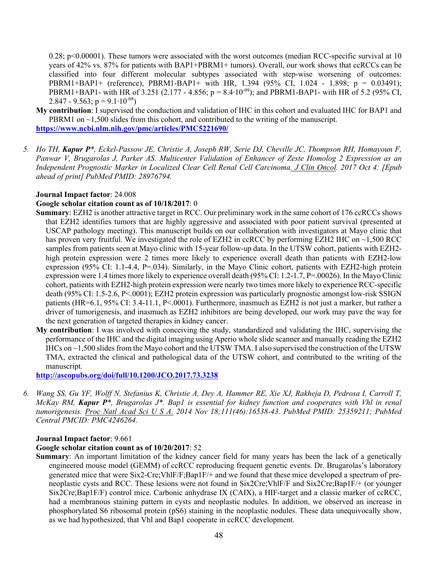0.28; p $\leq 0.00001$ ). These tumors were associated with the worst outcomes (median RCC-specific survival at 10 years of 42% vs. 87% for patients with BAP1+PBRM1+ tumors). Overall, our work shows that ccRCCs can be classified into four different molecular subtypes associated with step-wise worsening of outcomes: PBRM1+BAP1+ (reference), PBRM1-BAP1+ with HR, 1.394 (95% CI, 1.024 - 1.898; p = 0.03491); PBRM1+BAP1- with HR of 3.251 (2.177 - 4.856; p =  $8.4 \cdot 10^{-09}$ ); and PBRM1-BAP1- with HR of 5.2 (95% CI, 2.847 - 9.563; p =  $9.1 \cdot 10^{-08}$ )

- **My contribution**: I supervised the conduction and validation of IHC in this cohort and evaluated IHC for BAP1 and PBRM1 on  $\sim$ 1,500 slides from this cohort, and contributed to the writing of the manuscript. **https://www.ncbi.nlm.nih.gov/pmc/articles/PMC5221690/**
- *5. Ho TH, Kapur P\*, Eckel-Passow JE, Christie A, Joseph RW, Serie DJ, Cheville JC, Thompson RH, Homayoun F, Panwar V, Brugarolas J, Parker AS. Multicenter Validation of Enhancer of Zeste Homolog 2 Expression as an Independent Prognostic Marker in Localized Clear Cell Renal Cell Carcinoma. J Clin Oncol. 2017 Oct 4: [Epub ahead of print] PubMed PMID: 28976794.*

#### **Journal Impact factor**: 24.008

#### **Google scholar citation count as of 10/18/2017**: 0

- **Summary**: EZH2 is another attractive target in RCC. Our preliminary work in the same cohort of 176 ccRCCs shows that EZH2 identifies tumors that are highly aggressive and associated with poor patient survival (presented at USCAP pathology meeting). This manuscript builds on our collaboration with investigators at Mayo clinic that has proven very fruitful. We investigated the role of EZH2 in ccRCC by performing EZH2 IHC on ~1,500 RCC samples from patients seen at Mayo clinic with 15-year follow-up data. In the UTSW cohort, patients with EZH2 high protein expression were 2 times more likely to experience overall death than patients with EZH2-low expression (95% CI: 1.1-4.4, P=.034). Similarly, in the Mayo Clinic cohort, patients with EZH2-high protein expression were 1.4 times more likely to experience overall death (95% CI: 1.2-1.7, P=.00026). In the Mayo Clinic cohort, patients with EZH2-high protein expression were nearly two times more likely to experience RCC-specific death (95% CI: 1.5-2.6, P<.0001); EZH2 protein expression was particularly prognostic amongst low-risk SSIGN patients (HR=6.1, 95% CI: 3.4-11.1, P<.0001). Furthermore, inasmuch as EZH2 is not just a marker, but rather a driver of tumorigenesis, and inasmuch as EZH2 inhibitors are being developed, our work may pave the way for the next generation of targeted therapies in kidney cancer.
- **My contribution**: I was involved with conceiving the study, standardized and validating the IHC, supervising the performance of the IHC and the digital imaging using Aperio whole slide scanner and manually reading the EZH2 IHCs on ~1,500 slides from the Mayo cohort and the UTSW TMA. I also supervised the construction of the UTSW TMA, extracted the clinical and pathological data of the UTSW cohort, and contributed to the writing of the manuscript.

**http://ascopubs.org/doi/full/10.1200/JCO.2017.73.3238**

6. Wang SS, Gu YF, Wolff N, Stefanius K, Christie A, Dey A, Hammer RE, Xie XJ, Rakheja D, Pedrosa I, Carroll T, McKay RM, Kapur  $P^*$ , Brugarolas J\*. Bap1 is essential for kidney function and cooperates with Vhl in renal *tumorigenesis. Proc Natl Acad Sci U S A. 2014 Nov 18;111(46):16538-43. PubMed PMID: 25359211; PubMed Central PMCID: PMC4246264.*

#### **Journal Impact factor**: 9.661

#### **Google scholar citation count as of 10/20/2017**: 52

**Summary**: An important limitation of the kidney cancer field for many years has been the lack of a genetically engineered mouse model (GEMM) of ccRCC reproducing frequent genetic events. Dr. Brugarolas's laboratory generated mice that were Six2-Cre;VhlF/F;Bap1F/+ and we found that these mice developed a spectrum of preneoplastic cysts and RCC. These lesions were not found in Six2Cre;VhlF/F and Six2Cre;Bap1F/+ (or younger Six2Cre;Bap1F/F) control mice. Carbonic anhydrase IX (CAIX), a HIF-target and a classic marker of ccRCC, had a membranous staining pattern in cysts and neoplastic nodules. In addition, we observed an increase in phosphorylated S6 ribosomal protein (pS6) staining in the neoplastic nodules. These data unequivocally show, as we had hypothesized, that Vhl and Bap1 cooperate in ccRCC development.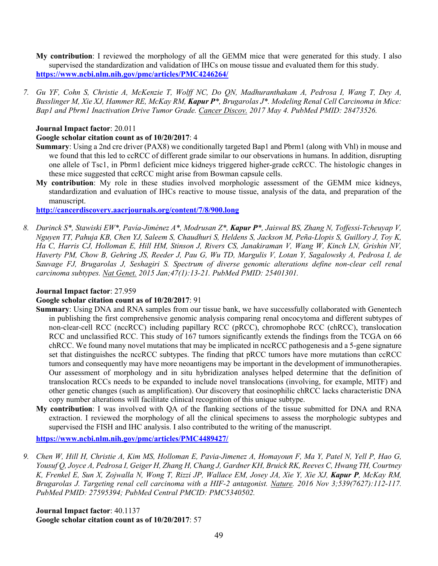**My contribution**: I reviewed the morphology of all the GEMM mice that were generated for this study. I also supervised the standardization and validation of IHCs on mouse tissue and evaluated them for this study. **https://www.ncbi.nlm.nih.gov/pmc/articles/PMC4246264/**

7. Gu YF, Cohn S, Christie A, McKenzie T, Wolff NC, Do ON, Madhuranthakam A, Pedrosa I, Wang T, Dev A, Busslinger M, Xie XJ, Hammer RE, McKay RM, Kapur P\*, Brugarolas J\*. Modeling Renal Cell Carcinoma in Mice: *Bap1 and Pbrm1 Inactivation Drive Tumor Grade. Cancer Discov. 2017 May 4. PubMed PMID: 28473526.*

#### **Journal Impact factor**: 20.011

#### **Google scholar citation count as of 10/20/2017**: 4

- **Summary**: Using a 2nd cre driver (PAX8) we conditionally targeted Bap1 and Pbrm1 (along with Vhl) in mouse and we found that this led to ccRCC of different grade similar to our observations in humans. In addition, disrupting one allele of Tsc1, in Pbrm1 deficient mice kidneys triggered higher-grade ccRCC. The histologic changes in these mice suggested that ccRCC might arise from Bowman capsule cells.
- **My contribution**: My role in these studies involved morphologic assessment of the GEMM mice kidneys, standardization and evaluation of IHCs reactive to mouse tissue, analysis of the data, and preparation of the manuscript.

**http://cancerdiscovery.aacrjournals.org/content/7/8/900.long**

8. Durinck S\*, Stawiski EW\*, Pavía-Jiménez A\*, Modrusan Z\*, Kapur P\*, Jaiswal BS, Zhang N, Toffessi-Tcheuyap V, Nguyen TT, Pahuja KB, Chen YJ, Saleem S, Chaudhuri S, Heldens S, Jackson M, Peña-Llopis S, Guillory J, Toy K, Ha C, Harris CJ, Holloman E, Hill HM, Stinson J, Rivers CS, Janakiraman V, Wang W, Kinch LN, Grishin NV, Haverty PM, Chow B, Gehring JS, Reeder J, Pau G, Wu TD, Margulis V, Lotan Y, Sagalowsky A, Pedrosa I, de *Sauvage FJ, Brugarolas J, Seshagiri S. Spectrum of diverse genomic alterations define non-clear cell renal carcinoma subtypes. Nat Genet. 2015 Jan;47(1):13-21. PubMed PMID: 25401301.*

#### **Journal Impact factor**: 27.959

### **Google scholar citation count as of 10/20/2017**: 91

- **Summary**: Using DNA and RNA samples from our tissue bank, we have successfully collaborated with Genentech in publishing the first comprehensive genomic analysis comparing renal oncocytoma and different subtypes of non-clear-cell RCC (nccRCC) including papillary RCC (pRCC), chromophobe RCC (chRCC), translocation RCC and unclassified RCC. This study of 167 tumors significantly extends the findings from the TCGA on 66 chRCC. We found many novel mutations that may be implicated in nccRCC pathogenesis and a 5-gene signature set that distinguishes the nccRCC subtypes. The finding that pRCC tumors have more mutations than ccRCC tumors and consequently may have more neoantigens may be important in the development of immunotherapies. Our assessment of morphology and in situ hybridization analyses helped determine that the definition of translocation RCCs needs to be expanded to include novel translocations (involving, for example, MITF) and other genetic changes (such as amplification). Our discovery that eosinophilic chRCC lacks characteristic DNA copy number alterations will facilitate clinical recognition of this unique subtype.
- **My contribution**: I was involved with QA of the flanking sections of the tissue submitted for DNA and RNA extraction. I reviewed the morphology of all the clinical specimens to assess the morphologic subtypes and supervised the FISH and IHC analysis. I also contributed to the writing of the manuscript.

**https://www.ncbi.nlm.nih.gov/pmc/articles/PMC4489427/**

9. Chen W, Hill H, Christie A, Kim MS, Holloman E, Pavia-Jimenez A, Homayoun F, Ma Y, Patel N, Yell P, Hao G, Yousuf Q, Joyce A, Pedrosa I, Geiger H, Zhang H, Chang J, Gardner KH, Bruick RK, Reeves C, Hwang TH, Courtney K, Frenkel E, Sun X, Zojwalla N, Wong T, Rizzi JP, Wallace EM, Josey JA, Xie Y, Xie XJ, Kapur P, McKay RM, *Brugarolas J. Targeting renal cell carcinoma with a HIF-2 antagonist. Nature. 2016 Nov 3;539(7627):112-117. PubMed PMID: 27595394; PubMed Central PMCID: PMC5340502.*

**Journal Impact factor**: 40.1137 **Google scholar citation count as of 10/20/2017**: 57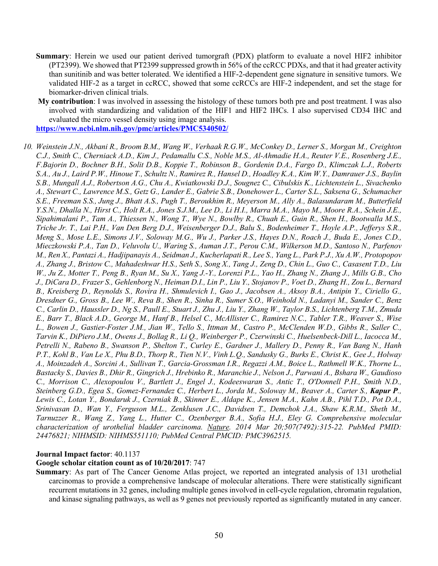- **Summary**: Herein we used our patient derived tumorgraft (PDX) platform to evaluate a novel HIF2 inhibitor (PT2399). We showed that PT2399 suppressed growth in 56% of the ccRCC PDXs, and that it had greater activity than sunitinib and was better tolerated. We identified a HIF-2-dependent gene signature in sensitive tumors. We validated HIF-2 as a target in ccRCC, showed that some ccRCCs are HIF-2 independent, and set the stage for biomarker-driven clinical trials.
- **My contribution**: I was involved in assessing the histology of these tumors both pre and post treatment. I was also involved with standardizing and validation of the HIF1 and HIF2 IHCs. I also supervised CD34 IHC and evaluated the micro vessel density using image analysis.

**https://www.ncbi.nlm.nih.gov/pmc/articles/PMC5340502/**

10. Weinstein J.N., Akbani R., Broom B.M., Wang W., Verhaak R.G.W., McConkey D., Lerner S., Morgan M., Creighton C.J., Smith C., Cherniack A.D., Kim J., Pedamallu C.S., Noble M.S., Al-Ahmadie H.A., Reuter V.E., Rosenberg J.E., F.Bajorin D., Bochner B.H., Solit D.B., Koppie T., Robinson B., Gordenin D.A., Fargo D., Klimczak L.J., Roberts S.A., Au J., Laird P.W., Hinoue T., Schultz N., Ramirez R., Hansel D., Hoadley K.A., Kim W.Y., Damrauer J.S., Baylin S.B., Mungall A.J., Robertson A.G., Chu A., Kwiatkowski D.J., Sougnez C., Cibulskis K., Lichtenstein L., Sivachenko A., Stewart C., Lawrence M.S., Getz G., Lander E., Gabrie S.B., Donehower L., Carter S.L., Saksena G., Schumacher S.E., Freeman S.S., Jung J., Bhatt A.S., Pugh T., Beroukhim R., Meyerson M., Ally A., Balasundaram M., Butterfield Y.S.N., Dhalla N., Hirst C., Holt R.A., Jones S.J.M., Lee D., Li H.I., Marra M.A., Mayo M., Moore R.A., Schein J.E., Sipahimalani P., Tam A., Thiessen N., Wong T., Wye N., Bowlby R., Chuah E., Guin R., Shen H., Bootwalla M.S., Triche Jr. T., Lai P.H., Van Den Berg D.J., Weisenberger D.J., Balu S., Bodenheimer T., Hoyle A.P., Jefferys S.R., Meng S., Mose L.E., Simons J.V., Soloway M.G., Wu J., Parker J.S., Hayes D.N., Roach J., Buda E., Jones C.D., Mieczkowski P.A., Tan D., Veluvolu U., Waring S., Auman J.T., Perou C.M., Wilkerson M.D., Santoso N., Parfenov M., Ren X., Pantazi A., Hadjipanayis A., Seidman J., Kucherlapati R., Lee S., Yang L., Park P.J., Xu A.W., Protopopov A., Zhang J., Bristow C., Mahadeshwar H.S., Seth S., Song X., Tang J., Zeng D., Chin L., Guo C., Casasent T.D., Liu W., Ju Z., Motter T., Peng B., Ryan M., Su X., Yang J.-Y., Lorenzi P.L., Yao H., Zhang N., Zhang J., Mills G.B., Cho J., DiCara D., Frazer S., Gehlenborg N., Heiman D.I., Lin P., Liu Y., Stojanov P., Voet D., Zhang H., Zou L., Bernard B., Kreisberg D., Reynolds S., Rovira H., Shmulevich I., Gao J., Jacobsen A., Aksoy B.A., Antipin Y., Ciriello G., Dresdner G., Gross B., Lee W., Reva B., Shen R., Sinha R., Sumer S.O., Weinhold N., Ladanyi M., Sander C., Benz C., Carlin D., Haussler D., Ng S., Paull E., Stuart J., Zhu J., Liu Y., Zhang W., Taylor B.S., Lichtenberg T.M., Zmuda E., Barr T., Black A.D., George M., Hanf B., Helsel C., McAllister C., Ramirez N.C., Tabler T.R., Weaver S., Wise L., Bowen J., Gastier-Foster J.M., Jian W., Tello S., Ittman M., Castro P., McClenden W.D., Gibbs R., Saller C., Tarvin K., DiPiero J.M., Owens J., Bollag R., Li Q., Weinberger P., Czerwinski C., Huelsenbeck-Dill L., Iacocca M., Petrelli N., Rabeno B., Swanson P., Shelton T., Curley E., Gardner J., Mallery D., Penny R., Van Bang N., Hanh P.T., Kohl B., Van Le X., Phu B.D., Thorp R., Tien N.V., Vinh L.O., Sandusky G., Burks E., Christ K., Gee J., Holway A., Moinzadeh A., Sorcini A., Sullivan T., Garcia-Grossman I.R., Regazzi A.M., Boice L., Rathmell W.K., Thorne L., Bastacky S., Davies B., Dhir R., Gingrich J., Hrebinko R., Maranchie J., Nelson J., Parwani A., Bshara W., Gaudioso C., Morrison C., Alexopoulou V., Bartlett J., Engel J., Kodeeswaran S., Antic T., O'Donnell P.H., Smith N.D., Steinberg G.D., Egea S., Gomez-Fernandez C., Herbert L., Jorda M., Soloway M., Beaver A., Carter S., Kapur P., Lewis C., Lotan Y., Bondaruk J., Czerniak B., Skinner E., Aldape K., Jensen M.A., Kahn A.B., Pihl T.D., Pot D.A., *Srinivasan D., Wan Y., Ferguson M.L., Zenklusen J.C., Davidsen T., Demchok J.A., Shaw K.R.M., Sheth M., Tarnuzzer R., Wang Z., Yang L., Hutter C., Ozenberger B.A., Sofia H.J., Eley G. Comprehensive molecular characterization of urothelial bladder carcinoma. Nature. 2014 Mar 20;507(7492):315-22. PubMed PMID: 24476821; NIHMSID: NIHMS551110; PubMed Central PMCID: PMC3962515.*

#### **Journal Impact factor**: 40.1137

#### **Google scholar citation count as of 10/20/2017**: 747

**Summary**: As part of The Cancer Genome Atlas project, we reported an integrated analysis of 131 urothelial carcinomas to provide a comprehensive landscape of molecular alterations. There were statistically significant recurrent mutations in 32 genes, including multiple genes involved in cell-cycle regulation, chromatin regulation, and kinase signaling pathways, as well as 9 genes not previously reported as significantly mutated in any cancer.